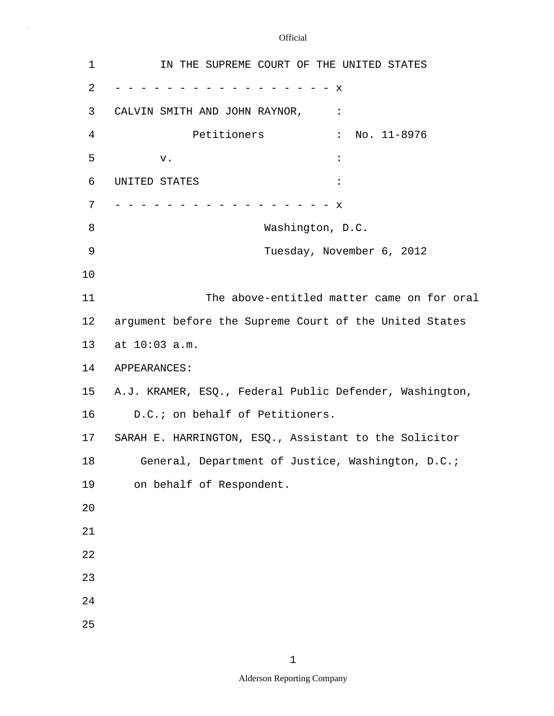$\sim$ 

| 1               | IN THE SUPREME COURT OF THE UNITED STATES               |
|-----------------|---------------------------------------------------------|
| 2               | x                                                       |
| 3               | CALVIN SMITH AND JOHN RAYNOR,<br>$\cdot$ :              |
| 4               | $\therefore$ No. 11-8976<br>Petitioners                 |
| 5               | $\ddot{\cdot}$<br>v.                                    |
| 6               | UNITED STATES                                           |
| 7               | $\mathbf x$                                             |
| 8               | Washington, D.C.                                        |
| 9               | Tuesday, November 6, 2012                               |
| 10              |                                                         |
| 11              | The above-entitled matter came on for oral              |
| 12              | argument before the Supreme Court of the United States  |
| 13              | at 10:03 a.m.                                           |
| 14              | APPEARANCES:                                            |
| 15 <sub>1</sub> | A.J. KRAMER, ESQ., Federal Public Defender, Washington, |
| 16              | D.C.; on behalf of Petitioners.                         |
| 17              | SARAH E. HARRINGTON, ESQ., Assistant to the Solicitor   |
| 18              | General, Department of Justice, Washington, D.C.;       |
| 19              | on behalf of Respondent.                                |
| 20              |                                                         |
| 21              |                                                         |
| 22              |                                                         |
| 23              |                                                         |
| 24              |                                                         |
| 25              |                                                         |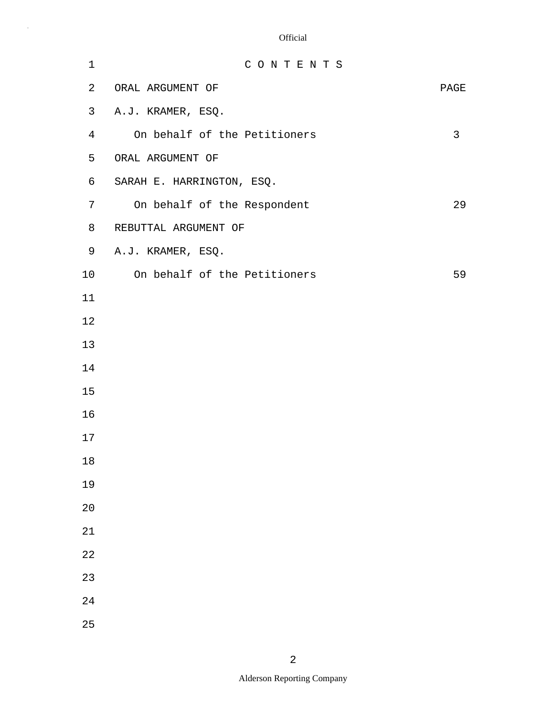| $\mathbf 1$    | CONTENTS                     |      |
|----------------|------------------------------|------|
| 2              | ORAL ARGUMENT OF             | PAGE |
| 3              | A.J. KRAMER, ESQ.            |      |
| $\overline{4}$ | On behalf of the Petitioners | 3    |
| 5              | ORAL ARGUMENT OF             |      |
| 6              | SARAH E. HARRINGTON, ESQ.    |      |
| 7              | On behalf of the Respondent  | 29   |
| 8              | REBUTTAL ARGUMENT OF         |      |
| 9              | A.J. KRAMER, ESQ.            |      |
| 10             | On behalf of the Petitioners | 59   |
| 11             |                              |      |
| 12             |                              |      |
| 13             |                              |      |
| 14             |                              |      |
| 15             |                              |      |
| 16             |                              |      |
| 17             |                              |      |
| $18\,$         |                              |      |
| 19             |                              |      |
| 20             |                              |      |
| 21             |                              |      |
| 22             |                              |      |
| 23             |                              |      |
| 24             |                              |      |
| 25             |                              |      |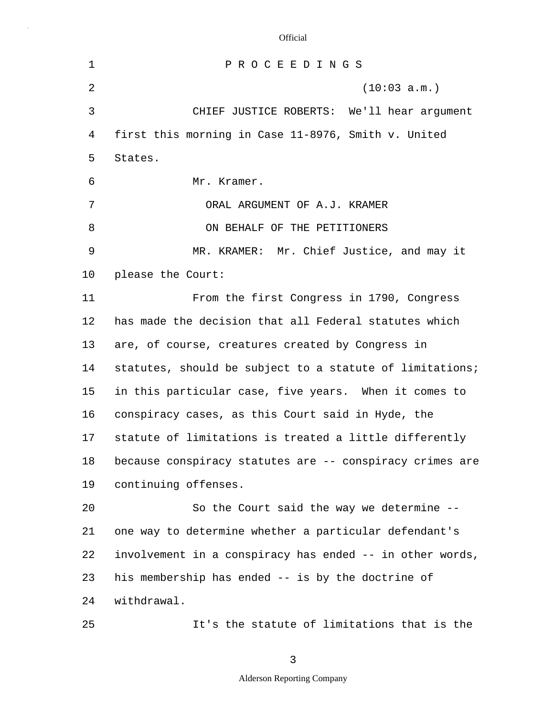| $\mathbf 1$ | PROCEEDINGS                                              |
|-------------|----------------------------------------------------------|
| 2           | (10:03 a.m.)                                             |
| 3           | CHIEF JUSTICE ROBERTS: We'll hear argument               |
| 4           | first this morning in Case 11-8976, Smith v. United      |
| 5           | States.                                                  |
| 6           | Mr. Kramer.                                              |
| 7           | ORAL ARGUMENT OF A.J. KRAMER                             |
| 8           | ON BEHALF OF THE PETITIONERS                             |
| 9           | MR. KRAMER: Mr. Chief Justice, and may it                |
| 10          | please the Court:                                        |
| 11          | From the first Congress in 1790, Congress                |
| 12          | has made the decision that all Federal statutes which    |
| 13          | are, of course, creatures created by Congress in         |
| 14          | statutes, should be subject to a statute of limitations; |
| 15          | in this particular case, five years. When it comes to    |
| 16          | conspiracy cases, as this Court said in Hyde, the        |
| 17          | statute of limitations is treated a little differently   |
| 18          | because conspiracy statutes are -- conspiracy crimes are |
| 19          | continuing offenses.                                     |
| 20          | So the Court said the way we determine --                |
| 21          | one way to determine whether a particular defendant's    |
| 22          | involvement in a conspiracy has ended -- in other words, |
| 23          | his membership has ended -- is by the doctrine of        |
| 24          | withdrawal.                                              |
| 25          | It's the statute of limitations that is the              |

3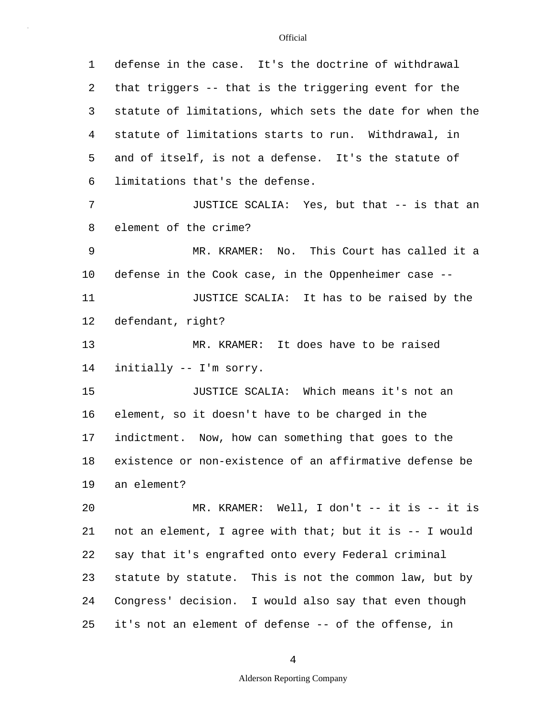| 1       | defense in the case. It's the doctrine of withdrawal     |
|---------|----------------------------------------------------------|
| 2       | that triggers -- that is the triggering event for the    |
| 3       | statute of limitations, which sets the date for when the |
| 4       | statute of limitations starts to run. Withdrawal, in     |
| 5       | and of itself, is not a defense. It's the statute of     |
| 6       | limitations that's the defense.                          |
| 7       | JUSTICE SCALIA: Yes, but that -- is that an              |
| 8       | element of the crime?                                    |
| 9       | MR. KRAMER: No. This Court has called it a               |
| $10 \,$ | defense in the Cook case, in the Oppenheimer case --     |
| 11      | JUSTICE SCALIA: It has to be raised by the               |
| 12      | defendant, right?                                        |
| 13      | MR. KRAMER: It does have to be raised                    |
| 14      | initially -- I'm sorry.                                  |
| 15      | JUSTICE SCALIA: Which means it's not an                  |
| 16      | element, so it doesn't have to be charged in the         |
| 17      | indictment. Now, how can something that goes to the      |
| 18      | existence or non-existence of an affirmative defense be  |
| 19      | an element?                                              |
| 20      | MR. KRAMER: Well, I don't -- it is -- it is              |
| 21      | not an element, I agree with that; but it is -- I would  |
| 22      | say that it's engrafted onto every Federal criminal      |
| 23      | statute by statute. This is not the common law, but by   |
| 24      | Congress' decision. I would also say that even though    |
| 25      | it's not an element of defense -- of the offense, in     |

4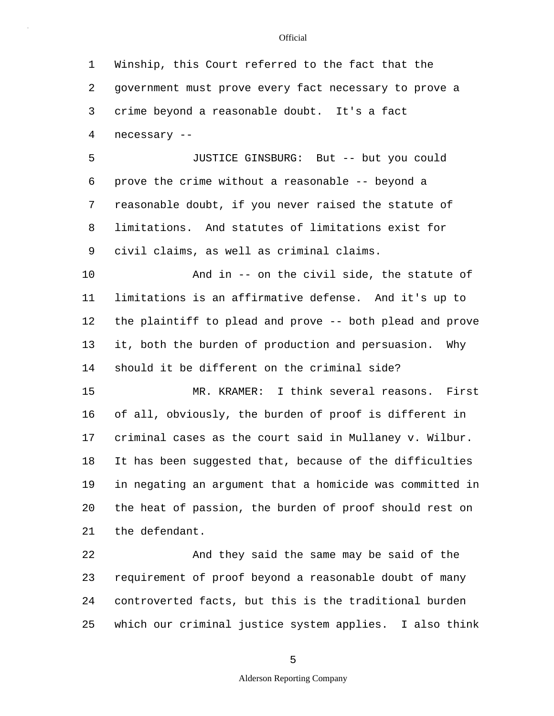5 10 15 20 25 1 Winship, this Court referred to the fact that the 2 government must prove every fact necessary to prove a 3 crime beyond a reasonable doubt. It's a fact 4 necessary -- JUSTICE GINSBURG: But -- but you could 6 prove the crime without a reasonable -- beyond a 7 reasonable doubt, if you never raised the statute of 8 limitations. And statutes of limitations exist for 9 civil claims, as well as criminal claims. And in -- on the civil side, the statute of 11 limitations is an affirmative defense. And it's up to 12 the plaintiff to plead and prove -- both plead and prove 13 it, both the burden of production and persuasion. Why 14 should it be different on the criminal side? MR. KRAMER: I think several reasons. First 16 of all, obviously, the burden of proof is different in 17 criminal cases as the court said in Mullaney v. Wilbur. 18 It has been suggested that, because of the difficulties 19 in negating an argument that a homicide was committed in the heat of passion, the burden of proof should rest on 21 the defendant. 22 And they said the same may be said of the 23 requirement of proof beyond a reasonable doubt of many 24 controverted facts, but this is the traditional burden which our criminal justice system applies. I also think

5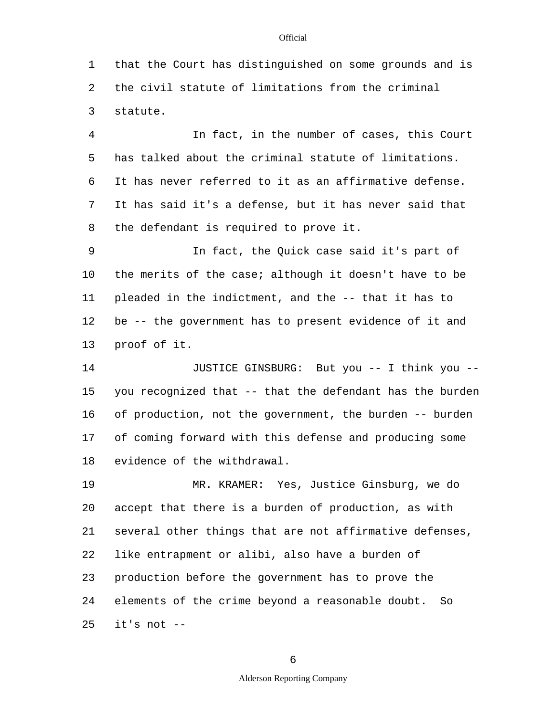1 that the Court has distinguished on some grounds and is 2 the civil statute of limitations from the criminal 3 statute.

5 4 In fact, in the number of cases, this Court has talked about the criminal statute of limitations. 6 It has never referred to it as an affirmative defense. 7 It has said it's a defense, but it has never said that 8 the defendant is required to prove it.

10 9 In fact, the Quick case said it's part of the merits of the case; although it doesn't have to be 11 pleaded in the indictment, and the -- that it has to 12 be -- the government has to present evidence of it and 13 proof of it.

15 14 JUSTICE GINSBURG: But you -- I think you - you recognized that -- that the defendant has the burden 16 of production, not the government, the burden -- burden 17 of coming forward with this defense and producing some 18 evidence of the withdrawal.

20 25 19 MR. KRAMER: Yes, Justice Ginsburg, we do accept that there is a burden of production, as with 21 several other things that are not affirmative defenses, 22 like entrapment or alibi, also have a burden of 23 production before the government has to prove the 24 elements of the crime beyond a reasonable doubt. So it's not --

6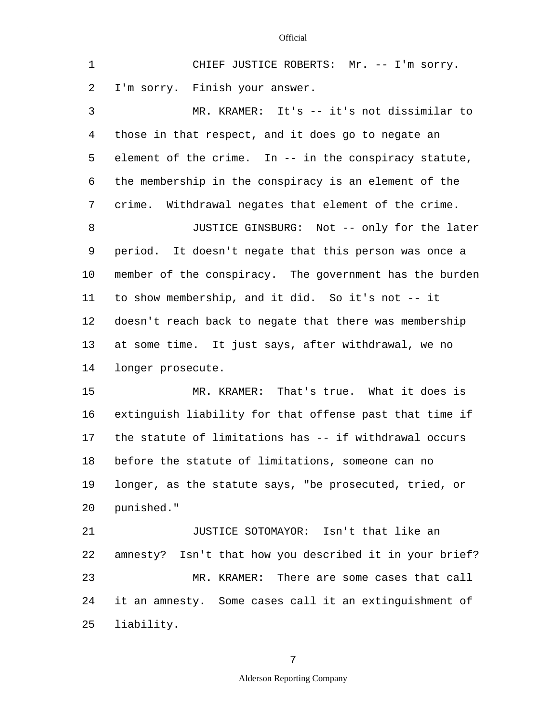| $\mathbf{1}$ | CHIEF JUSTICE ROBERTS: Mr. -- I'm sorry.                |
|--------------|---------------------------------------------------------|
| 2            | I'm sorry. Finish your answer.                          |
| 3            | MR. KRAMER: It's -- it's not dissimilar to              |
| 4            | those in that respect, and it does go to negate an      |
| 5            | element of the crime. In -- in the conspiracy statute,  |
| 6            | the membership in the conspiracy is an element of the   |
| 7            | crime. Withdrawal negates that element of the crime.    |
| 8            | JUSTICE GINSBURG: Not -- only for the later             |
| 9            | period. It doesn't negate that this person was once a   |
| 10           | member of the conspiracy. The government has the burden |
| 11           | to show membership, and it did. So it's not -- it       |
| 12           | doesn't reach back to negate that there was membership  |
| 13           | at some time. It just says, after withdrawal, we no     |
| 14           | longer prosecute.                                       |
| 15           | MR. KRAMER: That's true. What it does is                |
| 16           | extinguish liability for that offense past that time if |
| 17           | the statute of limitations has -- if withdrawal occurs  |
| 18           | before the statute of limitations, someone can no       |
| 19           | longer, as the statute says, "be prosecuted, tried, or  |
| 20           | punished."                                              |
| 21           | JUSTICE SOTOMAYOR: Isn't that like an                   |
| 22           | amnesty? Isn't that how you described it in your brief? |
| 23           | MR. KRAMER: There are some cases that call              |
| 24           | it an amnesty. Some cases call it an extinguishment of  |
| 25           | liability.                                              |

7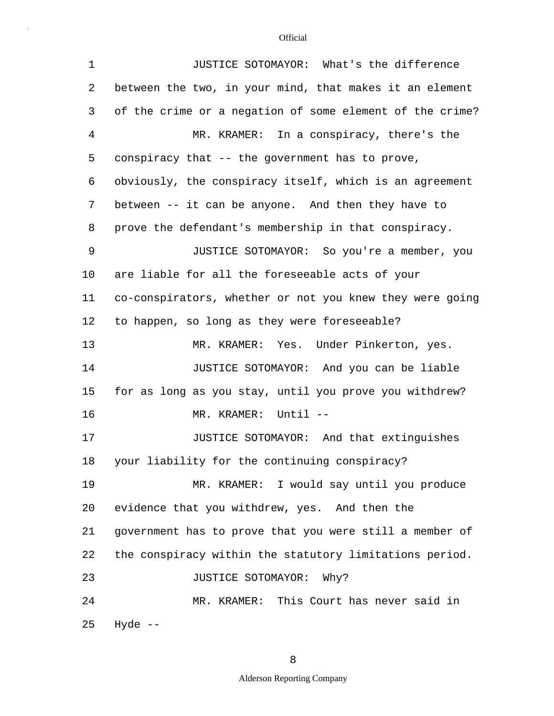| $\mathbf 1$    | JUSTICE SOTOMAYOR: What's the difference                 |
|----------------|----------------------------------------------------------|
| 2              | between the two, in your mind, that makes it an element  |
| 3              | of the crime or a negation of some element of the crime? |
| $\overline{4}$ | MR. KRAMER: In a conspiracy, there's the                 |
| 5              | conspiracy that -- the government has to prove,          |
| 6              | obviously, the conspiracy itself, which is an agreement  |
| 7              | between -- it can be anyone. And then they have to       |
| 8              | prove the defendant's membership in that conspiracy.     |
| 9              | JUSTICE SOTOMAYOR: So you're a member, you               |
| 10             | are liable for all the foreseeable acts of your          |
| 11             | co-conspirators, whether or not you knew they were going |
| 12             | to happen, so long as they were foreseeable?             |
| 13             | MR. KRAMER: Yes. Under Pinkerton, yes.                   |
| 14             | JUSTICE SOTOMAYOR: And you can be liable                 |
| 15             | for as long as you stay, until you prove you withdrew?   |
| 16             | MR. KRAMER: Until --                                     |
| 17             | JUSTICE SOTOMAYOR: And that extinguishes                 |
| 18             | your liability for the continuing conspiracy?            |
| 19             | MR. KRAMER: I would say until you produce                |
| 20             | evidence that you withdrew, yes. And then the            |
| 21             | government has to prove that you were still a member of  |
| 22             | the conspiracy within the statutory limitations period.  |
| 23             | JUSTICE SOTOMAYOR: Why?                                  |
| 24             | MR. KRAMER: This Court has never said in                 |
| 25             | Hyde $--$                                                |

8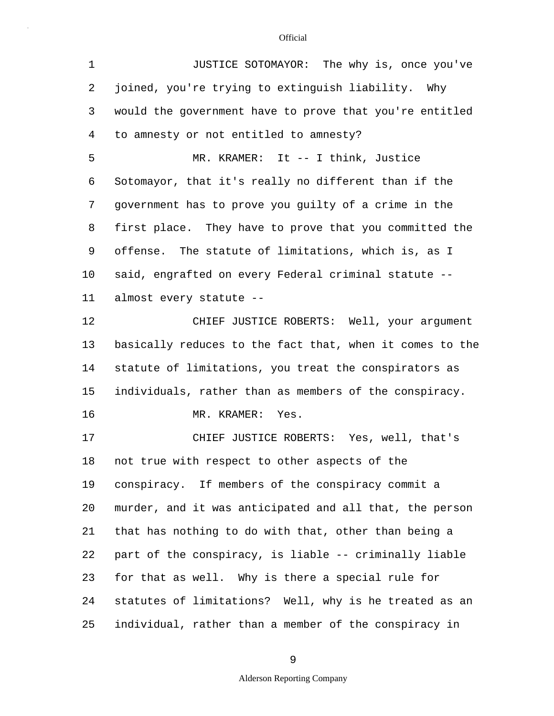| $\mathbf 1$ | JUSTICE SOTOMAYOR: The why is, once you've               |
|-------------|----------------------------------------------------------|
| 2           | joined, you're trying to extinguish liability. Why       |
| 3           | would the government have to prove that you're entitled  |
| 4           | to amnesty or not entitled to amnesty?                   |
| 5           | MR. KRAMER: It -- I think, Justice                       |
| 6           | Sotomayor, that it's really no different than if the     |
| 7           | government has to prove you guilty of a crime in the     |
| 8           | first place. They have to prove that you committed the   |
| 9           | offense. The statute of limitations, which is, as I      |
| $10 \,$     | said, engrafted on every Federal criminal statute --     |
| 11          | almost every statute --                                  |
| 12          | CHIEF JUSTICE ROBERTS: Well, your argument               |
| 13          | basically reduces to the fact that, when it comes to the |
| 14          | statute of limitations, you treat the conspirators as    |
| 15          | individuals, rather than as members of the conspiracy.   |
| 16          | MR. KRAMER: Yes.                                         |
| 17          | CHIEF JUSTICE ROBERTS: Yes, well, that's                 |
| 18          | not true with respect to other aspects of the            |
| 19          | conspiracy. If members of the conspiracy commit a        |
| 20          | murder, and it was anticipated and all that, the person  |
| 21          | that has nothing to do with that, other than being a     |
| 22          | part of the conspiracy, is liable -- criminally liable   |
| 23          | for that as well. Why is there a special rule for        |
| 24          | statutes of limitations? Well, why is he treated as an   |
| 25          | individual, rather than a member of the conspiracy in    |

9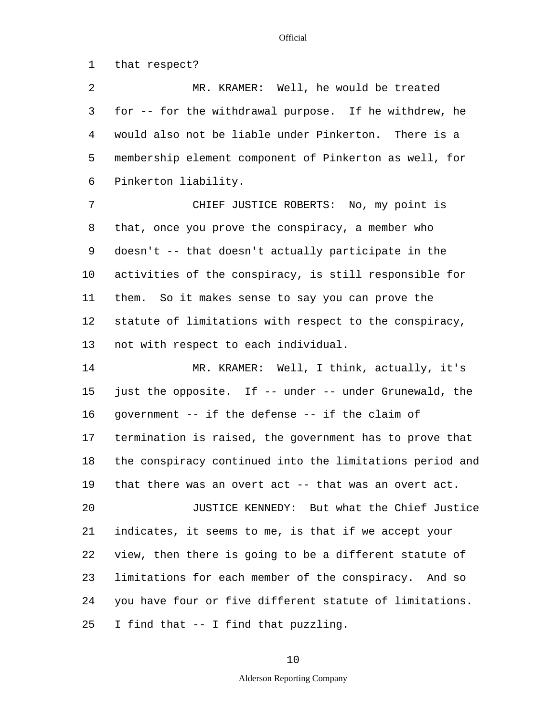1 that respect?

5 2 MR. KRAMER: Well, he would be treated 3 for -- for the withdrawal purpose. If he withdrew, he 4 would also not be liable under Pinkerton. There is a membership element component of Pinkerton as well, for 6 Pinkerton liability.

10 7 CHIEF JUSTICE ROBERTS: No, my point is 8 that, once you prove the conspiracy, a member who 9 doesn't -- that doesn't actually participate in the activities of the conspiracy, is still responsible for 11 them. So it makes sense to say you can prove the 12 statute of limitations with respect to the conspiracy, 13 not with respect to each individual.

15 20 14 MR. KRAMER: Well, I think, actually, it's just the opposite. If -- under -- under Grunewald, the 16 government -- if the defense -- if the claim of 17 termination is raised, the government has to prove that 18 the conspiracy continued into the limitations period and 19 that there was an overt act -- that was an overt act. JUSTICE KENNEDY: But what the Chief Justice

25 21 indicates, it seems to me, is that if we accept your 22 view, then there is going to be a different statute of 23 limitations for each member of the conspiracy. And so 24 you have four or five different statute of limitations. I find that -- I find that puzzling.

### 10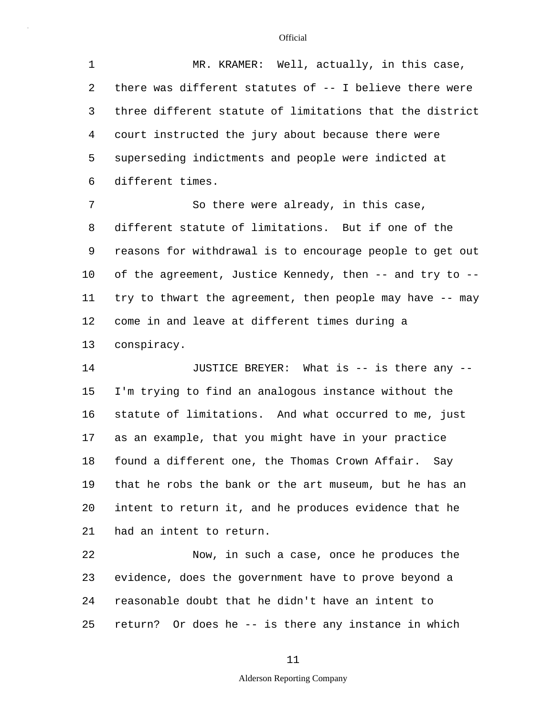5 1 MR. KRAMER: Well, actually, in this case, 2 there was different statutes of -- I believe there were 3 three different statute of limitations that the district 4 court instructed the jury about because there were superseding indictments and people were indicted at 6 different times.

10 7 So there were already, in this case, 8 different statute of limitations. But if one of the 9 reasons for withdrawal is to encourage people to get out of the agreement, Justice Kennedy, then -- and try to -- 11 try to thwart the agreement, then people may have -- may 12 come in and leave at different times during a 13 conspiracy.

15 20 14 JUSTICE BREYER: What is -- is there any --I'm trying to find an analogous instance without the 16 statute of limitations. And what occurred to me, just 17 as an example, that you might have in your practice 18 found a different one, the Thomas Crown Affair. Say 19 that he robs the bank or the art museum, but he has an intent to return it, and he produces evidence that he 21 had an intent to return.

25 22 Now, in such a case, once he produces the 23 evidence, does the government have to prove beyond a 24 reasonable doubt that he didn't have an intent to return? Or does he -- is there any instance in which

### 11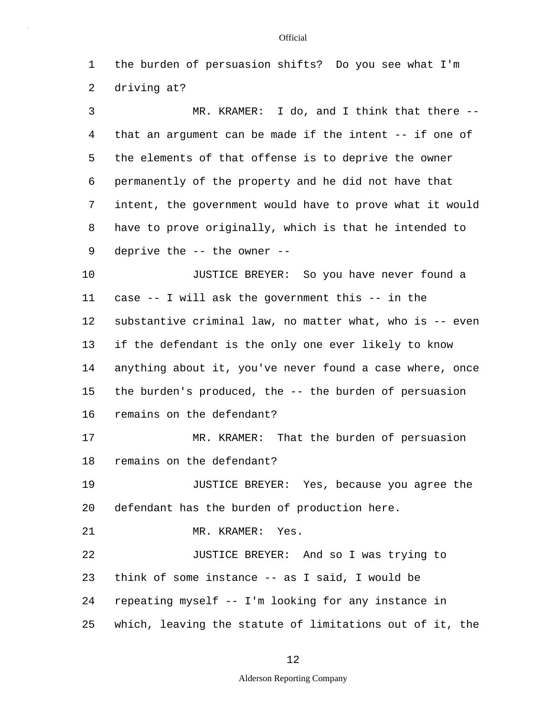1 the burden of persuasion shifts? Do you see what I'm 2 driving at?

5 3 MR. KRAMER: I do, and I think that there -- 4 that an argument can be made if the intent -- if one of the elements of that offense is to deprive the owner 6 permanently of the property and he did not have that 7 intent, the government would have to prove what it would 8 have to prove originally, which is that he intended to 9 deprive the -- the owner --

10 15 JUSTICE BREYER: So you have never found a 11 case -- I will ask the government this -- in the 12 substantive criminal law, no matter what, who is -- even 13 if the defendant is the only one ever likely to know 14 anything about it, you've never found a case where, once the burden's produced, the -- the burden of persuasion 16 remains on the defendant?

17 MR. KRAMER: That the burden of persuasion 18 remains on the defendant?

20 19 JUSTICE BREYER: Yes, because you agree the defendant has the burden of production here.

21 MR. KRAMER: Yes.

25 22 JUSTICE BREYER: And so I was trying to 23 think of some instance -- as I said, I would be 24 repeating myself -- I'm looking for any instance in which, leaving the statute of limitations out of it, the

#### **Official**

Alderson Reporting Company

## 12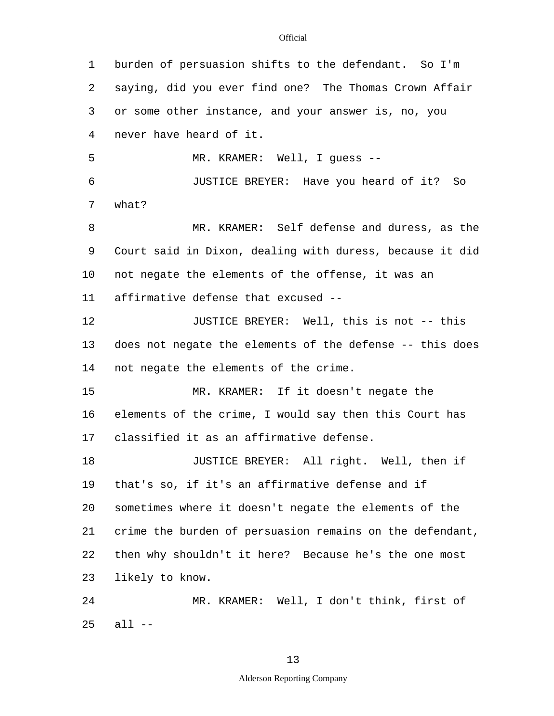5 10 15 20 25 1 burden of persuasion shifts to the defendant. So I'm 2 saying, did you ever find one? The Thomas Crown Affair 3 or some other instance, and your answer is, no, you 4 never have heard of it. MR. KRAMER: Well, I guess -- 6 JUSTICE BREYER: Have you heard of it? So 7 what? 8 MR. KRAMER: Self defense and duress, as the 9 Court said in Dixon, dealing with duress, because it did not negate the elements of the offense, it was an 11 affirmative defense that excused -- 12 JUSTICE BREYER: Well, this is not -- this 13 does not negate the elements of the defense -- this does 14 not negate the elements of the crime. MR. KRAMER: If it doesn't negate the 16 elements of the crime, I would say then this Court has 17 classified it as an affirmative defense. 18 **JUSTICE BREYER:** All right. Well, then if 19 that's so, if it's an affirmative defense and if sometimes where it doesn't negate the elements of the 21 crime the burden of persuasion remains on the defendant, 22 then why shouldn't it here? Because he's the one most 23 likely to know. 24 MR. KRAMER: Well, I don't think, first of all  $--$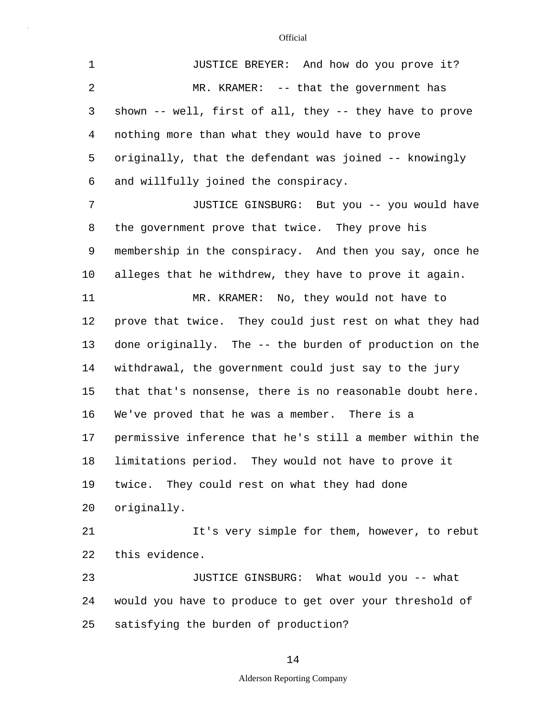5 10 15 20 25 1 JUSTICE BREYER: And how do you prove it? 2 MR. KRAMER: -- that the government has 3 shown -- well, first of all, they -- they have to prove 4 nothing more than what they would have to prove originally, that the defendant was joined -- knowingly 6 and willfully joined the conspiracy. 7 JUSTICE GINSBURG: But you -- you would have 8 the government prove that twice. They prove his 9 membership in the conspiracy. And then you say, once he alleges that he withdrew, they have to prove it again. 11 MR. KRAMER: No, they would not have to 12 prove that twice. They could just rest on what they had 13 done originally. The -- the burden of production on the 14 withdrawal, the government could just say to the jury that that's nonsense, there is no reasonable doubt here. 16 We've proved that he was a member. There is a 17 permissive inference that he's still a member within the 18 limitations period. They would not have to prove it 19 twice. They could rest on what they had done originally. 21 It's very simple for them, however, to rebut 22 this evidence. 23 JUSTICE GINSBURG: What would you -- what 24 would you have to produce to get over your threshold of satisfying the burden of production?

## 14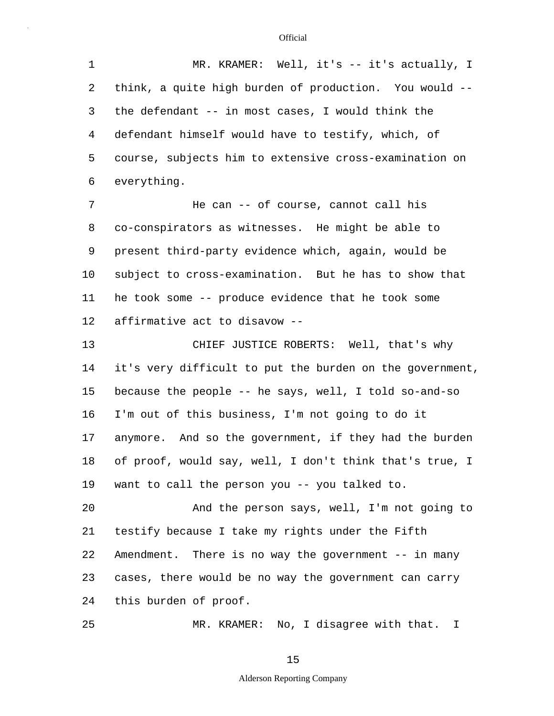| 1              | MR. KRAMER: Well, it's -- it's actually, I               |
|----------------|----------------------------------------------------------|
| 2              | think, a quite high burden of production. You would --   |
| 3              | the defendant -- in most cases, I would think the        |
| $\overline{4}$ | defendant himself would have to testify, which, of       |
| 5              | course, subjects him to extensive cross-examination on   |
| 6              | everything.                                              |
| 7              | He can -- of course, cannot call his                     |
| 8              | co-conspirators as witnesses. He might be able to        |
| 9              | present third-party evidence which, again, would be      |
| 10             | subject to cross-examination. But he has to show that    |
| 11             | he took some -- produce evidence that he took some       |
| 12             | affirmative act to disavow --                            |
| 13             | CHIEF JUSTICE ROBERTS: Well, that's why                  |
| 14             | it's very difficult to put the burden on the government, |
| 15             | because the people -- he says, well, I told so-and-so    |
| 16             | I'm out of this business, I'm not going to do it         |
| 17             | anymore. And so the government, if they had the burden   |
| 18             | of proof, would say, well, I don't think that's true, I  |
| 19             | want to call the person you -- you talked to.            |
| 20             | And the person says, well, I'm not going to              |
| 21             | testify because I take my rights under the Fifth         |
| 22             | Amendment. There is no way the government -- in many     |
| 23             | cases, there would be no way the government can carry    |
| 24             | this burden of proof.                                    |
| 25             | MR. KRAMER: No, I disagree with that. I                  |

MR. KRAMER: No, I disagree with that. I

15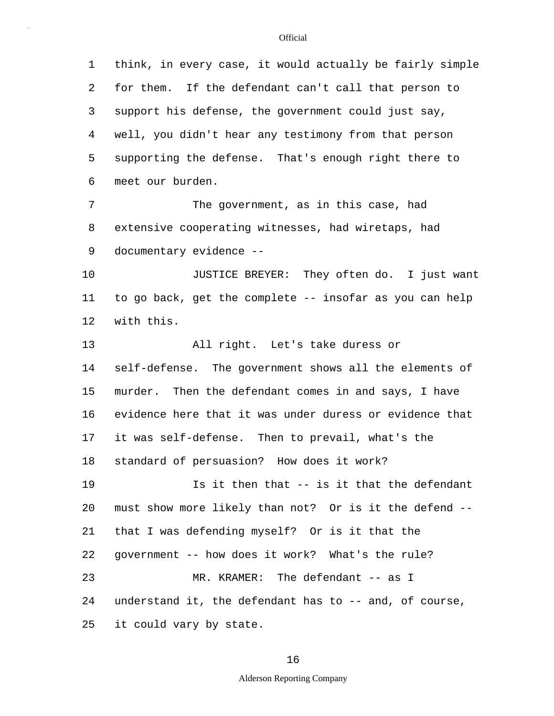5 10 15 20 25 1 think, in every case, it would actually be fairly simple 2 for them. If the defendant can't call that person to 3 support his defense, the government could just say, 4 well, you didn't hear any testimony from that person supporting the defense. That's enough right there to 6 meet our burden. 7 The government, as in this case, had 8 extensive cooperating witnesses, had wiretaps, had 9 documentary evidence -- JUSTICE BREYER: They often do. I just want 11 to go back, get the complete -- insofar as you can help 12 with this. 13 All right. Let's take duress or 14 self-defense. The government shows all the elements of murder. Then the defendant comes in and says, I have 16 evidence here that it was under duress or evidence that 17 it was self-defense. Then to prevail, what's the 18 standard of persuasion? How does it work? 19 Is it then that -- is it that the defendant must show more likely than not? Or is it the defend -- 21 that I was defending myself? Or is it that the 22 government -- how does it work? What's the rule? 23 MR. KRAMER: The defendant -- as I 24 understand it, the defendant has to -- and, of course, it could vary by state.

16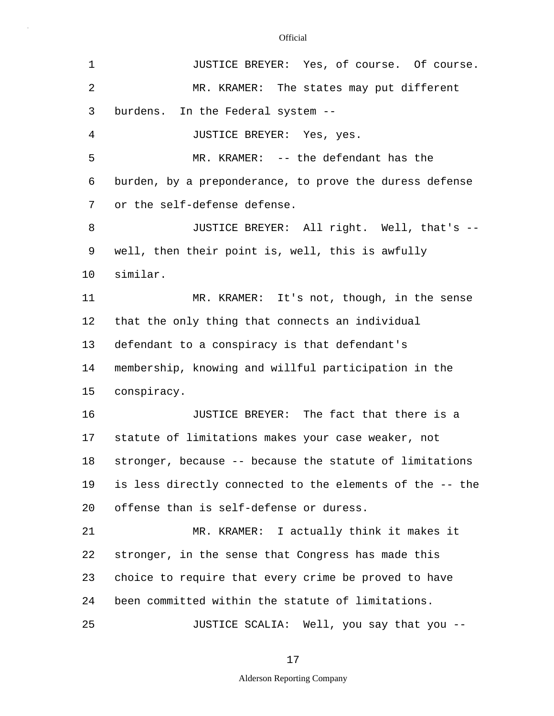| 1              | JUSTICE BREYER: Yes, of course. Of course.               |
|----------------|----------------------------------------------------------|
| $\overline{2}$ | MR. KRAMER: The states may put different                 |
| 3              | burdens. In the Federal system --                        |
| 4              | JUSTICE BREYER: Yes, yes.                                |
| 5              | MR. KRAMER: -- the defendant has the                     |
| 6              | burden, by a preponderance, to prove the duress defense  |
| 7              | or the self-defense defense.                             |
| 8              | JUSTICE BREYER: All right. Well, that's --               |
| 9              | well, then their point is, well, this is awfully         |
| 10             | similar.                                                 |
| 11             | MR. KRAMER: It's not, though, in the sense               |
| 12             | that the only thing that connects an individual          |
| 13             | defendant to a conspiracy is that defendant's            |
| 14             | membership, knowing and willful participation in the     |
| 15             | conspiracy.                                              |
| 16             | JUSTICE BREYER: The fact that there is a                 |
| 17             | statute of limitations makes your case weaker, not       |
| 18             | stronger, because -- because the statute of limitations  |
| 19             | is less directly connected to the elements of the -- the |
| 20             | offense than is self-defense or duress.                  |
| 21             | MR. KRAMER: I actually think it makes it                 |
| 22             | stronger, in the sense that Congress has made this       |
| 23             | choice to require that every crime be proved to have     |
| 24             | been committed within the statute of limitations.        |
| 25             | JUSTICE SCALIA: Well, you say that you --                |

17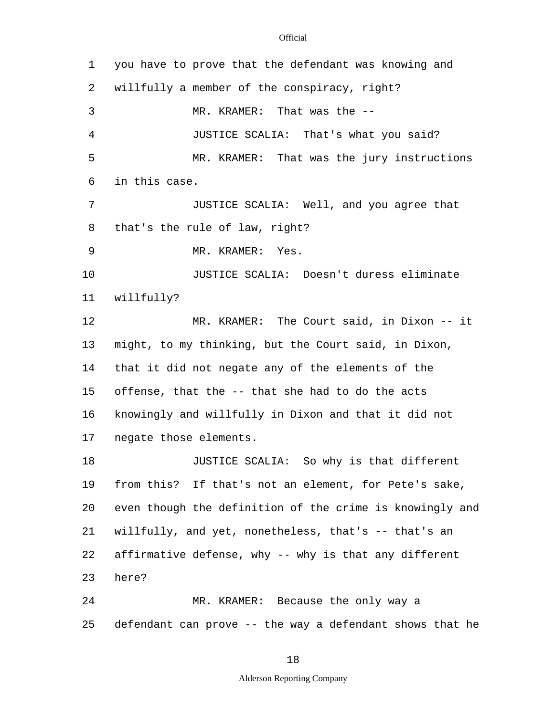| $\mathbf 1$ | you have to prove that the defendant was knowing and     |
|-------------|----------------------------------------------------------|
| 2           | willfully a member of the conspiracy, right?             |
| 3           | MR. KRAMER: That was the --                              |
| 4           | JUSTICE SCALIA: That's what you said?                    |
| 5           | MR. KRAMER: That was the jury instructions               |
| 6           | in this case.                                            |
| 7           | JUSTICE SCALIA: Well, and you agree that                 |
| 8           | that's the rule of law, right?                           |
| 9           | MR. KRAMER: Yes.                                         |
| 10          | JUSTICE SCALIA: Doesn't duress eliminate                 |
| 11          | willfully?                                               |
| 12          | MR. KRAMER: The Court said, in Dixon -- it               |
| 13          | might, to my thinking, but the Court said, in Dixon,     |
| 14          | that it did not negate any of the elements of the        |
| 15          | offense, that the -- that she had to do the acts         |
| 16          | knowingly and willfully in Dixon and that it did not     |
| 17          | negate those elements.                                   |
| 18          | JUSTICE SCALIA: So why is that different                 |
| 19          | from this? If that's not an element, for Pete's sake,    |
| 20          | even though the definition of the crime is knowingly and |
| 21          | willfully, and yet, nonetheless, that's -- that's an     |
| 22          | affirmative defense, why -- why is that any different    |
| 23          | here?                                                    |
| 24          | MR. KRAMER: Because the only way a                       |
| 25          | defendant can prove -- the way a defendant shows that he |

18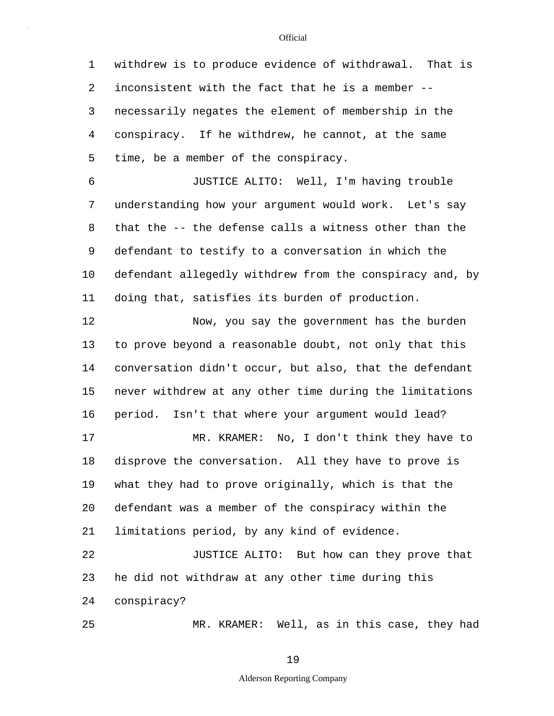5 1 withdrew is to produce evidence of withdrawal. That is 2 inconsistent with the fact that he is a member -- 3 necessarily negates the element of membership in the 4 conspiracy. If he withdrew, he cannot, at the same time, be a member of the conspiracy.

10 6 JUSTICE ALITO: Well, I'm having trouble 7 understanding how your argument would work. Let's say 8 that the -- the defense calls a witness other than the 9 defendant to testify to a conversation in which the defendant allegedly withdrew from the conspiracy and, by 11 doing that, satisfies its burden of production.

15 20 12 Now, you say the government has the burden 13 to prove beyond a reasonable doubt, not only that this 14 conversation didn't occur, but also, that the defendant never withdrew at any other time during the limitations 16 period. Isn't that where your argument would lead? 17 MR. KRAMER: No, I don't think they have to 18 disprove the conversation. All they have to prove is 19 what they had to prove originally, which is that the defendant was a member of the conspiracy within the 21 limitations period, by any kind of evidence. 22 JUSTICE ALITO: But how can they prove that

23 he did not withdraw at any other time during this 24 conspiracy?

25

MR. KRAMER: Well, as in this case, they had

19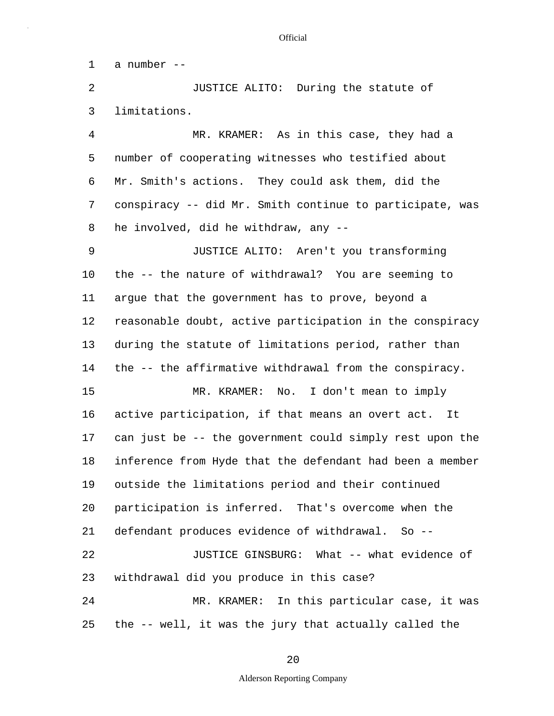1 a number --

2 JUSTICE ALITO: During the statute of 3 limitations.

5 4 MR. KRAMER: As in this case, they had a number of cooperating witnesses who testified about 6 Mr. Smith's actions. They could ask them, did the 7 conspiracy -- did Mr. Smith continue to participate, was 8 he involved, did he withdraw, any --

10 15 9 JUSTICE ALITO: Aren't you transforming the -- the nature of withdrawal? You are seeming to 11 argue that the government has to prove, beyond a 12 reasonable doubt, active participation in the conspiracy 13 during the statute of limitations period, rather than 14 the -- the affirmative withdrawal from the conspiracy. MR. KRAMER: No. I don't mean to imply

20 25 16 active participation, if that means an overt act. It 17 can just be -- the government could simply rest upon the 18 inference from Hyde that the defendant had been a member 19 outside the limitations period and their continued participation is inferred. That's overcome when the 21 defendant produces evidence of withdrawal. So -- 22 JUSTICE GINSBURG: What -- what evidence of 23 withdrawal did you produce in this case? 24 MR. KRAMER: In this particular case, it was the -- well, it was the jury that actually called the

20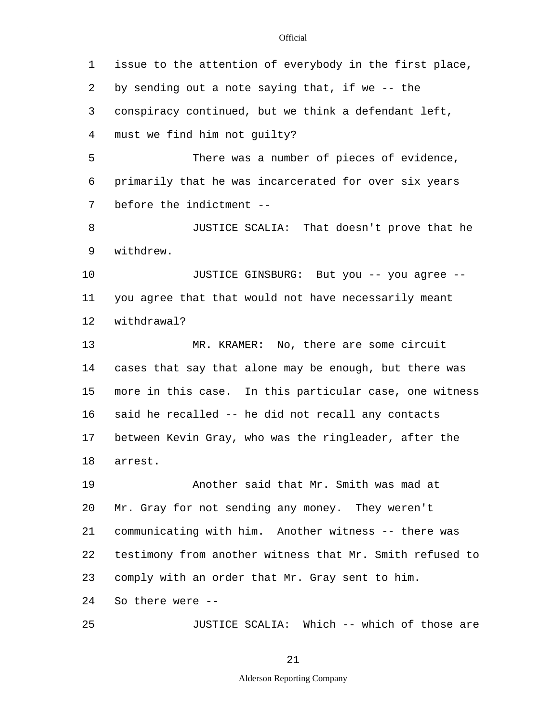5 10 15 20 25 1 issue to the attention of everybody in the first place, 2 by sending out a note saying that, if we -- the 3 conspiracy continued, but we think a defendant left, 4 must we find him not guilty? There was a number of pieces of evidence, 6 primarily that he was incarcerated for over six years 7 before the indictment -- 8 JUSTICE SCALIA: That doesn't prove that he 9 withdrew. JUSTICE GINSBURG: But you -- you agree -- 11 you agree that that would not have necessarily meant 12 withdrawal? 13 MR. KRAMER: No, there are some circuit 14 cases that say that alone may be enough, but there was more in this case. In this particular case, one witness 16 said he recalled -- he did not recall any contacts 17 between Kevin Gray, who was the ringleader, after the 18 arrest. 19 Another said that Mr. Smith was mad at Mr. Gray for not sending any money. They weren't 21 communicating with him. Another witness -- there was 22 testimony from another witness that Mr. Smith refused to 23 comply with an order that Mr. Gray sent to him. 24 So there were -- JUSTICE SCALIA: Which -- which of those are

21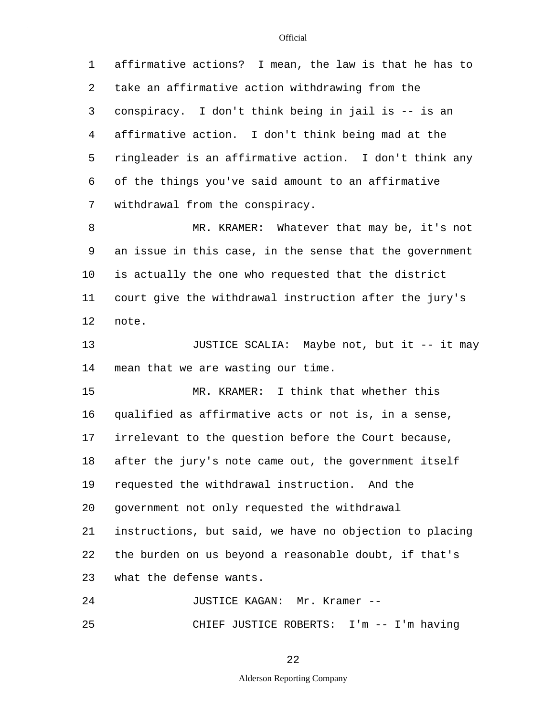5 10 15 20 1 affirmative actions? I mean, the law is that he has to 2 take an affirmative action withdrawing from the 3 conspiracy. I don't think being in jail is -- is an 4 affirmative action. I don't think being mad at the ringleader is an affirmative action. I don't think any 6 of the things you've said amount to an affirmative 7 withdrawal from the conspiracy. 8 MR. KRAMER: Whatever that may be, it's not 9 an issue in this case, in the sense that the government is actually the one who requested that the district 11 court give the withdrawal instruction after the jury's 12 note. 13 JUSTICE SCALIA: Maybe not, but it -- it may 14 mean that we are wasting our time. MR. KRAMER: I think that whether this 16 qualified as affirmative acts or not is, in a sense, 17 irrelevant to the question before the Court because, 18 after the jury's note came out, the government itself 19 requested the withdrawal instruction. And the government not only requested the withdrawal 21 instructions, but said, we have no objection to placing 22 the burden on us beyond a reasonable doubt, if that's 23 what the defense wants. 24 JUSTICE KAGAN: Mr. Kramer --

25 CHIEF JUSTICE ROBERTS: I'm -- I'm having

22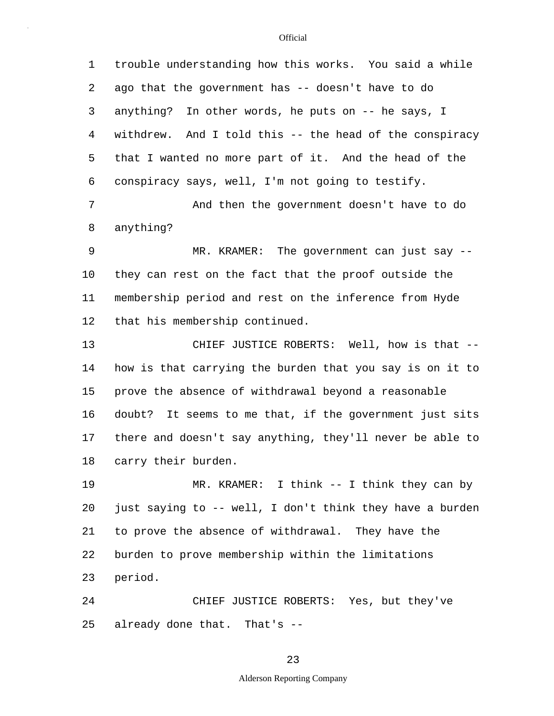5 10 15 20 25 1 trouble understanding how this works. You said a while 2 ago that the government has -- doesn't have to do 3 anything? In other words, he puts on -- he says, I 4 withdrew. And I told this -- the head of the conspiracy that I wanted no more part of it. And the head of the 6 conspiracy says, well, I'm not going to testify. 7 And then the government doesn't have to do 8 anything? 9 MR. KRAMER: The government can just say - they can rest on the fact that the proof outside the 11 membership period and rest on the inference from Hyde 12 that his membership continued. 13 CHIEF JUSTICE ROBERTS: Well, how is that -- 14 how is that carrying the burden that you say is on it to prove the absence of withdrawal beyond a reasonable 16 doubt? It seems to me that, if the government just sits 17 there and doesn't say anything, they'll never be able to 18 carry their burden. 19 MR. KRAMER: I think -- I think they can by just saying to -- well, I don't think they have a burden 21 to prove the absence of withdrawal. They have the 22 burden to prove membership within the limitations 23 period. 24 CHIEF JUSTICE ROBERTS: Yes, but they've already done that. That's --

### 23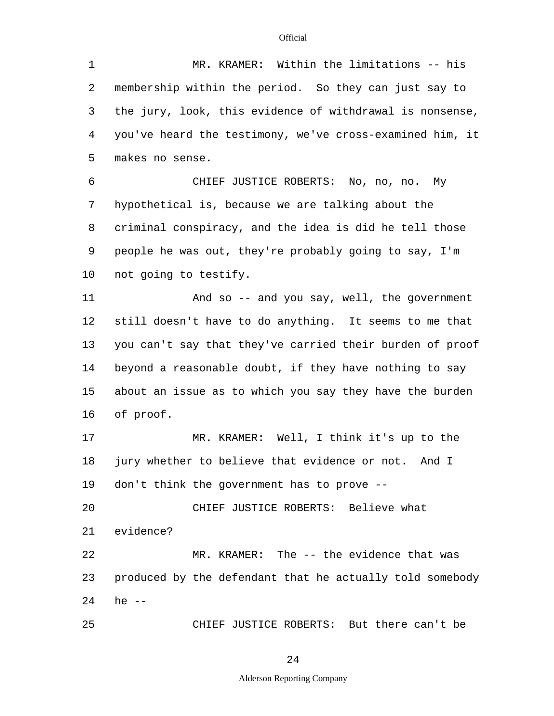5 10 15 20 25 1 MR. KRAMER: Within the limitations -- his 2 membership within the period. So they can just say to 3 the jury, look, this evidence of withdrawal is nonsense, 4 you've heard the testimony, we've cross-examined him, it makes no sense. 6 CHIEF JUSTICE ROBERTS: No, no, no. My 7 hypothetical is, because we are talking about the 8 criminal conspiracy, and the idea is did he tell those 9 people he was out, they're probably going to say, I'm not going to testify. 11 And so -- and you say, well, the government 12 still doesn't have to do anything. It seems to me that 13 you can't say that they've carried their burden of proof 14 beyond a reasonable doubt, if they have nothing to say about an issue as to which you say they have the burden 16 of proof. 17 MR. KRAMER: Well, I think it's up to the 18 jury whether to believe that evidence or not. And I 19 don't think the government has to prove -- CHIEF JUSTICE ROBERTS: Believe what 21 evidence? 22 MR. KRAMER: The -- the evidence that was 23 produced by the defendant that he actually told somebody 24 he -- CHIEF JUSTICE ROBERTS: But there can't be

24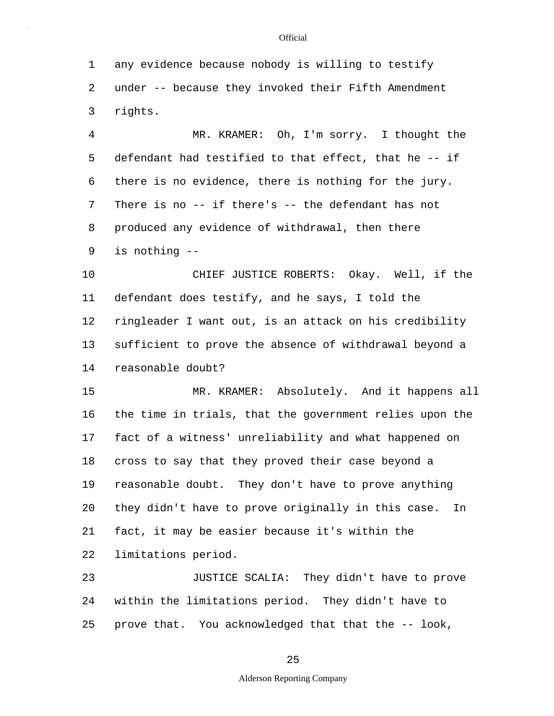5 10 15 20 1 any evidence because nobody is willing to testify 2 under -- because they invoked their Fifth Amendment 3 rights. 4 MR. KRAMER: Oh, I'm sorry. I thought the defendant had testified to that effect, that he -- if 6 there is no evidence, there is nothing for the jury. 7 There is no -- if there's -- the defendant has not 8 produced any evidence of withdrawal, then there 9 is nothing -- CHIEF JUSTICE ROBERTS: Okay. Well, if the 11 defendant does testify, and he says, I told the 12 ringleader I want out, is an attack on his credibility 13 sufficient to prove the absence of withdrawal beyond a 14 reasonable doubt? MR. KRAMER: Absolutely. And it happens all 16 the time in trials, that the government relies upon the 17 fact of a witness' unreliability and what happened on 18 cross to say that they proved their case beyond a 19 reasonable doubt. They don't have to prove anything they didn't have to prove originally in this case. In 21 fact, it may be easier because it's within the 22 limitations period. 23 JUSTICE SCALIA: They didn't have to prove 24 within the limitations period. They didn't have to

25 prove that. You acknowledged that that the -- look,

## 25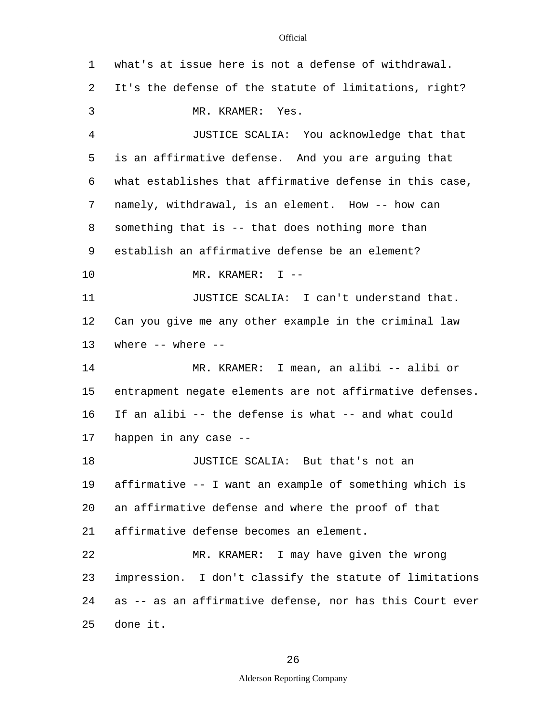| 1  | what's at issue here is not a defense of withdrawal.     |
|----|----------------------------------------------------------|
| 2  | It's the defense of the statute of limitations, right?   |
| 3  | MR. KRAMER: Yes.                                         |
| 4  | JUSTICE SCALIA: You acknowledge that that                |
| 5  | is an affirmative defense. And you are arguing that      |
| 6  | what establishes that affirmative defense in this case,  |
| 7  | namely, withdrawal, is an element. How -- how can        |
| 8  | something that is -- that does nothing more than         |
| 9  | establish an affirmative defense be an element?          |
| 10 | MR. KRAMER: $I$ --                                       |
| 11 | JUSTICE SCALIA: I can't understand that.                 |
| 12 | Can you give me any other example in the criminal law    |
| 13 | where $--$ where $--$                                    |
| 14 | MR. KRAMER: I mean, an alibi -- alibi or                 |
| 15 | entrapment negate elements are not affirmative defenses. |
| 16 | If an alibi -- the defense is what -- and what could     |
| 17 | happen in any case --                                    |
| 18 | JUSTICE SCALIA: But that's not an                        |
| 19 | affirmative -- I want an example of something which is   |
| 20 | an affirmative defense and where the proof of that       |
| 21 | affirmative defense becomes an element.                  |
| 22 | MR. KRAMER: I may have given the wrong                   |
| 23 | impression. I don't classify the statute of limitations  |
| 24 | as -- as an affirmative defense, nor has this Court ever |
| 25 | done it.                                                 |

26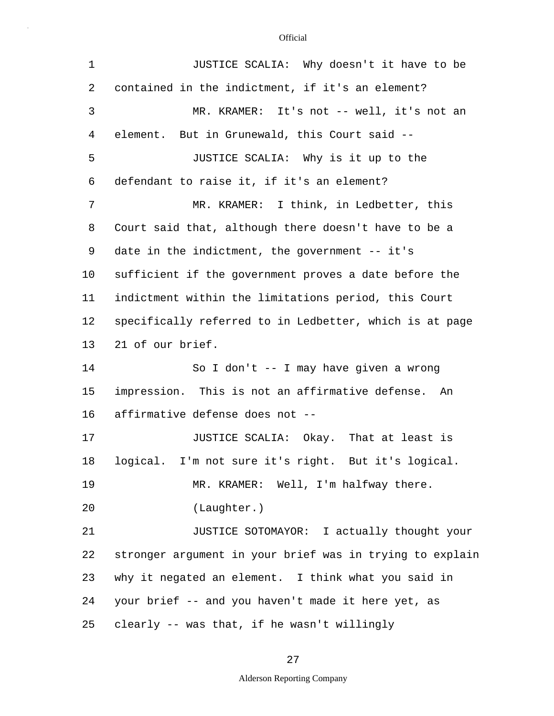| $\mathbf 1$ | JUSTICE SCALIA: Why doesn't it have to be                |
|-------------|----------------------------------------------------------|
| 2           | contained in the indictment, if it's an element?         |
| 3           | MR. KRAMER: It's not -- well, it's not an                |
| 4           | element. But in Grunewald, this Court said --            |
| 5           | JUSTICE SCALIA: Why is it up to the                      |
| 6           | defendant to raise it, if it's an element?               |
| 7           | MR. KRAMER: I think, in Ledbetter, this                  |
| 8           | Court said that, although there doesn't have to be a     |
| 9           | date in the indictment, the government -- it's           |
| $10 \,$     | sufficient if the government proves a date before the    |
| 11          | indictment within the limitations period, this Court     |
| 12          | specifically referred to in Ledbetter, which is at page  |
| 13          | 21 of our brief.                                         |
| 14          | So I don't -- I may have given a wrong                   |
| 15          | impression. This is not an affirmative defense. An       |
| 16          | affirmative defense does not --                          |
| 17          | JUSTICE SCALIA: Okay. That at least is                   |
| 18          | logical. I'm not sure it's right. But it's logical.      |
| 19          | MR. KRAMER: Well, I'm halfway there.                     |
| 20          | (Laughter.)                                              |
| 21          | JUSTICE SOTOMAYOR: I actually thought your               |
| 22          | stronger argument in your brief was in trying to explain |
| 23          | why it negated an element. I think what you said in      |
| 24          | your brief -- and you haven't made it here yet, as       |
| 25          | clearly -- was that, if he wasn't willingly              |

27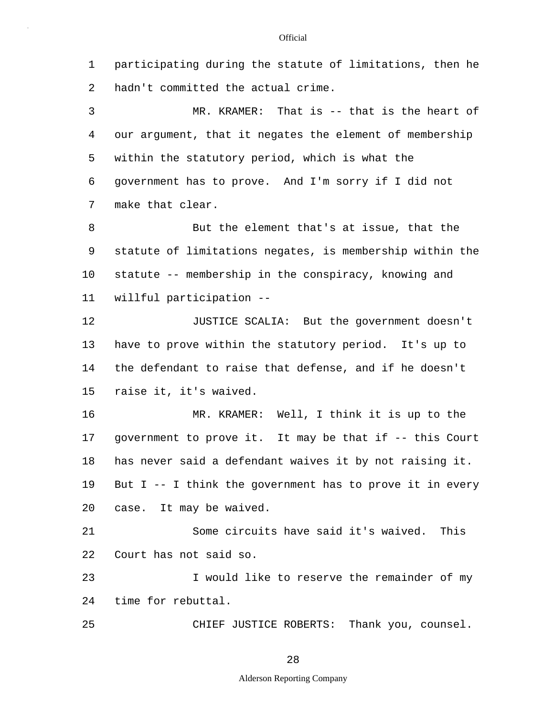1 participating during the statute of limitations, then he 2 hadn't committed the actual crime. 3 MR. KRAMER: That is -- that is the heart of

5 4 our argument, that it negates the element of membership within the statutory period, which is what the 6 government has to prove. And I'm sorry if I did not 7 make that clear.

10 8 But the element that's at issue, that the 9 statute of limitations negates, is membership within the statute -- membership in the conspiracy, knowing and 11 willful participation --

15 12 JUSTICE SCALIA: But the government doesn't 13 have to prove within the statutory period. It's up to 14 the defendant to raise that defense, and if he doesn't raise it, it's waived.

20 16 MR. KRAMER: Well, I think it is up to the 17 government to prove it. It may be that if -- this Court 18 has never said a defendant waives it by not raising it. 19 But I -- I think the government has to prove it in every case. It may be waived.

21 Some circuits have said it's waived. This 22 Court has not said so.

23 I would like to reserve the remainder of my 24 time for rebuttal.

25 CHIEF JUSTICE ROBERTS: Thank you, counsel.

28

## Alderson Reporting Company

#### **Official**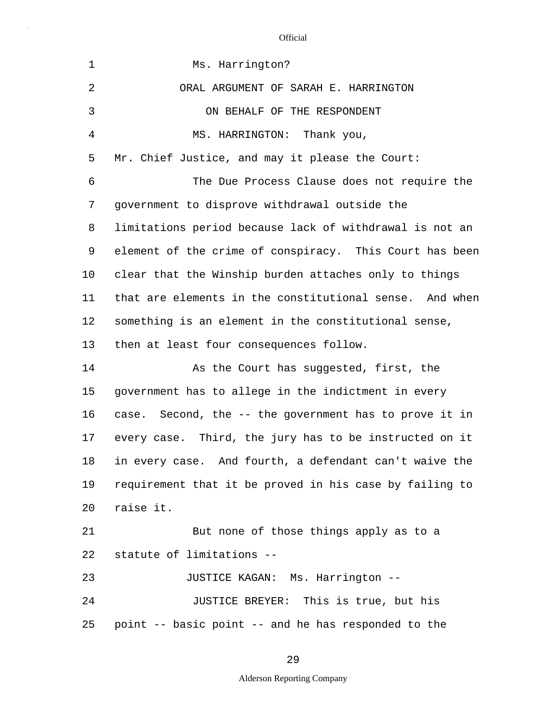| $\mathbf 1$    | Ms. Harrington?                                         |
|----------------|---------------------------------------------------------|
| $\overline{2}$ | ORAL ARGUMENT OF SARAH E. HARRINGTON                    |
| 3              | ON BEHALF OF THE RESPONDENT                             |
| 4              | MS. HARRINGTON: Thank you,                              |
| 5              | Mr. Chief Justice, and may it please the Court:         |
| 6              | The Due Process Clause does not require the             |
| 7              | government to disprove withdrawal outside the           |
| 8              | limitations period because lack of withdrawal is not an |
| 9              | element of the crime of conspiracy. This Court has been |
| $10 \,$        | clear that the Winship burden attaches only to things   |
| 11             | that are elements in the constitutional sense. And when |
| 12             | something is an element in the constitutional sense,    |
| 13             | then at least four consequences follow.                 |
| 14             | As the Court has suggested, first, the                  |
| 15             | government has to allege in the indictment in every     |
| 16             | case. Second, the -- the government has to prove it in  |
| 17             | every case. Third, the jury has to be instructed on it  |
| 18             | in every case. And fourth, a defendant can't waive the  |
| 19             | requirement that it be proved in his case by failing to |
| 20             | raise it.                                               |
| 21             | But none of those things apply as to a                  |
| 22             | statute of limitations --                               |
| 23             | JUSTICE KAGAN: Ms. Harrington --                        |
| 24             | JUSTICE BREYER: This is true, but his                   |
| 25             | point -- basic point -- and he has responded to the     |

29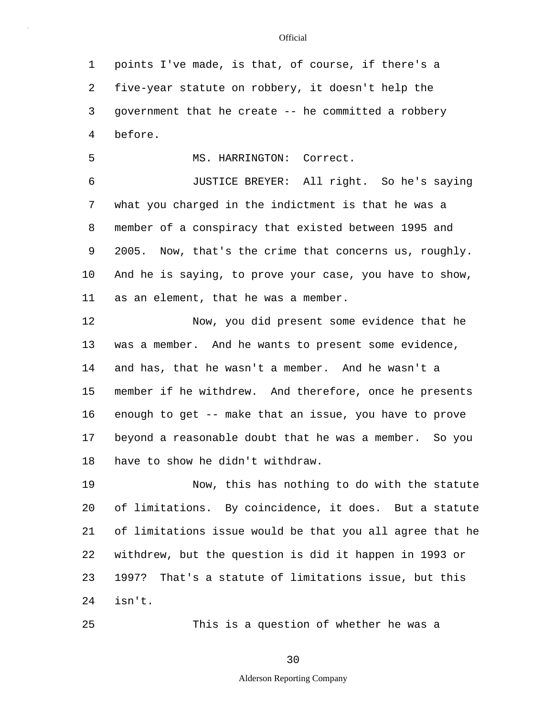1 points I've made, is that, of course, if there's a 2 five-year statute on robbery, it doesn't help the 3 government that he create -- he committed a robbery 4 before.

5 MS. HARRINGTON: Correct.

10 6 JUSTICE BREYER: All right. So he's saying 7 what you charged in the indictment is that he was a 8 member of a conspiracy that existed between 1995 and 9 2005. Now, that's the crime that concerns us, roughly. And he is saying, to prove your case, you have to show, 11 as an element, that he was a member.

15 12 Now, you did present some evidence that he 13 was a member. And he wants to present some evidence, 14 and has, that he wasn't a member. And he wasn't a member if he withdrew. And therefore, once he presents 16 enough to get -- make that an issue, you have to prove 17 beyond a reasonable doubt that he was a member. So you 18 have to show he didn't withdraw.

20 19 Now, this has nothing to do with the statute of limitations. By coincidence, it does. But a statute 21 of limitations issue would be that you all agree that he 22 withdrew, but the question is did it happen in 1993 or 23 1997? That's a statute of limitations issue, but this 24 isn't.

This is a question of whether he was a

25

30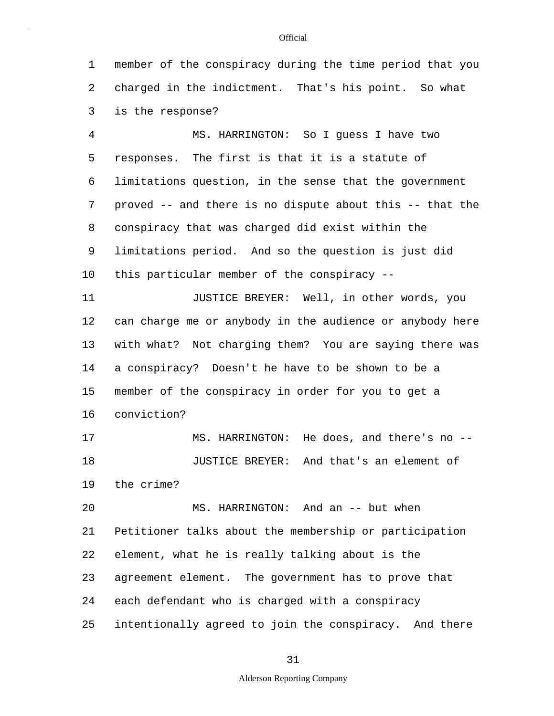1 member of the conspiracy during the time period that you 2 charged in the indictment. That's his point. So what 3 is the response?

5 10 4 MS. HARRINGTON: So I guess I have two responses. The first is that it is a statute of 6 limitations question, in the sense that the government 7 proved -- and there is no dispute about this -- that the 8 conspiracy that was charged did exist within the 9 limitations period. And so the question is just did this particular member of the conspiracy --

15 11 JUSTICE BREYER: Well, in other words, you 12 can charge me or anybody in the audience or anybody here 13 with what? Not charging them? You are saying there was 14 a conspiracy? Doesn't he have to be shown to be a member of the conspiracy in order for you to get a 16 conviction?

17 MS. HARRINGTON: He does, and there's no -- 18 JUSTICE BREYER: And that's an element of 19 the crime?

20 25 MS. HARRINGTON: And an -- but when 21 Petitioner talks about the membership or participation 22 element, what he is really talking about is the 23 agreement element. The government has to prove that 24 each defendant who is charged with a conspiracy intentionally agreed to join the conspiracy. And there

## 31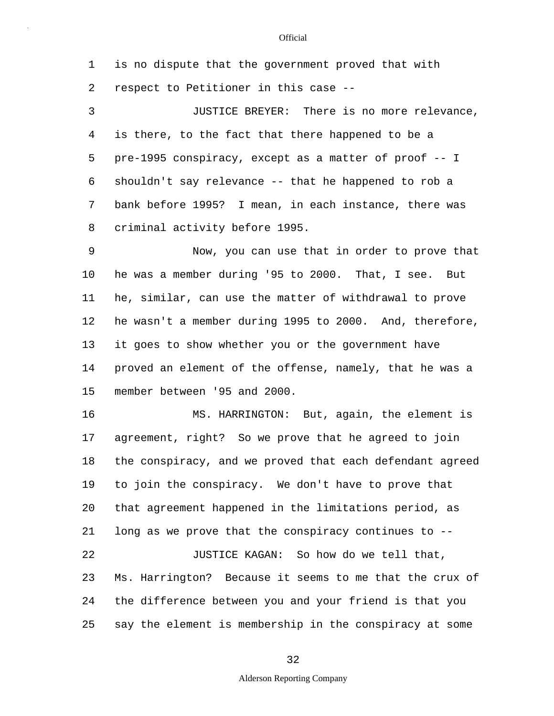1 is no dispute that the government proved that with 2 respect to Petitioner in this case --

5 3 JUSTICE BREYER: There is no more relevance, 4 is there, to the fact that there happened to be a pre-1995 conspiracy, except as a matter of proof -- I 6 shouldn't say relevance -- that he happened to rob a 7 bank before 1995? I mean, in each instance, there was 8 criminal activity before 1995.

10 15 9 Now, you can use that in order to prove that he was a member during '95 to 2000. That, I see. But 11 he, similar, can use the matter of withdrawal to prove 12 he wasn't a member during 1995 to 2000. And, therefore, 13 it goes to show whether you or the government have 14 proved an element of the offense, namely, that he was a member between '95 and 2000.

20 25 16 MS. HARRINGTON: But, again, the element is 17 agreement, right? So we prove that he agreed to join 18 the conspiracy, and we proved that each defendant agreed 19 to join the conspiracy. We don't have to prove that that agreement happened in the limitations period, as 21 long as we prove that the conspiracy continues to -- 22 JUSTICE KAGAN: So how do we tell that, 23 Ms. Harrington? Because it seems to me that the crux of 24 the difference between you and your friend is that you say the element is membership in the conspiracy at some

32

## Alderson Reporting Company

#### **Official**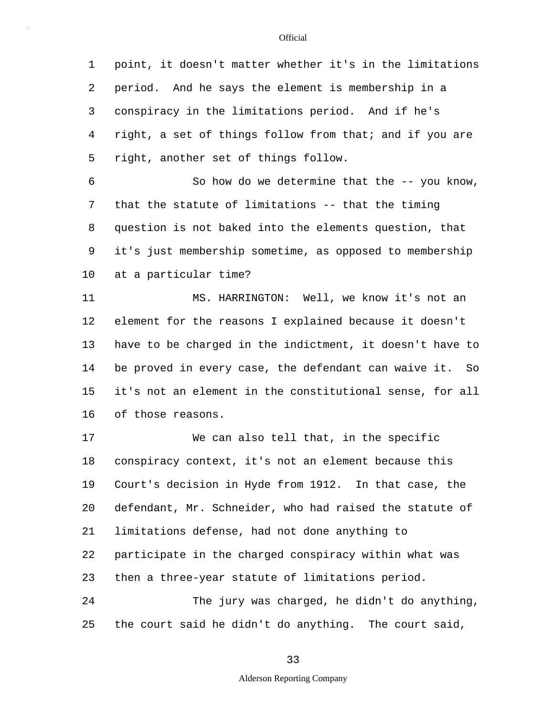5 1 point, it doesn't matter whether it's in the limitations 2 period. And he says the element is membership in a 3 conspiracy in the limitations period. And if he's 4 right, a set of things follow from that; and if you are right, another set of things follow.

10 6 So how do we determine that the -- you know, 7 that the statute of limitations -- that the timing 8 question is not baked into the elements question, that 9 it's just membership sometime, as opposed to membership at a particular time?

15 11 MS. HARRINGTON: Well, we know it's not an 12 element for the reasons I explained because it doesn't 13 have to be charged in the indictment, it doesn't have to 14 be proved in every case, the defendant can waive it. So it's not an element in the constitutional sense, for all 16 of those reasons.

20 25 17 We can also tell that, in the specific 18 conspiracy context, it's not an element because this 19 Court's decision in Hyde from 1912. In that case, the defendant, Mr. Schneider, who had raised the statute of 21 limitations defense, had not done anything to 22 participate in the charged conspiracy within what was 23 then a three-year statute of limitations period. 24 The jury was charged, he didn't do anything, the court said he didn't do anything. The court said,

33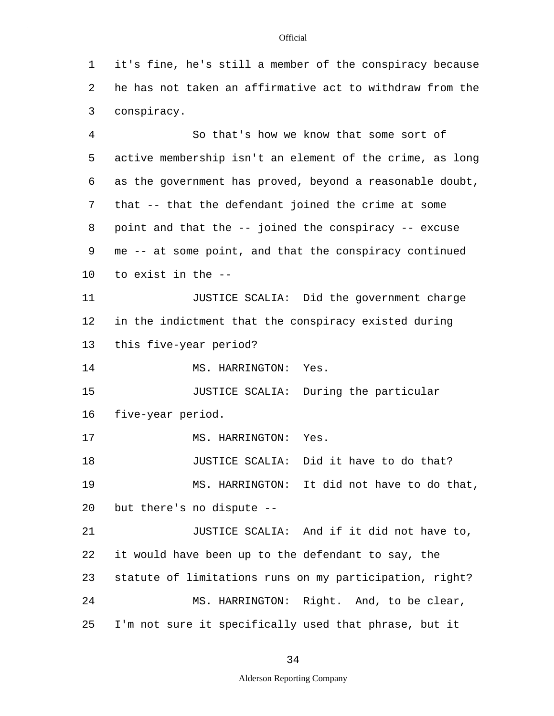1 it's fine, he's still a member of the conspiracy because 2 he has not taken an affirmative act to withdraw from the 3 conspiracy.

5 10 4 So that's how we know that some sort of active membership isn't an element of the crime, as long 6 as the government has proved, beyond a reasonable doubt, 7 that -- that the defendant joined the crime at some 8 point and that the -- joined the conspiracy -- excuse 9 me -- at some point, and that the conspiracy continued to exist in the -- 11 JUSTICE SCALIA: Did the government charge 12 in the indictment that the conspiracy existed during 13 this five-year period? 14 MS. HARRINGTON: Yes.

15 JUSTICE SCALIA: During the particular 16 five-year period.

17 MS. HARRINGTON: Yes.

20 18 JUSTICE SCALIA: Did it have to do that? 19 MS. HARRINGTON: It did not have to do that, but there's no dispute --

25 21 JUSTICE SCALIA: And if it did not have to, 22 it would have been up to the defendant to say, the 23 statute of limitations runs on my participation, right? 24 MS. HARRINGTON: Right. And, to be clear, I'm not sure it specifically used that phrase, but it

34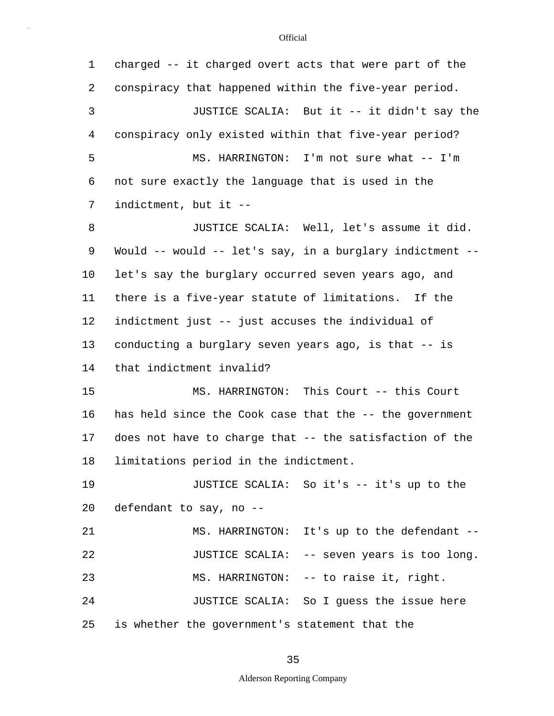| $\mathbf 1$  | charged -- it charged overt acts that were part of the   |
|--------------|----------------------------------------------------------|
| 2            | conspiracy that happened within the five-year period.    |
| $\mathsf{3}$ | JUSTICE SCALIA: But it -- it didn't say the              |
| 4            | conspiracy only existed within that five-year period?    |
| 5            | MS. HARRINGTON: I'm not sure what -- I'm                 |
| 6            | not sure exactly the language that is used in the        |
| 7            | indictment, but it --                                    |
| 8            | JUSTICE SCALIA: Well, let's assume it did.               |
| 9            | Would -- would -- let's say, in a burglary indictment -- |
| 10           | let's say the burglary occurred seven years ago, and     |
| 11           | there is a five-year statute of limitations. If the      |
| 12           | indictment just -- just accuses the individual of        |
| 13           | conducting a burglary seven years ago, is that -- is     |
| 14           | that indictment invalid?                                 |
| 15           | MS. HARRINGTON: This Court -- this Court                 |
| 16           | has held since the Cook case that the -- the government  |
| 17           | does not have to charge that -- the satisfaction of the  |
| 18           | limitations period in the indictment.                    |
| 19           | JUSTICE SCALIA: So it's -- it's up to the                |
| 20           | defendant to say, no --                                  |
| 21           | MS. HARRINGTON: It's up to the defendant --              |
| 22           | JUSTICE SCALIA: -- seven years is too long.              |
| 23           | MS. HARRINGTON: -- to raise it, right.                   |
| 24           | JUSTICE SCALIA: So I guess the issue here                |
| 25           | is whether the government's statement that the           |

35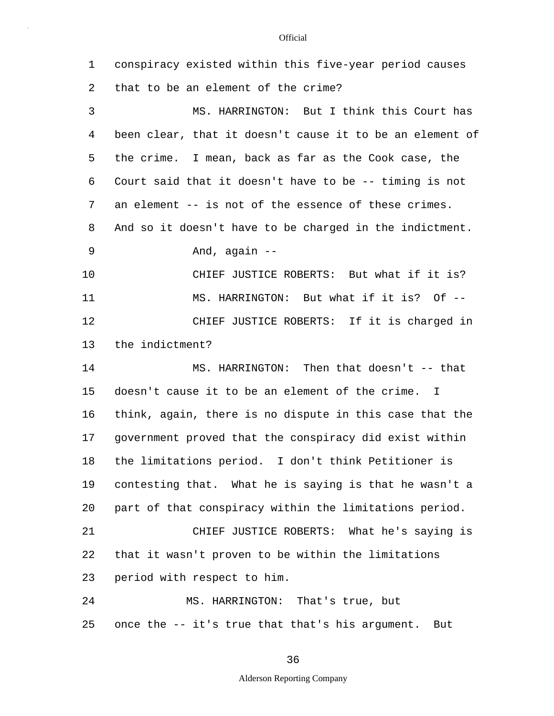| 1  | conspiracy existed within this five-year period causes          |
|----|-----------------------------------------------------------------|
| 2  | that to be an element of the crime?                             |
| 3  | MS. HARRINGTON: But I think this Court has                      |
| 4  | been clear, that it doesn't cause it to be an element of        |
| 5  | the crime. I mean, back as far as the Cook case, the            |
| 6  | Court said that it doesn't have to be -- timing is not          |
| 7  | an element -- is not of the essence of these crimes.            |
| 8  | And so it doesn't have to be charged in the indictment.         |
| 9  | And, again --                                                   |
| 10 | CHIEF JUSTICE ROBERTS: But what if it is?                       |
| 11 | MS. HARRINGTON: But what if it is? Of --                        |
| 12 | CHIEF JUSTICE ROBERTS: If it is charged in                      |
| 13 | the indictment?                                                 |
| 14 | MS. HARRINGTON: Then that doesn't -- that                       |
| 15 | doesn't cause it to be an element of the crime.<br>$\mathbf{I}$ |
| 16 | think, again, there is no dispute in this case that the         |
| 17 | government proved that the conspiracy did exist within          |
| 18 | the limitations period. I don't think Petitioner is             |
| 19 | contesting that. What he is saying is that he wasn't a          |
| 20 | part of that conspiracy within the limitations period.          |
| 21 | CHIEF JUSTICE ROBERTS: What he's saying is                      |
| 22 | that it wasn't proven to be within the limitations              |
| 23 | period with respect to him.                                     |
| 24 | MS. HARRINGTON: That's true, but                                |
| 25 | once the -- it's true that that's his argument. But             |

36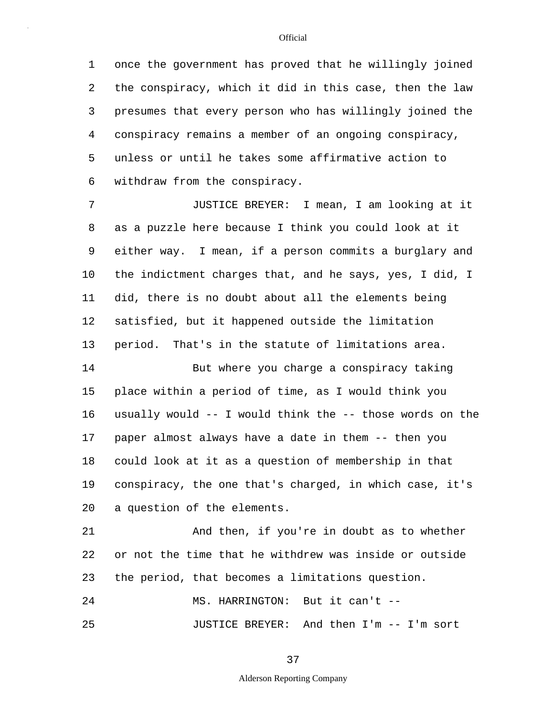5 1 once the government has proved that he willingly joined 2 the conspiracy, which it did in this case, then the law 3 presumes that every person who has willingly joined the 4 conspiracy remains a member of an ongoing conspiracy, unless or until he takes some affirmative action to 6 withdraw from the conspiracy.

10 7 JUSTICE BREYER: I mean, I am looking at it 8 as a puzzle here because I think you could look at it 9 either way. I mean, if a person commits a burglary and the indictment charges that, and he says, yes, I did, I 11 did, there is no doubt about all the elements being 12 satisfied, but it happened outside the limitation 13 period. That's in the statute of limitations area.

15 20 14 But where you charge a conspiracy taking place within a period of time, as I would think you 16 usually would -- I would think the -- those words on the 17 paper almost always have a date in them -- then you 18 could look at it as a question of membership in that 19 conspiracy, the one that's charged, in which case, it's a question of the elements.

21 And then, if you're in doubt as to whether 22 or not the time that he withdrew was inside or outside 23 the period, that becomes a limitations question.

25 24 MS. HARRINGTON: But it can't -- JUSTICE BREYER: And then I'm -- I'm sort

37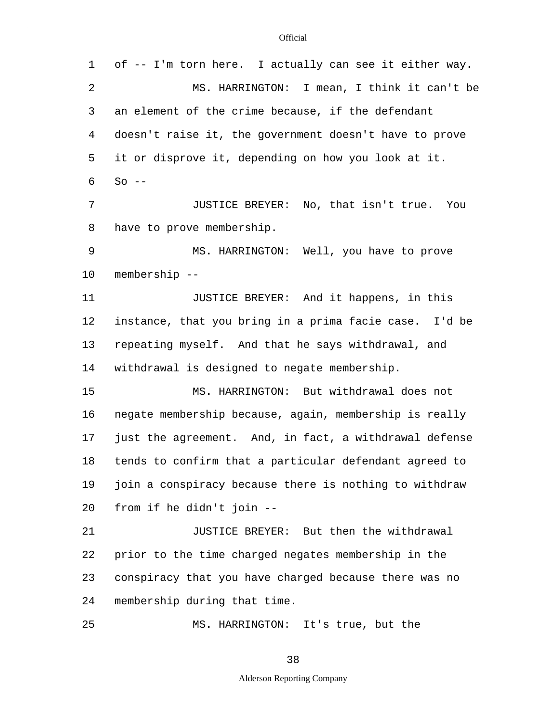5 10 15 20 25 1 of -- I'm torn here. I actually can see it either way. 2 MS. HARRINGTON: I mean, I think it can't be 3 an element of the crime because, if the defendant 4 doesn't raise it, the government doesn't have to prove it or disprove it, depending on how you look at it.  $6$  So  $-$ 7 JUSTICE BREYER: No, that isn't true. You 8 have to prove membership. 9 MS. HARRINGTON: Well, you have to prove membership -- 11 JUSTICE BREYER: And it happens, in this 12 instance, that you bring in a prima facie case. I'd be 13 repeating myself. And that he says withdrawal, and 14 withdrawal is designed to negate membership. MS. HARRINGTON: But withdrawal does not 16 negate membership because, again, membership is really 17 just the agreement. And, in fact, a withdrawal defense 18 tends to confirm that a particular defendant agreed to 19 join a conspiracy because there is nothing to withdraw from if he didn't join -- 21 JUSTICE BREYER: But then the withdrawal 22 prior to the time charged negates membership in the 23 conspiracy that you have charged because there was no 24 membership during that time. MS. HARRINGTON: It's true, but the

38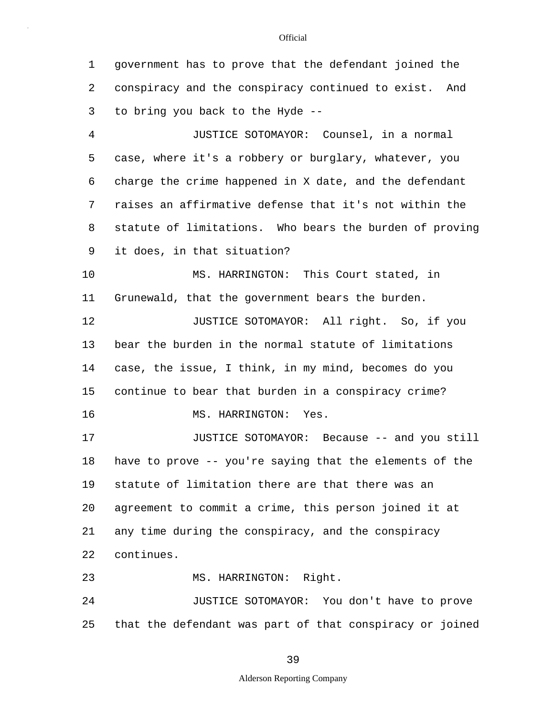5 10 15 20 25 1 government has to prove that the defendant joined the 2 conspiracy and the conspiracy continued to exist. And 3 to bring you back to the Hyde -- 4 JUSTICE SOTOMAYOR: Counsel, in a normal case, where it's a robbery or burglary, whatever, you 6 charge the crime happened in X date, and the defendant 7 raises an affirmative defense that it's not within the 8 statute of limitations. Who bears the burden of proving 9 it does, in that situation? MS. HARRINGTON: This Court stated, in 11 Grunewald, that the government bears the burden. 12 **JUSTICE SOTOMAYOR:** All right. So, if you 13 bear the burden in the normal statute of limitations 14 case, the issue, I think, in my mind, becomes do you continue to bear that burden in a conspiracy crime? 16 MS. HARRINGTON: Yes. 17 JUSTICE SOTOMAYOR: Because -- and you still 18 have to prove -- you're saying that the elements of the 19 statute of limitation there are that there was an agreement to commit a crime, this person joined it at 21 any time during the conspiracy, and the conspiracy 22 continues. 23 MS. HARRINGTON: Right. 24 JUSTICE SOTOMAYOR: You don't have to prove that the defendant was part of that conspiracy or joined

39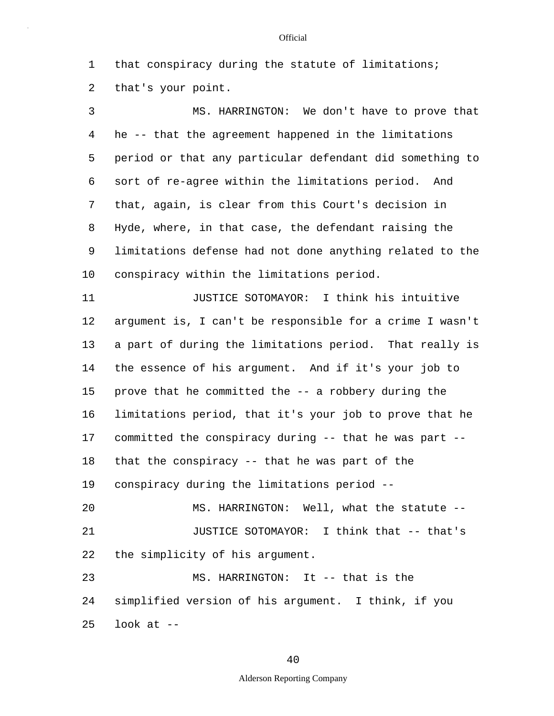1 that conspiracy during the statute of limitations; 2 that's your point.

5 10 3 MS. HARRINGTON: We don't have to prove that 4 he -- that the agreement happened in the limitations period or that any particular defendant did something to 6 sort of re-agree within the limitations period. And 7 that, again, is clear from this Court's decision in 8 Hyde, where, in that case, the defendant raising the 9 limitations defense had not done anything related to the conspiracy within the limitations period.

15 20 11 JUSTICE SOTOMAYOR: I think his intuitive 12 argument is, I can't be responsible for a crime I wasn't 13 a part of during the limitations period. That really is 14 the essence of his argument. And if it's your job to prove that he committed the -- a robbery during the 16 limitations period, that it's your job to prove that he 17 committed the conspiracy during -- that he was part -- 18 that the conspiracy -- that he was part of the 19 conspiracy during the limitations period -- MS. HARRINGTON: Well, what the statute --

21 JUSTICE SOTOMAYOR: I think that -- that's 22 the simplicity of his argument.

25 23 MS. HARRINGTON: It -- that is the 24 simplified version of his argument. I think, if you look at  $-$ 

# 40

## Alderson Reporting Company

#### **Official**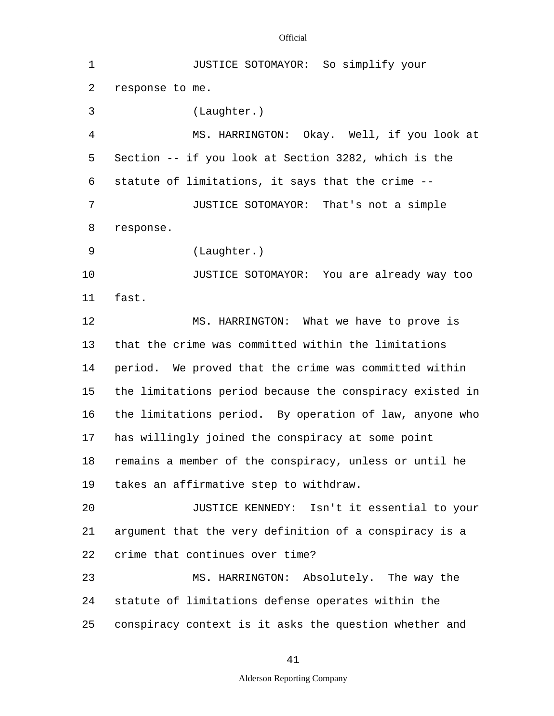| $\mathbf 1$ | JUSTICE SOTOMAYOR: So simplify your                      |  |  |  |  |  |  |
|-------------|----------------------------------------------------------|--|--|--|--|--|--|
| 2           | response to me.                                          |  |  |  |  |  |  |
| 3           | (Laughter.)                                              |  |  |  |  |  |  |
| 4           | MS. HARRINGTON: Okay. Well, if you look at               |  |  |  |  |  |  |
| 5           | Section -- if you look at Section 3282, which is the     |  |  |  |  |  |  |
| 6           | statute of limitations, it says that the crime --        |  |  |  |  |  |  |
| 7           | JUSTICE SOTOMAYOR: That's not a simple                   |  |  |  |  |  |  |
| 8           | response.                                                |  |  |  |  |  |  |
| 9           | (Laughter.)                                              |  |  |  |  |  |  |
| 10          | JUSTICE SOTOMAYOR: You are already way too               |  |  |  |  |  |  |
| 11          | fast.                                                    |  |  |  |  |  |  |
| 12          | MS. HARRINGTON: What we have to prove is                 |  |  |  |  |  |  |
| 13          | that the crime was committed within the limitations      |  |  |  |  |  |  |
| 14          | period. We proved that the crime was committed within    |  |  |  |  |  |  |
| 15          | the limitations period because the conspiracy existed in |  |  |  |  |  |  |
| 16          | the limitations period. By operation of law, anyone who  |  |  |  |  |  |  |
| 17          | has willingly joined the conspiracy at some point        |  |  |  |  |  |  |
| 18          | remains a member of the conspiracy, unless or until he   |  |  |  |  |  |  |
| 19          | takes an affirmative step to withdraw.                   |  |  |  |  |  |  |
| 20          | JUSTICE KENNEDY: Isn't it essential to your              |  |  |  |  |  |  |
| 21          | argument that the very definition of a conspiracy is a   |  |  |  |  |  |  |
| 22          | crime that continues over time?                          |  |  |  |  |  |  |
| 23          | MS. HARRINGTON: Absolutely. The way the                  |  |  |  |  |  |  |
| 24          | statute of limitations defense operates within the       |  |  |  |  |  |  |
| 25          | conspiracy context is it asks the question whether and   |  |  |  |  |  |  |

41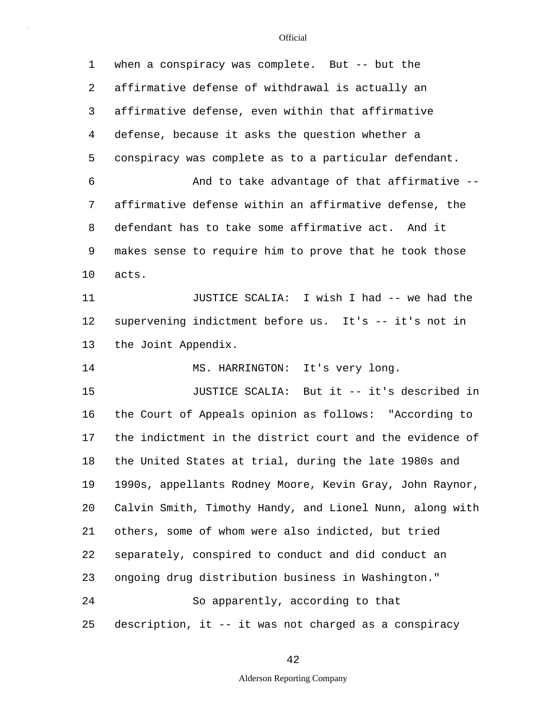| 1  | when a conspiracy was complete. But -- but the           |  |  |  |  |  |
|----|----------------------------------------------------------|--|--|--|--|--|
| 2  | affirmative defense of withdrawal is actually an         |  |  |  |  |  |
| 3  | affirmative defense, even within that affirmative        |  |  |  |  |  |
| 4  | defense, because it asks the question whether a          |  |  |  |  |  |
| 5  | conspiracy was complete as to a particular defendant.    |  |  |  |  |  |
| 6  | And to take advantage of that affirmative --             |  |  |  |  |  |
| 7  | affirmative defense within an affirmative defense, the   |  |  |  |  |  |
| 8  | defendant has to take some affirmative act. And it       |  |  |  |  |  |
| 9  | makes sense to require him to prove that he took those   |  |  |  |  |  |
| 10 | acts.                                                    |  |  |  |  |  |
| 11 | JUSTICE SCALIA: I wish I had -- we had the               |  |  |  |  |  |
| 12 | supervening indictment before us. It's -- it's not in    |  |  |  |  |  |
| 13 | the Joint Appendix.                                      |  |  |  |  |  |
| 14 | MS. HARRINGTON: It's very long.                          |  |  |  |  |  |
| 15 | JUSTICE SCALIA: But it -- it's described in              |  |  |  |  |  |
| 16 | the Court of Appeals opinion as follows: "According to   |  |  |  |  |  |
| 17 | the indictment in the district court and the evidence of |  |  |  |  |  |
| 18 | the United States at trial, during the late 1980s and    |  |  |  |  |  |
| 19 | 1990s, appellants Rodney Moore, Kevin Gray, John Raynor, |  |  |  |  |  |
| 20 | Calvin Smith, Timothy Handy, and Lionel Nunn, along with |  |  |  |  |  |
| 21 | others, some of whom were also indicted, but tried       |  |  |  |  |  |
| 22 | separately, conspired to conduct and did conduct an      |  |  |  |  |  |
| 23 | ongoing drug distribution business in Washington."       |  |  |  |  |  |
| 24 | So apparently, according to that                         |  |  |  |  |  |
| 25 | description, it -- it was not charged as a conspiracy    |  |  |  |  |  |

42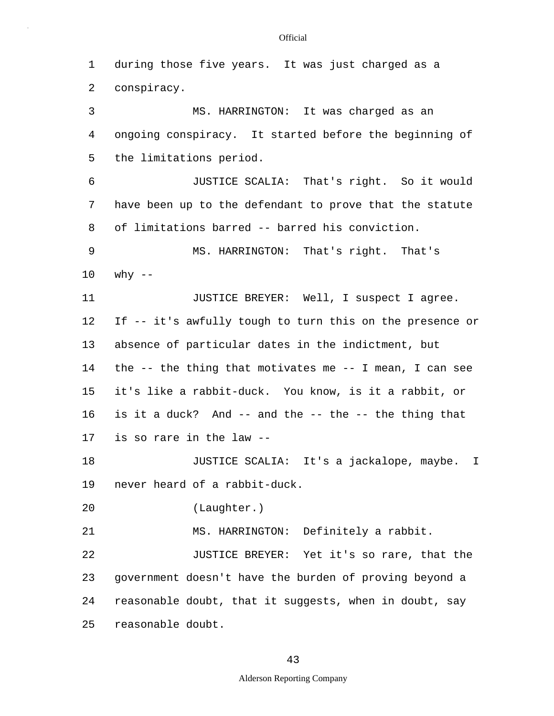5 10 15 20 25 1 during those five years. It was just charged as a 2 conspiracy. 3 MS. HARRINGTON: It was charged as an 4 ongoing conspiracy. It started before the beginning of the limitations period. 6 JUSTICE SCALIA: That's right. So it would 7 have been up to the defendant to prove that the statute 8 of limitations barred -- barred his conviction. 9 MS. HARRINGTON: That's right. That's why  $--$ 11 JUSTICE BREYER: Well, I suspect I agree. 12 If -- it's awfully tough to turn this on the presence or 13 absence of particular dates in the indictment, but 14 the -- the thing that motivates me -- I mean, I can see it's like a rabbit-duck. You know, is it a rabbit, or 16 is it a duck? And -- and the -- the -- the thing that 17 is so rare in the law -- 18 JUSTICE SCALIA: It's a jackalope, maybe. I 19 never heard of a rabbit-duck. (Laughter.) 21 MS. HARRINGTON: Definitely a rabbit. 22 JUSTICE BREYER: Yet it's so rare, that the 23 government doesn't have the burden of proving beyond a 24 reasonable doubt, that it suggests, when in doubt, say reasonable doubt.

## 43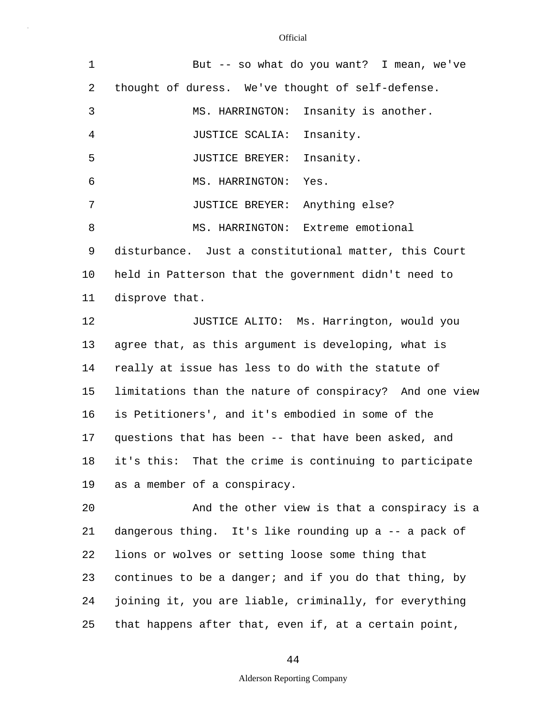| $\mathbf 1$ | But -- so what do you want? I mean, we've                 |  |  |  |  |  |
|-------------|-----------------------------------------------------------|--|--|--|--|--|
| 2           | thought of duress. We've thought of self-defense.         |  |  |  |  |  |
| 3           | MS. HARRINGTON: Insanity is another.                      |  |  |  |  |  |
| 4           | JUSTICE SCALIA: Insanity.                                 |  |  |  |  |  |
| 5           | JUSTICE BREYER: Insanity.                                 |  |  |  |  |  |
| 6           | MS. HARRINGTON:<br>Yes.                                   |  |  |  |  |  |
| 7           | JUSTICE BREYER: Anything else?                            |  |  |  |  |  |
| 8           | MS. HARRINGTON: Extreme emotional                         |  |  |  |  |  |
| 9           | disturbance. Just a constitutional matter, this Court     |  |  |  |  |  |
| 10          | held in Patterson that the government didn't need to      |  |  |  |  |  |
| 11          | disprove that.                                            |  |  |  |  |  |
| 12          | JUSTICE ALITO: Ms. Harrington, would you                  |  |  |  |  |  |
| 13          | agree that, as this argument is developing, what is       |  |  |  |  |  |
| 14          | really at issue has less to do with the statute of        |  |  |  |  |  |
| 15          | limitations than the nature of conspiracy? And one view   |  |  |  |  |  |
| 16          | is Petitioners', and it's embodied in some of the         |  |  |  |  |  |
| 17          | questions that has been -- that have been asked, and      |  |  |  |  |  |
|             | 18 it's this: That the crime is continuing to participate |  |  |  |  |  |
| 19          | as a member of a conspiracy.                              |  |  |  |  |  |
| 20          | And the other view is that a conspiracy is a              |  |  |  |  |  |
| 21          | dangerous thing. It's like rounding up a -- a pack of     |  |  |  |  |  |
| 22          | lions or wolves or setting loose some thing that          |  |  |  |  |  |
| 23          | continues to be a danger; and if you do that thing, by    |  |  |  |  |  |
| 24          | joining it, you are liable, criminally, for everything    |  |  |  |  |  |
| 25          | that happens after that, even if, at a certain point,     |  |  |  |  |  |

44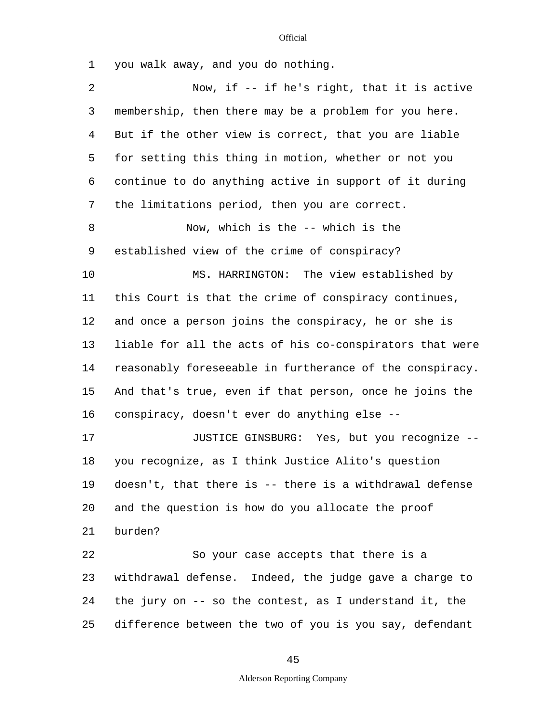1 you walk away, and you do nothing.

| $\overline{2}$ | Now, if $-$ if he's right, that it is active             |
|----------------|----------------------------------------------------------|
| 3              | membership, then there may be a problem for you here.    |
| 4              | But if the other view is correct, that you are liable    |
| 5              | for setting this thing in motion, whether or not you     |
| 6              | continue to do anything active in support of it during   |
| 7              | the limitations period, then you are correct.            |
| 8              | Now, which is the -- which is the                        |
| 9              | established view of the crime of conspiracy?             |
| 10             | MS. HARRINGTON: The view established by                  |
| 11             | this Court is that the crime of conspiracy continues,    |
| 12             | and once a person joins the conspiracy, he or she is     |
| 13             | liable for all the acts of his co-conspirators that were |
| 14             | reasonably foreseeable in furtherance of the conspiracy. |
| 15             | And that's true, even if that person, once he joins the  |
| 16             | conspiracy, doesn't ever do anything else --             |
| 17             | JUSTICE GINSBURG: Yes, but you recognize --              |
| 18             | you recognize, as I think Justice Alito's question       |
| 19             | doesn't, that there is -- there is a withdrawal defense  |
| 20             | and the question is how do you allocate the proof        |
| 21             | burden?                                                  |
| 22             | So your case accepts that there is a                     |
| 23             | withdrawal defense. Indeed, the judge gave a charge to   |
| 24             | the jury on -- so the contest, as I understand it, the   |
| 25             | difference between the two of you is you say, defendant  |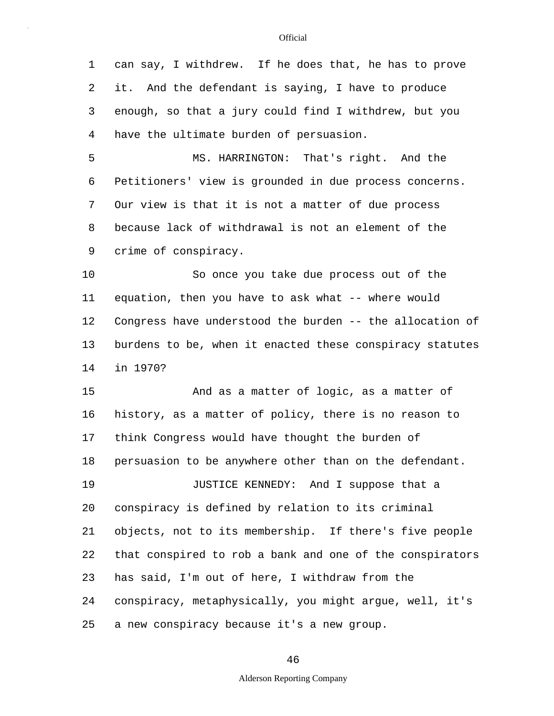5 10 15 20 1 can say, I withdrew. If he does that, he has to prove 2 it. And the defendant is saying, I have to produce 3 enough, so that a jury could find I withdrew, but you 4 have the ultimate burden of persuasion. MS. HARRINGTON: That's right. And the 6 Petitioners' view is grounded in due process concerns. 7 Our view is that it is not a matter of due process 8 because lack of withdrawal is not an element of the 9 crime of conspiracy. So once you take due process out of the 11 equation, then you have to ask what -- where would 12 Congress have understood the burden -- the allocation of 13 burdens to be, when it enacted these conspiracy statutes 14 in 1970? And as a matter of logic, as a matter of 16 history, as a matter of policy, there is no reason to 17 think Congress would have thought the burden of 18 persuasion to be anywhere other than on the defendant. 19 JUSTICE KENNEDY: And I suppose that a conspiracy is defined by relation to its criminal 21 objects, not to its membership. If there's five people 22 that conspired to rob a bank and one of the conspirators 23 has said, I'm out of here, I withdraw from the 24 conspiracy, metaphysically, you might argue, well, it's

25 a new conspiracy because it's a new group.

46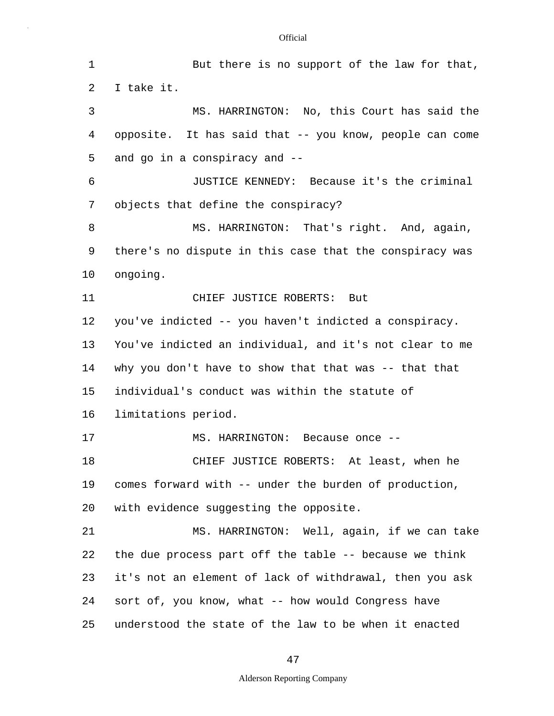5 10 15 20 25 1 But there is no support of the law for that, 2 I take it. 3 MS. HARRINGTON: No, this Court has said the 4 opposite. It has said that -- you know, people can come and go in a conspiracy and -- 6 JUSTICE KENNEDY: Because it's the criminal 7 objects that define the conspiracy? 8 MS. HARRINGTON: That's right. And, again, 9 there's no dispute in this case that the conspiracy was ongoing. 11 CHIEF JUSTICE ROBERTS: But 12 you've indicted -- you haven't indicted a conspiracy. 13 You've indicted an individual, and it's not clear to me 14 why you don't have to show that that was -- that that individual's conduct was within the statute of 16 limitations period. 17 MS. HARRINGTON: Because once --18 CHIEF JUSTICE ROBERTS: At least, when he 19 comes forward with -- under the burden of production, with evidence suggesting the opposite. 21 MS. HARRINGTON: Well, again, if we can take 22 the due process part off the table -- because we think 23 it's not an element of lack of withdrawal, then you ask 24 sort of, you know, what -- how would Congress have understood the state of the law to be when it enacted

## 47

## Alderson Reporting Company

#### **Official**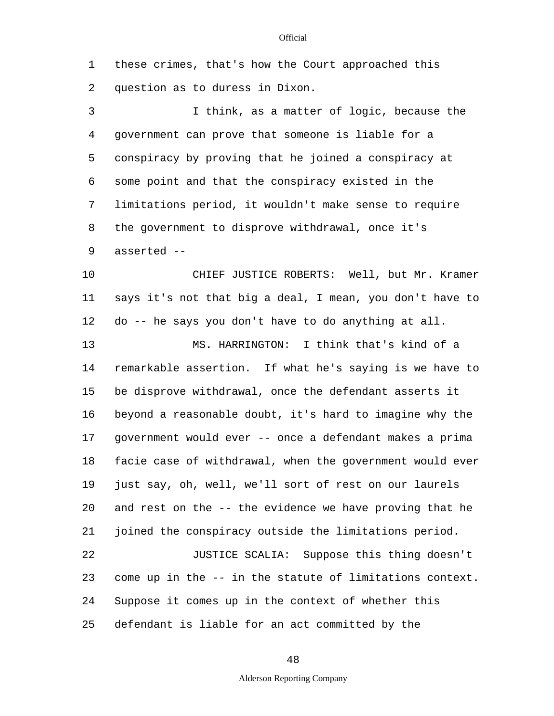1 these crimes, that's how the Court approached this 2 question as to duress in Dixon.

5 3 I think, as a matter of logic, because the 4 government can prove that someone is liable for a conspiracy by proving that he joined a conspiracy at 6 some point and that the conspiracy existed in the 7 limitations period, it wouldn't make sense to require 8 the government to disprove withdrawal, once it's 9 asserted --

10 CHIEF JUSTICE ROBERTS: Well, but Mr. Kramer 11 says it's not that big a deal, I mean, you don't have to 12 do -- he says you don't have to do anything at all.

15 20 13 MS. HARRINGTON: I think that's kind of a 14 remarkable assertion. If what he's saying is we have to be disprove withdrawal, once the defendant asserts it 16 beyond a reasonable doubt, it's hard to imagine why the 17 government would ever -- once a defendant makes a prima 18 facie case of withdrawal, when the government would ever 19 just say, oh, well, we'll sort of rest on our laurels and rest on the -- the evidence we have proving that he 21 joined the conspiracy outside the limitations period. 22 JUSTICE SCALIA: Suppose this thing doesn't 23 come up in the -- in the statute of limitations context. 24 Suppose it comes up in the context of whether this

25 defendant is liable for an act committed by the

48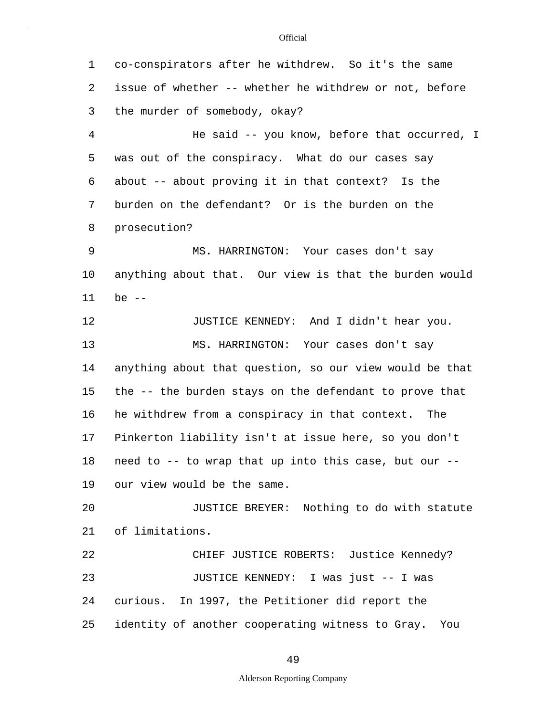5 10 15 20 25 1 co-conspirators after he withdrew. So it's the same 2 issue of whether -- whether he withdrew or not, before 3 the murder of somebody, okay? 4 He said -- you know, before that occurred, I was out of the conspiracy. What do our cases say 6 about -- about proving it in that context? Is the 7 burden on the defendant? Or is the burden on the 8 prosecution? 9 MS. HARRINGTON: Your cases don't say anything about that. Our view is that the burden would 11 be -- 12 JUSTICE KENNEDY: And I didn't hear you. 13 MS. HARRINGTON: Your cases don't say 14 anything about that question, so our view would be that the -- the burden stays on the defendant to prove that 16 he withdrew from a conspiracy in that context. The 17 Pinkerton liability isn't at issue here, so you don't 18 need to -- to wrap that up into this case, but our -- 19 our view would be the same. JUSTICE BREYER: Nothing to do with statute 21 of limitations. 22 CHIEF JUSTICE ROBERTS: Justice Kennedy? 23 JUSTICE KENNEDY: I was just -- I was 24 curious. In 1997, the Petitioner did report the identity of another cooperating witness to Gray. You

49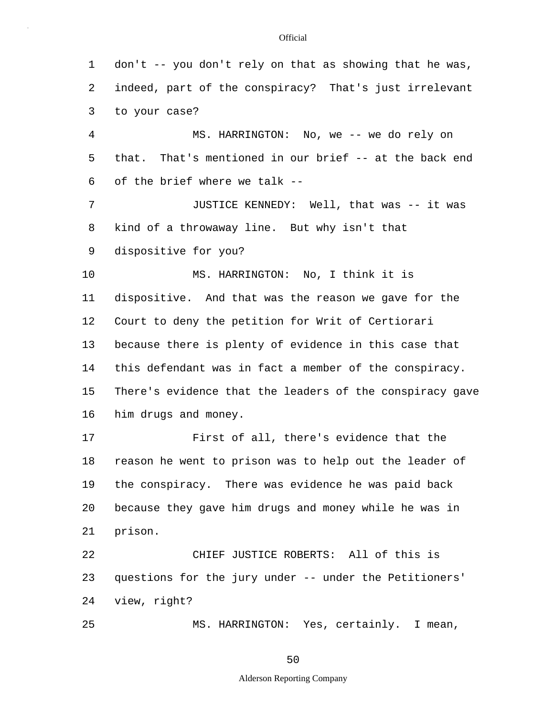| 1  | don't -- you don't rely on that as showing that he was,  |  |  |  |  |  |  |
|----|----------------------------------------------------------|--|--|--|--|--|--|
| 2  | indeed, part of the conspiracy? That's just irrelevant   |  |  |  |  |  |  |
| 3  | to your case?                                            |  |  |  |  |  |  |
| 4  | MS. HARRINGTON: No, we -- we do rely on                  |  |  |  |  |  |  |
| 5  | that. That's mentioned in our brief -- at the back end   |  |  |  |  |  |  |
| 6  | of the brief where we talk --                            |  |  |  |  |  |  |
| 7  | JUSTICE KENNEDY: Well, that was -- it was                |  |  |  |  |  |  |
| 8  | kind of a throwaway line. But why isn't that             |  |  |  |  |  |  |
| 9  | dispositive for you?                                     |  |  |  |  |  |  |
| 10 | MS. HARRINGTON: No, I think it is                        |  |  |  |  |  |  |
| 11 | dispositive. And that was the reason we gave for the     |  |  |  |  |  |  |
| 12 | Court to deny the petition for Writ of Certiorari        |  |  |  |  |  |  |
| 13 | because there is plenty of evidence in this case that    |  |  |  |  |  |  |
| 14 | this defendant was in fact a member of the conspiracy.   |  |  |  |  |  |  |
| 15 | There's evidence that the leaders of the conspiracy gave |  |  |  |  |  |  |
| 16 | him drugs and money.                                     |  |  |  |  |  |  |
| 17 | First of all, there's evidence that the                  |  |  |  |  |  |  |
| 18 | reason he went to prison was to help out the leader of   |  |  |  |  |  |  |
| 19 | the conspiracy. There was evidence he was paid back      |  |  |  |  |  |  |
| 20 | because they gave him drugs and money while he was in    |  |  |  |  |  |  |
| 21 | prison.                                                  |  |  |  |  |  |  |
| 22 | CHIEF JUSTICE ROBERTS: All of this is                    |  |  |  |  |  |  |
| 23 | questions for the jury under -- under the Petitioners'   |  |  |  |  |  |  |
| 24 | view, right?                                             |  |  |  |  |  |  |
| 25 | MS. HARRINGTON: Yes, certainly. I mean,                  |  |  |  |  |  |  |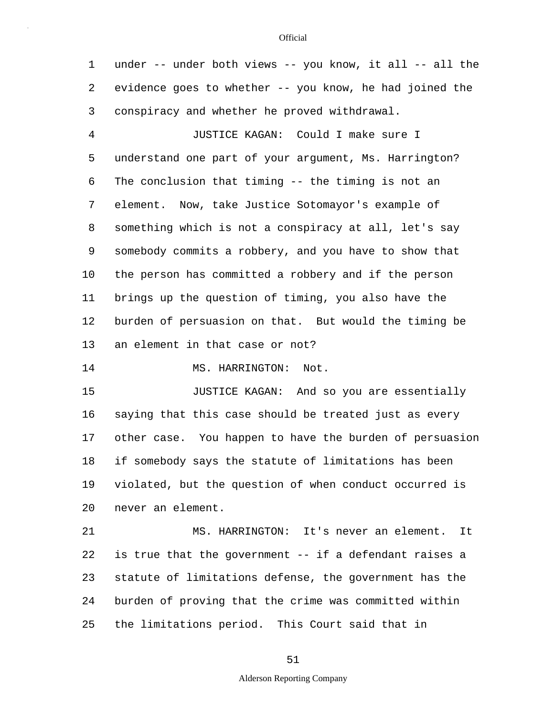1 under -- under both views -- you know, it all -- all the 2 evidence goes to whether -- you know, he had joined the 3 conspiracy and whether he proved withdrawal.

5 10 4 JUSTICE KAGAN: Could I make sure I understand one part of your argument, Ms. Harrington? 6 The conclusion that timing -- the timing is not an 7 element. Now, take Justice Sotomayor's example of 8 something which is not a conspiracy at all, let's say 9 somebody commits a robbery, and you have to show that the person has committed a robbery and if the person 11 brings up the question of timing, you also have the 12 burden of persuasion on that. But would the timing be 13 an element in that case or not?

14 MS. HARRINGTON: Not.

15 20 JUSTICE KAGAN: And so you are essentially 16 saying that this case should be treated just as every 17 other case. You happen to have the burden of persuasion 18 if somebody says the statute of limitations has been 19 violated, but the question of when conduct occurred is never an element.

25 21 MS. HARRINGTON: It's never an element. It 22 is true that the government -- if a defendant raises a 23 statute of limitations defense, the government has the 24 burden of proving that the crime was committed within the limitations period. This Court said that in

#### **Official**

51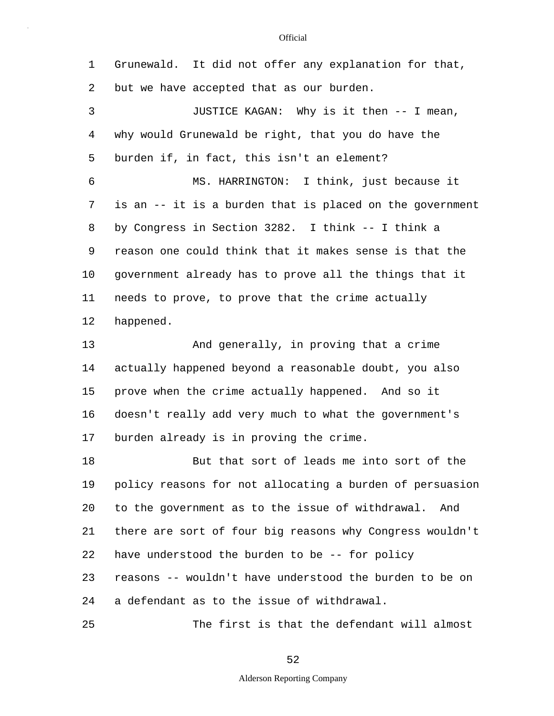5 10 15 20 25 1 Grunewald. It did not offer any explanation for that, 2 but we have accepted that as our burden. 3 JUSTICE KAGAN: Why is it then -- I mean, 4 why would Grunewald be right, that you do have the burden if, in fact, this isn't an element? 6 MS. HARRINGTON: I think, just because it 7 is an -- it is a burden that is placed on the government 8 by Congress in Section 3282. I think -- I think a 9 reason one could think that it makes sense is that the government already has to prove all the things that it 11 needs to prove, to prove that the crime actually 12 happened. 13 And generally, in proving that a crime 14 actually happened beyond a reasonable doubt, you also prove when the crime actually happened. And so it 16 doesn't really add very much to what the government's 17 burden already is in proving the crime. 18 But that sort of leads me into sort of the 19 policy reasons for not allocating a burden of persuasion to the government as to the issue of withdrawal. And 21 there are sort of four big reasons why Congress wouldn't 22 have understood the burden to be -- for policy 23 reasons -- wouldn't have understood the burden to be on 24 a defendant as to the issue of withdrawal. The first is that the defendant will almost

52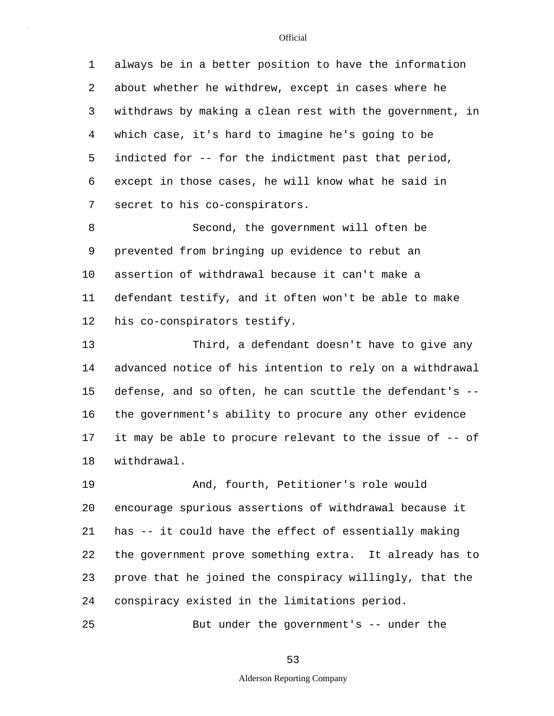5 1 always be in a better position to have the information 2 about whether he withdrew, except in cases where he 3 withdraws by making a clean rest with the government, in 4 which case, it's hard to imagine he's going to be indicted for -- for the indictment past that period, 6 except in those cases, he will know what he said in 7 secret to his co-conspirators.

10 8 Second, the government will often be 9 prevented from bringing up evidence to rebut an assertion of withdrawal because it can't make a 11 defendant testify, and it often won't be able to make 12 his co-conspirators testify.

15 13 Third, a defendant doesn't have to give any 14 advanced notice of his intention to rely on a withdrawal defense, and so often, he can scuttle the defendant's -- 16 the government's ability to procure any other evidence 17 it may be able to procure relevant to the issue of -- of 18 withdrawal.

20 19 And, fourth, Petitioner's role would encourage spurious assertions of withdrawal because it 21 has -- it could have the effect of essentially making 22 the government prove something extra. It already has to 23 prove that he joined the conspiracy willingly, that the 24 conspiracy existed in the limitations period.

But under the government's -- under the

25

53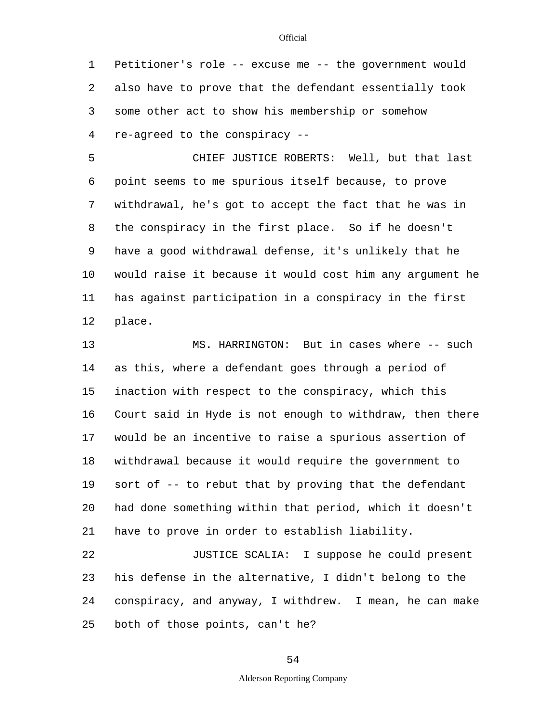1 Petitioner's role -- excuse me -- the government would 2 also have to prove that the defendant essentially took 3 some other act to show his membership or somehow 4 re-agreed to the conspiracy --

5 10 CHIEF JUSTICE ROBERTS: Well, but that last 6 point seems to me spurious itself because, to prove 7 withdrawal, he's got to accept the fact that he was in 8 the conspiracy in the first place. So if he doesn't 9 have a good withdrawal defense, it's unlikely that he would raise it because it would cost him any argument he 11 has against participation in a conspiracy in the first 12 place.

15 20 13 MS. HARRINGTON: But in cases where -- such 14 as this, where a defendant goes through a period of inaction with respect to the conspiracy, which this 16 Court said in Hyde is not enough to withdraw, then there 17 would be an incentive to raise a spurious assertion of 18 withdrawal because it would require the government to 19 sort of -- to rebut that by proving that the defendant had done something within that period, which it doesn't 21 have to prove in order to establish liability.

25 22 JUSTICE SCALIA: I suppose he could present 23 his defense in the alternative, I didn't belong to the 24 conspiracy, and anyway, I withdrew. I mean, he can make both of those points, can't he?

#### **Official**

54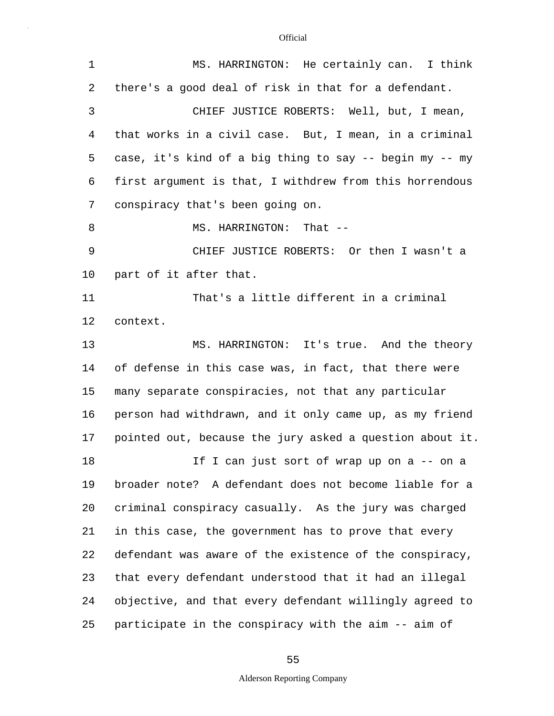| 1  | MS. HARRINGTON: He certainly can. I think                |  |  |  |  |  |  |
|----|----------------------------------------------------------|--|--|--|--|--|--|
| 2  | there's a good deal of risk in that for a defendant.     |  |  |  |  |  |  |
| 3  | CHIEF JUSTICE ROBERTS: Well, but, I mean,                |  |  |  |  |  |  |
| 4  | that works in a civil case. But, I mean, in a criminal   |  |  |  |  |  |  |
| 5  | case, it's kind of a big thing to say -- begin my -- my  |  |  |  |  |  |  |
| 6  | first argument is that, I withdrew from this horrendous  |  |  |  |  |  |  |
| 7  | conspiracy that's been going on.                         |  |  |  |  |  |  |
| 8  | MS. HARRINGTON: That --                                  |  |  |  |  |  |  |
| 9  | CHIEF JUSTICE ROBERTS: Or then I wasn't a                |  |  |  |  |  |  |
| 10 | part of it after that.                                   |  |  |  |  |  |  |
| 11 | That's a little different in a criminal                  |  |  |  |  |  |  |
| 12 | context.                                                 |  |  |  |  |  |  |
| 13 | MS. HARRINGTON: It's true. And the theory                |  |  |  |  |  |  |
| 14 | of defense in this case was, in fact, that there were    |  |  |  |  |  |  |
| 15 | many separate conspiracies, not that any particular      |  |  |  |  |  |  |
| 16 | person had withdrawn, and it only came up, as my friend  |  |  |  |  |  |  |
| 17 | pointed out, because the jury asked a question about it. |  |  |  |  |  |  |
| 18 | If I can just sort of wrap up on a -- on a               |  |  |  |  |  |  |
| 19 | broader note? A defendant does not become liable for a   |  |  |  |  |  |  |
| 20 | criminal conspiracy casually. As the jury was charged    |  |  |  |  |  |  |
| 21 | in this case, the government has to prove that every     |  |  |  |  |  |  |
| 22 | defendant was aware of the existence of the conspiracy,  |  |  |  |  |  |  |
| 23 | that every defendant understood that it had an illegal   |  |  |  |  |  |  |
| 24 | objective, and that every defendant willingly agreed to  |  |  |  |  |  |  |
| 25 | participate in the conspiracy with the aim -- aim of     |  |  |  |  |  |  |

# 55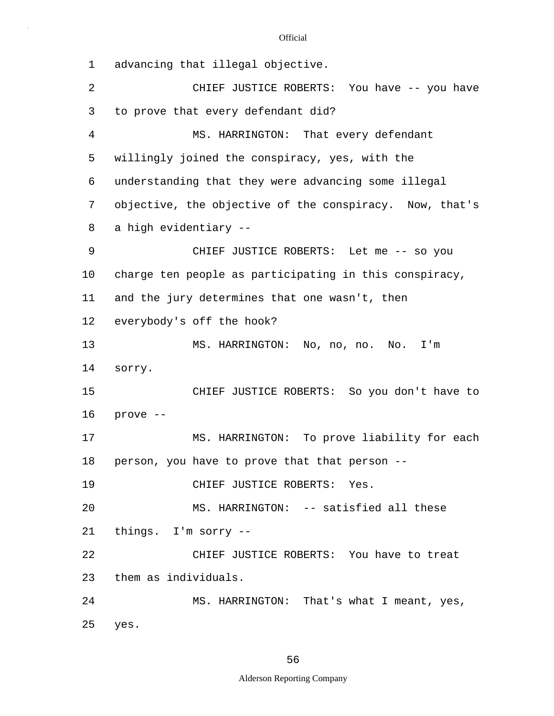| $\mathbf 1$    | advancing that illegal objective.                       |  |  |  |  |  |  |
|----------------|---------------------------------------------------------|--|--|--|--|--|--|
| $\overline{a}$ | CHIEF JUSTICE ROBERTS: You have -- you have             |  |  |  |  |  |  |
| 3              | to prove that every defendant did?                      |  |  |  |  |  |  |
| 4              | MS. HARRINGTON: That every defendant                    |  |  |  |  |  |  |
| 5              | willingly joined the conspiracy, yes, with the          |  |  |  |  |  |  |
| 6              | understanding that they were advancing some illegal     |  |  |  |  |  |  |
| 7              | objective, the objective of the conspiracy. Now, that's |  |  |  |  |  |  |
| 8              | a high evidentiary --                                   |  |  |  |  |  |  |
| 9              | CHIEF JUSTICE ROBERTS: Let me -- so you                 |  |  |  |  |  |  |
| 10             | charge ten people as participating in this conspiracy,  |  |  |  |  |  |  |
| 11             | and the jury determines that one wasn't, then           |  |  |  |  |  |  |
| 12             | everybody's off the hook?                               |  |  |  |  |  |  |
| 13             | MS. HARRINGTON: No, no, no. No. I'm                     |  |  |  |  |  |  |
| 14             | sorry.                                                  |  |  |  |  |  |  |
| 15             | CHIEF JUSTICE ROBERTS: So you don't have to             |  |  |  |  |  |  |
| 16             | prove --                                                |  |  |  |  |  |  |
| 17             | MS. HARRINGTON: To prove liability for each             |  |  |  |  |  |  |
| 18             | person, you have to prove that that person --           |  |  |  |  |  |  |
| 19             | CHIEF JUSTICE ROBERTS: Yes.                             |  |  |  |  |  |  |
| 20             | MS. HARRINGTON: -- satisfied all these                  |  |  |  |  |  |  |
| 21             | things. I'm sorry --                                    |  |  |  |  |  |  |
| 22             | CHIEF JUSTICE ROBERTS: You have to treat                |  |  |  |  |  |  |
| 23             | them as individuals.                                    |  |  |  |  |  |  |
| 24             | MS. HARRINGTON: That's what I meant, yes,               |  |  |  |  |  |  |
| 25             | yes.                                                    |  |  |  |  |  |  |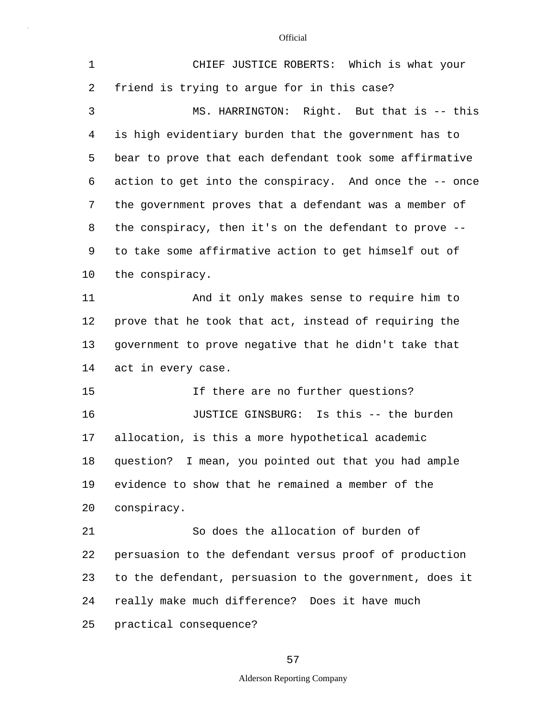| $\mathbf 1$ | CHIEF JUSTICE ROBERTS: Which is what your               |  |  |  |  |  |  |
|-------------|---------------------------------------------------------|--|--|--|--|--|--|
| 2           | friend is trying to argue for in this case?             |  |  |  |  |  |  |
| 3           | MS. HARRINGTON: Right. But that is -- this              |  |  |  |  |  |  |
| 4           | is high evidentiary burden that the government has to   |  |  |  |  |  |  |
| 5           | bear to prove that each defendant took some affirmative |  |  |  |  |  |  |
| 6           | action to get into the conspiracy. And once the -- once |  |  |  |  |  |  |
| 7           | the government proves that a defendant was a member of  |  |  |  |  |  |  |
| 8           | the conspiracy, then it's on the defendant to prove --  |  |  |  |  |  |  |
| 9           | to take some affirmative action to get himself out of   |  |  |  |  |  |  |
| 10          | the conspiracy.                                         |  |  |  |  |  |  |
| 11          | And it only makes sense to require him to               |  |  |  |  |  |  |
| 12          | prove that he took that act, instead of requiring the   |  |  |  |  |  |  |
| 13          | government to prove negative that he didn't take that   |  |  |  |  |  |  |
| 14          | act in every case.                                      |  |  |  |  |  |  |
| 15          | If there are no further questions?                      |  |  |  |  |  |  |
| 16          | JUSTICE GINSBURG: Is this -- the burden                 |  |  |  |  |  |  |
| 17          | allocation, is this a more hypothetical academic        |  |  |  |  |  |  |
| 18          | question? I mean, you pointed out that you had ample    |  |  |  |  |  |  |
| 19          | evidence to show that he remained a member of the       |  |  |  |  |  |  |
| 20          | conspiracy.                                             |  |  |  |  |  |  |
| 21          | So does the allocation of burden of                     |  |  |  |  |  |  |
| 22          | persuasion to the defendant versus proof of production  |  |  |  |  |  |  |
| 23          | to the defendant, persuasion to the government, does it |  |  |  |  |  |  |
| 24          | really make much difference? Does it have much          |  |  |  |  |  |  |
| 25          | practical consequence?                                  |  |  |  |  |  |  |

57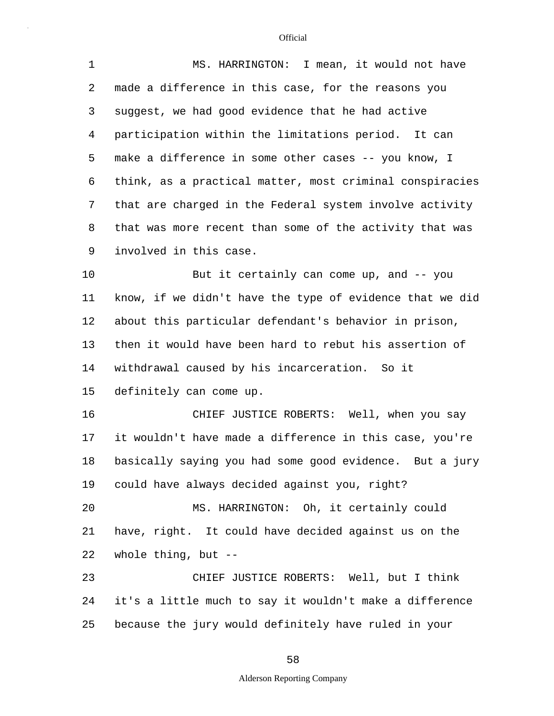| $\mathbf{1}$ | MS. HARRINGTON: I mean, it would not have                |  |  |  |  |  |
|--------------|----------------------------------------------------------|--|--|--|--|--|
| 2            | made a difference in this case, for the reasons you      |  |  |  |  |  |
| 3            | suggest, we had good evidence that he had active         |  |  |  |  |  |
| 4            | participation within the limitations period. It can      |  |  |  |  |  |
| 5            | make a difference in some other cases -- you know, I     |  |  |  |  |  |
| 6            | think, as a practical matter, most criminal conspiracies |  |  |  |  |  |
| 7            | that are charged in the Federal system involve activity  |  |  |  |  |  |
| 8            | that was more recent than some of the activity that was  |  |  |  |  |  |
| 9            | involved in this case.                                   |  |  |  |  |  |
| 10           | But it certainly can come up, and -- you                 |  |  |  |  |  |
| 11           | know, if we didn't have the type of evidence that we did |  |  |  |  |  |
| 12           | about this particular defendant's behavior in prison,    |  |  |  |  |  |
| 13           | then it would have been hard to rebut his assertion of   |  |  |  |  |  |
| 14           | withdrawal caused by his incarceration. So it            |  |  |  |  |  |
| 15           | definitely can come up.                                  |  |  |  |  |  |
| 16           | CHIEF JUSTICE ROBERTS: Well, when you say                |  |  |  |  |  |
| 17           | it wouldn't have made a difference in this case, you're  |  |  |  |  |  |
| 18           | basically saying you had some good evidence. But a jury  |  |  |  |  |  |
| 19           | could have always decided against you, right?            |  |  |  |  |  |
| 20           | MS. HARRINGTON: Oh, it certainly could                   |  |  |  |  |  |
| 21           | have, right. It could have decided against us on the     |  |  |  |  |  |
| 22           | whole thing, but $-$ -                                   |  |  |  |  |  |
| 23           | CHIEF JUSTICE ROBERTS: Well, but I think                 |  |  |  |  |  |
| 24           | it's a little much to say it wouldn't make a difference  |  |  |  |  |  |
| 25           | because the jury would definitely have ruled in your     |  |  |  |  |  |

58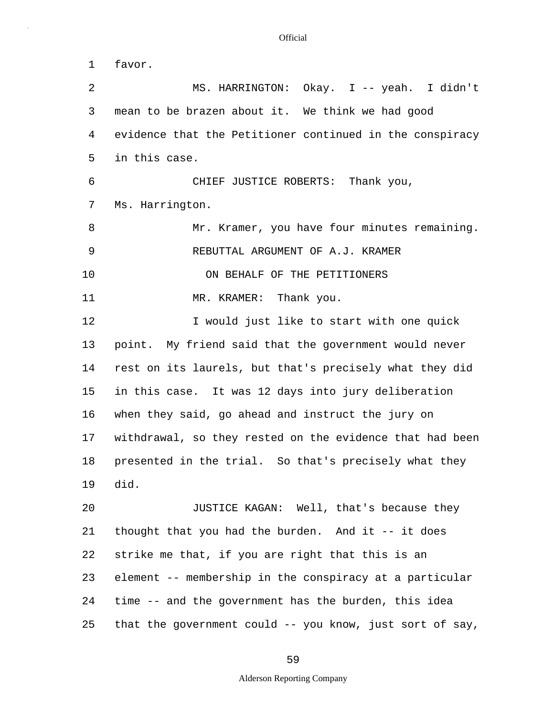5 10 15 20 1 favor. 2 MS. HARRINGTON: Okay. I -- yeah. I didn't 3 mean to be brazen about it. We think we had good 4 evidence that the Petitioner continued in the conspiracy in this case. 6 CHIEF JUSTICE ROBERTS: Thank you, 7 Ms. Harrington. 8 Mr. Kramer, you have four minutes remaining. 9 REBUTTAL ARGUMENT OF A.J. KRAMER ON BEHALF OF THE PETITIONERS 11 MR. KRAMER: Thank you. 12 **I** would just like to start with one quick 13 point. My friend said that the government would never 14 rest on its laurels, but that's precisely what they did in this case. It was 12 days into jury deliberation 16 when they said, go ahead and instruct the jury on 17 withdrawal, so they rested on the evidence that had been 18 presented in the trial. So that's precisely what they 19 did. JUSTICE KAGAN: Well, that's because they 21 thought that you had the burden. And it -- it does 22 strike me that, if you are right that this is an 23 element -- membership in the conspiracy at a particular

25 that the government could -- you know, just sort of say,

24 time -- and the government has the burden, this idea

59

## Alderson Reporting Company

#### **Official**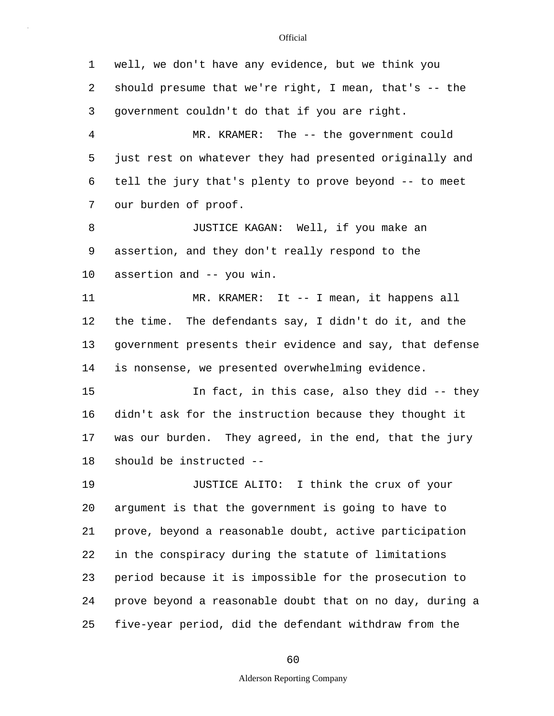5 10 15 20 25 1 well, we don't have any evidence, but we think you 2 should presume that we're right, I mean, that's -- the 3 government couldn't do that if you are right. 4 MR. KRAMER: The -- the government could just rest on whatever they had presented originally and 6 tell the jury that's plenty to prove beyond -- to meet 7 our burden of proof. 8 JUSTICE KAGAN: Well, if you make an 9 assertion, and they don't really respond to the assertion and -- you win. 11 MR. KRAMER: It -- I mean, it happens all 12 the time. The defendants say, I didn't do it, and the 13 government presents their evidence and say, that defense 14 is nonsense, we presented overwhelming evidence. In fact, in this case, also they did -- they 16 didn't ask for the instruction because they thought it 17 was our burden. They agreed, in the end, that the jury 18 should be instructed -- 19 JUSTICE ALITO: I think the crux of your argument is that the government is going to have to 21 prove, beyond a reasonable doubt, active participation 22 in the conspiracy during the statute of limitations 23 period because it is impossible for the prosecution to 24 prove beyond a reasonable doubt that on no day, during a five-year period, did the defendant withdraw from the

60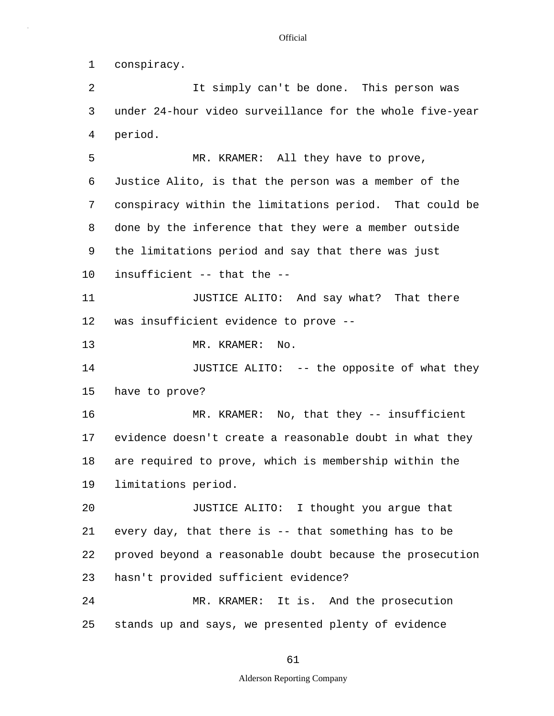1 conspiracy.

5 10 15 20 25 2 It simply can't be done. This person was 3 under 24-hour video surveillance for the whole five-year 4 period. MR. KRAMER: All they have to prove, 6 Justice Alito, is that the person was a member of the 7 conspiracy within the limitations period. That could be 8 done by the inference that they were a member outside 9 the limitations period and say that there was just insufficient -- that the -- 11 JUSTICE ALITO: And say what? That there 12 was insufficient evidence to prove -- 13 MR. KRAMER: No. 14 JUSTICE ALITO: -- the opposite of what they have to prove? 16 MR. KRAMER: No, that they -- insufficient 17 evidence doesn't create a reasonable doubt in what they 18 are required to prove, which is membership within the 19 limitations period. JUSTICE ALITO: I thought you argue that 21 every day, that there is -- that something has to be 22 proved beyond a reasonable doubt because the prosecution 23 hasn't provided sufficient evidence? 24 MR. KRAMER: It is. And the prosecution stands up and says, we presented plenty of evidence

61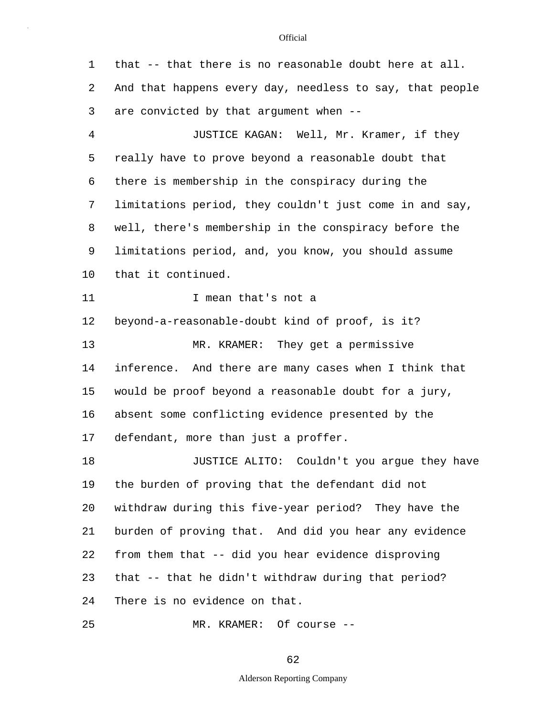5 10 15 20 25 1 that -- that there is no reasonable doubt here at all. 2 And that happens every day, needless to say, that people 3 are convicted by that argument when -- 4 JUSTICE KAGAN: Well, Mr. Kramer, if they really have to prove beyond a reasonable doubt that 6 there is membership in the conspiracy during the 7 limitations period, they couldn't just come in and say, 8 well, there's membership in the conspiracy before the 9 limitations period, and, you know, you should assume that it continued. 11 1 I mean that's not a 12 beyond-a-reasonable-doubt kind of proof, is it? 13 MR. KRAMER: They get a permissive 14 inference. And there are many cases when I think that would be proof beyond a reasonable doubt for a jury, 16 absent some conflicting evidence presented by the 17 defendant, more than just a proffer. 18 JUSTICE ALITO: Couldn't you argue they have 19 the burden of proving that the defendant did not withdraw during this five-year period? They have the 21 burden of proving that. And did you hear any evidence 22 from them that -- did you hear evidence disproving 23 that -- that he didn't withdraw during that period? 24 There is no evidence on that. MR. KRAMER: Of course --

62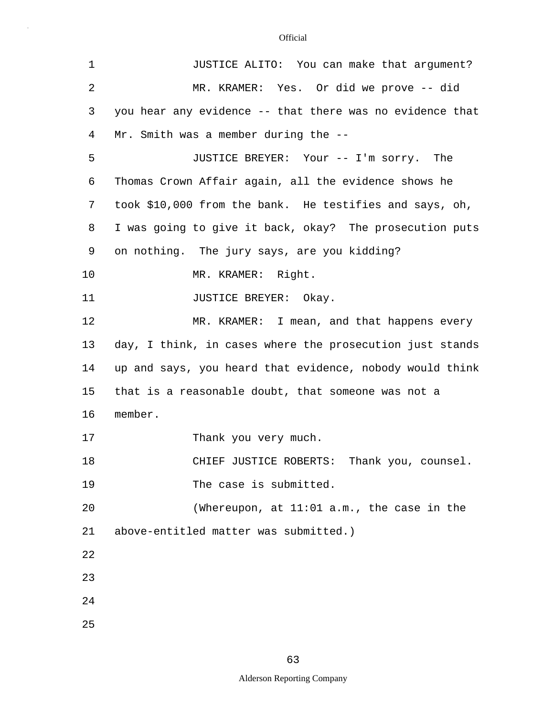| $\mathbf 1$    | JUSTICE ALITO: You can make that argument?               |  |  |  |  |  |  |
|----------------|----------------------------------------------------------|--|--|--|--|--|--|
| $\overline{2}$ | MR. KRAMER: Yes. Or did we prove -- did                  |  |  |  |  |  |  |
| 3              | you hear any evidence -- that there was no evidence that |  |  |  |  |  |  |
| 4              | Mr. Smith was a member during the --                     |  |  |  |  |  |  |
| 5              | JUSTICE BREYER: Your -- I'm sorry. The                   |  |  |  |  |  |  |
| 6              | Thomas Crown Affair again, all the evidence shows he     |  |  |  |  |  |  |
| 7              | took \$10,000 from the bank. He testifies and says, oh,  |  |  |  |  |  |  |
| 8              | I was going to give it back, okay? The prosecution puts  |  |  |  |  |  |  |
| 9              | on nothing. The jury says, are you kidding?              |  |  |  |  |  |  |
| 10             | MR. KRAMER: Right.                                       |  |  |  |  |  |  |
| 11             | JUSTICE BREYER: Okay.                                    |  |  |  |  |  |  |
| 12             | MR. KRAMER: I mean, and that happens every               |  |  |  |  |  |  |
| 13             | day, I think, in cases where the prosecution just stands |  |  |  |  |  |  |
| 14             | up and says, you heard that evidence, nobody would think |  |  |  |  |  |  |
| 15             | that is a reasonable doubt, that someone was not a       |  |  |  |  |  |  |
| 16             | member.                                                  |  |  |  |  |  |  |
| 17             | Thank you very much.                                     |  |  |  |  |  |  |
| 18             | CHIEF JUSTICE ROBERTS: Thank you, counsel.               |  |  |  |  |  |  |
| 19             | The case is submitted.                                   |  |  |  |  |  |  |
| 20             | (Whereupon, at $11:01$ a.m., the case in the             |  |  |  |  |  |  |
| 21             | above-entitled matter was submitted.)                    |  |  |  |  |  |  |
| 22             |                                                          |  |  |  |  |  |  |
| 23             |                                                          |  |  |  |  |  |  |
| 24             |                                                          |  |  |  |  |  |  |
| 25             |                                                          |  |  |  |  |  |  |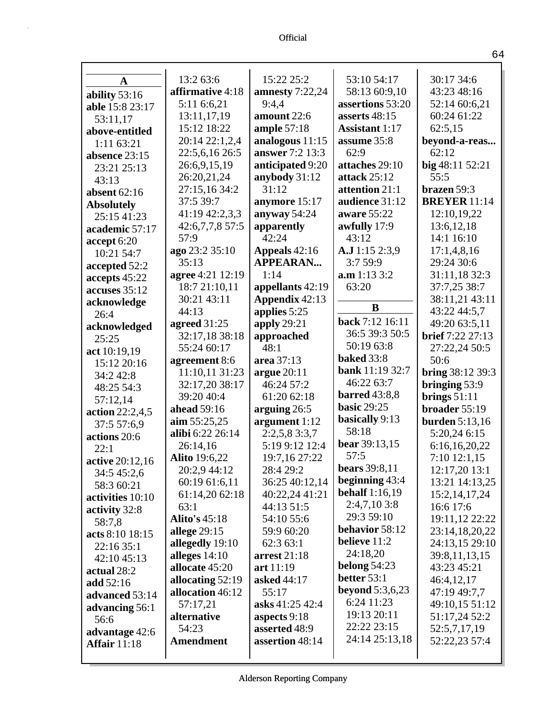| A                   | 13:2 63:6            | 15:22 25:2        | 53:10 54:17           | 30:17 34:6            |
|---------------------|----------------------|-------------------|-----------------------|-----------------------|
| ability 53:16       | affirmative 4:18     | amnesty $7:22,24$ | 58:13 60:9,10         | 43:23 48:16           |
| able 15:8 23:17     | 5:11 6:6,21          | 9:4,4             | assertions 53:20      | 52:14 60:6,21         |
| 53:11,17            | 13:11,17,19          | amount 22:6       | asserts 48:15         | 60:24 61:22           |
| above-entitled      | 15:12 18:22          | ample $57:18$     | <b>Assistant</b> 1:17 | 62:5,15               |
| 1:11 63:21          | 20:14 22:1,2,4       | analogous $11:15$ | assume 35:8           | beyond-a-reas         |
| absence 23:15       | 22:5,6,16 26:5       | answer 7:2 13:3   | 62:9                  | 62:12                 |
| 23:21 25:13         | 26:6,9,15,19         | anticipated 9:20  | attaches 29:10        | big 48:11 52:21       |
| 43:13               | 26:20,21,24          | anybody 31:12     | attack 25:12          | 55:5                  |
| absent $62:16$      | 27:15,16 34:2        | 31:12             | attention 21:1        | brazen 59:3           |
| <b>Absolutely</b>   | 37:5 39:7            | anymore 15:17     | audience 31:12        | <b>BREYER</b> 11:14   |
| 25:15 41:23         | 41:19 42:2,3,3       | anyway 54:24      | aware 55:22           | 12:10,19,22           |
| academic 57:17      | 42:6,7,7,8 57:5      | apparently        | awfully 17:9          | 13:6, 12, 18          |
| accept 6:20         | 57:9                 | 42:24             | 43:12                 | 14:1 16:10            |
| 10:21 54:7          | ago 23:2 35:10       | Appeals 42:16     | A.J 1:15 2:3,9        | 17:1,4,8,16           |
| accepted 52:2       | 35:13                | <b>APPEARAN</b>   | 3:759:9               | 29:24 30:6            |
| accepts 45:22       | agree 4:21 12:19     | 1:14              | a.m 1:13 3:2          | 31:11,18 32:3         |
| accuses 35:12       | 18:7 21:10,11        | appellants 42:19  | 63:20                 | 37:7,25 38:7          |
| acknowledge         | 30:21 43:11          | Appendix 42:13    |                       | 38:11,21 43:11        |
| 26:4                | 44:13                | applies 5:25      | B                     | 43:22 44:5,7          |
| acknowledged        | agreed $31:25$       | apply 29:21       | back 7:12 16:11       | 49:20 63:5,11         |
| 25:25               | 32:17,18 38:18       | approached        | 36:5 39:3 50:5        | brief 7:22 27:13      |
| act 10:19,19        | 55:24 60:17          | 48:1              | 50:19 63:8            | 27:22,24 50:5         |
| 15:12 20:16         | agreement 8:6        | area 37:13        | <b>baked</b> 33:8     | 50:6                  |
| 34:2 42:8           | 11:10,11 31:23       | argue $20:11$     | bank 11:19 32:7       | bring 38:12 39:3      |
| 48:25 54:3          | 32:17,20 38:17       | 46:24 57:2        | 46:22 63:7            | bringing 53:9         |
| 57:12,14            | 39:20 40:4           | 61:20 62:18       | <b>barred</b> 43:8,8  | brings $51:11$        |
| action 22:2,4,5     | ahead 59:16          | arguing $26:5$    | <b>basic 29:25</b>    | broader 55:19         |
| 37:5 57:6,9         | $\lim 55:25,25$      | argument 1:12     | basically 9:13        | <b>burden</b> 5:13,16 |
| actions 20:6        | alibi 6:22 26:14     | 2:2,5,83:3,7      | 58:18                 | 5:20,24 6:15          |
| 22:1                | 26:14,16             | 5:19 9:12 12:4    | bear 39:13,15         | 6:16,16,20,22         |
| active 20:12,16     | <b>Alito</b> 19:6,22 | 19:7,16 27:22     | 57:5                  | $7:10$ 12:1,15        |
| 34:5 45:2,6         | 20:2,9 44:12         | 28:4 29:2         | <b>bears</b> 39:8,11  | 12:17,20 13:1         |
| 58:3 60:21          | 60:19 61:6,11        | 36:25 40:12,14    | beginning 43:4        | 13:21 14:13,25        |
| activities 10:10    | 61:14,20 62:18       | 40:22,24 41:21    | <b>behalf</b> 1:16,19 | 15:2, 14, 17, 24      |
| activity 32:8       | 63:1                 | 44:13 51:5        | 2:4,7,10 3:8          | 16:6 17:6             |
| 58:7,8              | <b>Alito's 45:18</b> | 54:10 55:6        | 29:3 59:10            | 19:11,12 22:22        |
| acts 8:10 18:15     | allege $29:15$       | 59:9 60:20        | behavior 58:12        | 23:14,18,20,22        |
| 22:16 35:1          | allegedly 19:10      | 62:3 63:1         | believe 11:2          | 24:13,15 29:10        |
| 42:10 45:13         | alleges 14:10        | arrest 21:18      | 24:18,20              | 39:8,11,13,15         |
| actual 28:2         | allocate 45:20       | art 11:19         | belong $54:23$        | 43:23 45:21           |
| add $52:16$         | allocating $52:19$   | asked 44:17       | better $53:1$         | 46:4,12,17            |
| advanced 53:14      | allocation 46:12     | 55:17             | beyond $5:3,6,23$     | 47:19 49:7,7          |
| advancing 56:1      | 57:17,21             | asks 41:25 42:4   | 6:24 11:23            | 49:10,15 51:12        |
| 56:6                | alternative          | aspects 9:18      | 19:13 20:11           | 51:17,24 52:2         |
| advantage 42:6      | 54:23                | asserted 48:9     | 22:22 23:15           | 52:5,7,17,19          |
| <b>Affair</b> 11:18 | <b>Amendment</b>     | assertion 48:14   | 24:14 25:13,18        | 52:22,23 57:4         |
|                     |                      |                   |                       |                       |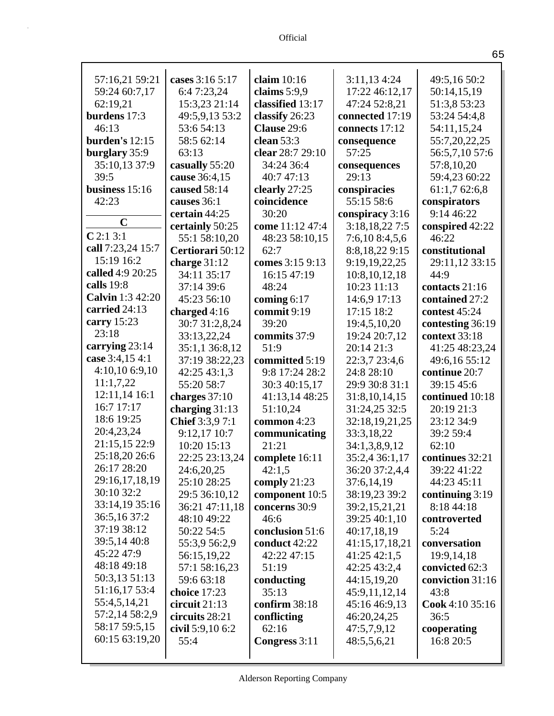| 57:16,21 59:21    | cases 3:16 5:17   | claim $10:16$    | 3:11,134:24     | 49:5,16 50:2      |
|-------------------|-------------------|------------------|-----------------|-------------------|
| 59:24 60:7,17     | 6:47:23,24        | claims $5:9.9$   | 17:22 46:12,17  | 50:14,15,19       |
| 62:19,21          | 15:3,23 21:14     | classified 13:17 | 47:24 52:8,21   | 51:3,8 53:23      |
| burdens 17:3      | 49:5,9,13 53:2    | classify 26:23   | connected 17:19 | 53:24 54:4,8      |
| 46:13             | 53:6 54:13        | Clause 29:6      | connects 17:12  | 54:11,15,24       |
| burden's $12:15$  | 58:5 62:14        | clean 53:3       | consequence     | 55:7,20,22,25     |
| burglary 35:9     | 63:13             | clear 28:7 29:10 | 57:25           | 56:5,7,10 57:6    |
| 35:10,13 37:9     | casually 55:20    | 34:24 36:4       | consequences    | 57:8,10,20        |
| 39:5              | cause 36:4,15     | 40:7 47:13       | 29:13           | 59:4,23 60:22     |
| business 15:16    | caused 58:14      | clearly 27:25    | conspiracies    | 61:1,7 62:6,8     |
| 42:23             | causes 36:1       | coincidence      | 55:15 58:6      | conspirators      |
|                   | certain 44:25     | 30:20            | conspiracy 3:16 | 9:14 46:22        |
| $\mathbf C$       | certainly 50:25   | come 11:12 47:4  | 3:18,18,22 7:5  | conspired 42:22   |
| C2:13:1           | 55:1 58:10,20     | 48:23 58:10,15   | 7:6,10 8:4,5,6  | 46:22             |
| call 7:23,24 15:7 | Certiorari 50:12  | 62:7             | 8:8,18,229:15   | constitutional    |
| 15:19 16:2        | charge $31:12$    | comes 3:15 9:13  | 9:19,19,22,25   | 29:11,12 33:15    |
| called 4:9 20:25  | 34:11 35:17       | 16:15 47:19      | 10:8,10,12,18   | 44:9              |
| calls 19:8        | 37:14 39:6        | 48:24            | 10:23 11:13     | contacts 21:16    |
| Calvin 1:3 42:20  | 45:23 56:10       | coming $6:17$    | 14:6,9 17:13    | contained 27:2    |
| carried 24:13     | charged $4:16$    | commit 9:19      | 17:15 18:2      | contest 45:24     |
| carry 15:23       | 30:7 31:2,8,24    | 39:20            | 19:4,5,10,20    | contesting 36:19  |
| 23:18             | 33:13,22,24       | commits 37:9     | 19:24 20:7,12   | context 33:18     |
| carrying 23:14    | 35:1,1 36:8,12    | 51:9             | 20:14 21:3      | 41:25 48:23,24    |
| case 3:4,15 4:1   | 37:19 38:22,23    | committed 5:19   | 22:3,7 23:4,6   | 49:6,16 55:12     |
| 4:10,106:9,10     | 42:25 43:1,3      | 9:8 17:24 28:2   | 24:8 28:10      | continue 20:7     |
| 11:1,7,22         | 55:20 58:7        | 30:3 40:15,17    | 29:9 30:8 31:1  | 39:15 45:6        |
| 12:11,14 16:1     | charges $37:10$   | 41:13,14 48:25   | 31:8,10,14,15   | continued 10:18   |
| 16:7 17:17        | charging $31:13$  | 51:10,24         | 31:24,25 32:5   | 20:19 21:3        |
| 18:6 19:25        | Chief 3:3,9 7:1   | common 4:23      | 32:18,19,21,25  | 23:12 34:9        |
| 20:4,23,24        | 9:12,17 10:7      | communicating    | 33:3,18,22      | 39:2 59:4         |
| 21:15,15 22:9     | 10:20 15:13       | 21:21            | 34:1,3,8,9,12   | 62:10             |
| 25:18,20 26:6     | 22:25 23:13,24    | complete 16:11   | 35:2,4 36:1,17  | continues 32:21   |
| 26:17 28:20       | 24:6,20,25        | 42:1,5           | 36:20 37:2,4,4  | 39:22 41:22       |
| 29:16,17,18,19    | 25:10 28:25       | comply $21:23$   | 37:6,14,19      | 44:23 45:11       |
| 30:10 32:2        | 29:5 36:10,12     | component 10:5   | 38:19,23 39:2   | continuing $3:19$ |
| 33:14,19 35:16    | 36:21 47:11,18    | concerns 30:9    | 39:2,15,21,21   | 8:18 44:18        |
| 36:5,16 37:2      | 48:10 49:22       | 46:6             | 39:25 40:1,10   | controverted      |
| 37:19 38:12       | 50:22 54:5        | conclusion 51:6  | 40:17,18,19     | 5:24              |
| 39:5,14 40:8      | 55:3,9 56:2,9     | conduct 42:22    | 41:15,17,18,21  | conversation      |
| 45:22 47:9        | 56:15,19,22       | 42:22 47:15      | $41:25\,42:1,5$ | 19:9,14,18        |
| 48:18 49:18       | 57:1 58:16,23     | 51:19            | 42:25 43:2,4    | convicted 62:3    |
| 50:3,13 51:13     | 59:6 63:18        | conducting       | 44:15,19,20     | conviction 31:16  |
| 51:16,17 53:4     | choice 17:23      | 35:13            | 45:9,11,12,14   | 43:8              |
| 55:4,5,14,21      | circuit $21:13$   | confirm 38:18    | 45:16 46:9,13   | Cook 4:10 35:16   |
| 57:2,14 58:2,9    | circuits 28:21    | conflicting      | 46:20,24,25     | 36:5              |
| 58:17 59:5,15     | civil $5:9,106:2$ | 62:16            | 47:5,7,9,12     | cooperating       |
| 60:15 63:19,20    | 55:4              | Congress 3:11    | 48:5,5,6,21     | 16:8 20:5         |
|                   |                   |                  |                 |                   |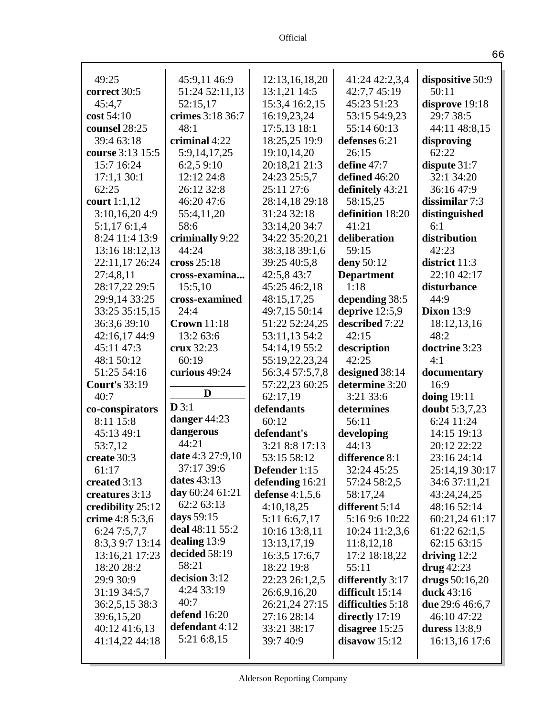| 49:25                            | 45:9,11 46:9                 | 12:13,16,18,20                  | 41:24 42:2,3,4<br>42:7,7 45:19        | dispositive 50:9                      |
|----------------------------------|------------------------------|---------------------------------|---------------------------------------|---------------------------------------|
| correct 30:5                     | 51:24 52:11,13               | 13:1,21 14:5                    |                                       | 50:11                                 |
| 45:4,7                           | 52:15,17<br>crimes 3:18 36:7 | 15:3,4 16:2,15                  | 45:23 51:23                           | disprove 19:18<br>29:7 38:5           |
| cost 54:10                       |                              | 16:19,23,24                     | 53:15 54:9,23                         |                                       |
| counsel 28:25                    | 48:1<br>criminal 4:22        | 17:5,13 18:1                    | 55:14 60:13                           | 44:11 48:8,15                         |
| 39:4 63:18                       |                              | 18:25,25 19:9                   | defenses 6:21<br>26:15                | disproving<br>62:22                   |
| course 3:13 15:5<br>15:7 16:24   | 5:9,14,17,25                 | 19:10,14,20<br>20:18,21 21:3    | define 47:7                           |                                       |
| 17:1,130:1                       | 6:2,59:10<br>12:12 24:8      |                                 | defined 46:20                         | dispute $31:7$<br>32:1 34:20          |
| 62:25                            | 26:12 32:8                   | 24:23 25:5,7<br>25:11 27:6      |                                       |                                       |
|                                  |                              |                                 | definitely 43:21                      | 36:16 47:9                            |
| court $1:1,12$                   | 46:20 47:6                   | 28:14,18 29:18                  | 58:15,25                              | dissimilar 7:3                        |
| 3:10,16,204:9                    | 55:4,11,20<br>58:6           | 31:24 32:18                     | definition 18:20<br>41:21             | distinguished                         |
| 5:1,176:1,4                      |                              | 33:14,20 34:7<br>34:22 35:20,21 |                                       | 6:1                                   |
| 8:24 11:4 13:9                   | criminally 9:22<br>44:24     |                                 | deliberation<br>59:15                 | distribution<br>42:23                 |
| 13:16 18:12,13<br>22:11,17 26:24 | cross $25:18$                | 38:3,18 39:1,6<br>39:25 40:5,8  | deny 50:12                            | district 11:3                         |
|                                  |                              |                                 |                                       | 22:10 42:17                           |
| 27:4,8,11                        | cross-examina                | 42:5,8 43:7                     | <b>Department</b><br>1:18             |                                       |
| 28:17,22 29:5                    | 15:5,10<br>cross-examined    | 45:25 46:2,18                   |                                       | disturbance<br>44:9                   |
| 29:9,14 33:25<br>33:25 35:15,15  | 24:4                         | 48:15,17,25<br>49:7,15 50:14    | depending 38:5<br>deprive $12:5,9$    | <b>Dixon 13:9</b>                     |
| 36:3,6 39:10                     | <b>Crown</b> 11:18           | 51:22 52:24,25                  | described 7:22                        | 18:12,13,16                           |
| 42:16,17 44:9                    | 13:2 63:6                    | 53:11,13 54:2                   | 42:15                                 | 48:2                                  |
| 45:11 47:3                       | crux 32:23                   | 54:14,19 55:2                   | description                           | doctrine 3:23                         |
| 48:1 50:12                       | 60:19                        | 55:19,22,23,24                  | 42:25                                 | 4:1                                   |
|                                  |                              |                                 |                                       |                                       |
|                                  |                              |                                 |                                       |                                       |
| 51:25 54:16                      | curious 49:24                | 56:3,4 57:5,7,8                 | designed 38:14                        | documentary                           |
| <b>Court's 33:19</b>             | D                            | 57:22,23 60:25                  | determine 3:20                        | 16:9                                  |
| 40:7                             | D3:1                         | 62:17,19                        | 3:21 33:6                             | doing $19:11$                         |
| co-conspirators                  |                              | defendants                      | determines                            | doubt 5:3,7,23                        |
| 8:11 15:8                        | danger 44:23                 | 60:12                           | 56:11                                 | 6:24 11:24                            |
| 45:13 49:1                       | dangerous<br>44:21           | defendant's                     | developing                            | 14:15 19:13                           |
| 53:7,12                          |                              | 3:21 8:8 17:13                  | 44:13                                 | 20:12 22:22                           |
| create 30:3                      | date 4:3 27:9,10             | 53:15 58:12                     | difference 8:1                        | 23:16 24:14                           |
| 61:17                            | 37:17 39:6<br>dates 43:13    | Defender 1:15                   | 32:24 45:25                           | 25:14,19 30:17                        |
| created 3:13                     | day 60:24 61:21              | defending 16:21                 | 57:24 58:2,5                          | 34:6 37:11,21                         |
| creatures 3:13                   | 62:2 63:13                   | defense $4:1,5,6$               | 58:17,24                              | 43:24,24,25                           |
| credibility 25:12                | days $59:15$                 | 4:10,18,25                      | different 5:14                        | 48:16 52:14                           |
| crime 4:8 5:3,6                  | deal 48:11 55:2              | 5:11 6:6,7,17                   | 5:16 9:6 10:22                        | 60:21,24 61:17                        |
| 6:247:5,7,7                      | dealing $13:9$               | 10:16 13:8,11                   | 10:24 11:2,3,6                        | 61:22 62:1,5                          |
| 8:3,3 9:7 13:14                  | decided 58:19                | 13:13,17,19                     | 11:8,12,18                            | 62:15 63:15                           |
| 13:16,21 17:23                   | 58:21                        | 16:3,5 17:6,7                   | 17:2 18:18,22                         | driving $12:2$                        |
| 18:20 28:2                       | decision 3:12                | 18:22 19:8                      | 55:11                                 | $\frac{drug}{42:23}$                  |
| 29:9 30:9<br>31:19 34:5,7        | 4:24 33:19                   | 22:23 26:1,2,5                  | differently 3:17<br>difficult $15:14$ | drugs $50:16,20$<br><b>duck</b> 43:16 |
|                                  | 40:7                         | 26:6,9,16,20                    | difficulties 5:18                     | <b>due</b> 29:6 46:6,7                |
| 36:2,5,15 38:3                   | defend 16:20                 | 26:21,24 27:15<br>27:16 28:14   |                                       | 46:10 47:22                           |
| 39:6,15,20<br>40:12 41:6,13      | defendant 4:12               | 33:21 38:17                     | directly $17:19$<br>disagree 15:25    | duress $13:8,9$                       |
| 41:14,22 44:18                   | 5:21 6:8,15                  | 39:7 40:9                       | disavow 15:12                         | 16:13,16 17:6                         |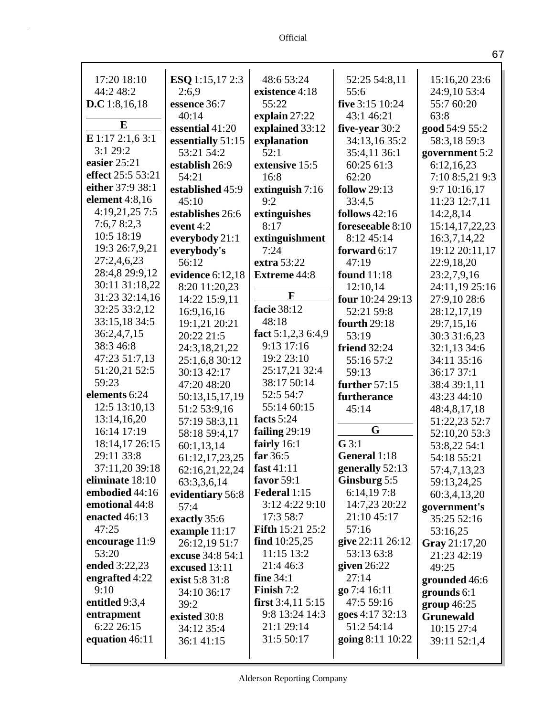| 17:20 18:10          | ESQ 1:15,17 2:3   | 48:6 53:24              | 52:25 54:8,11       | 15:16,20 23:6     |
|----------------------|-------------------|-------------------------|---------------------|-------------------|
| 44:2 48:2            | 2:6,9             | existence 4:18          | 55:6                | 24:9,10 53:4      |
| <b>D.C</b> 1:8,16,18 | essence 36:7      | 55:22                   | five 3:15 10:24     | 55:7 60:20        |
| E                    | 40:14             | explain 27:22           | 43:1 46:21          | 63:8              |
|                      | essential 41:20   | explained 33:12         | five-year 30:2      | good 54:9 55:2    |
| E 1:17 2:1,6 3:1     | essentially 51:15 | explanation             | 34:13,16 35:2       | 58:3,18 59:3      |
| 3:129:2              | 53:21 54:2        | 52:1                    | 35:4,11 36:1        | government 5:2    |
| easier 25:21         | establish 26:9    | extensive 15:5          | 60:25 61:3          | 6:12,16,23        |
| effect 25:5 53:21    | 54:21             | 16:8                    | 62:20               | 7:10 8:5,21 9:3   |
| either 37:9 38:1     | established 45:9  | extinguish $7:16$       | <b>follow</b> 29:13 | 9:7 10:16,17      |
| element 4:8,16       | 45:10             | 9:2                     | 33:4,5              | 11:23 12:7,11     |
| 4:19,21,25 7:5       | establishes 26:6  | extinguishes            | follows $42:16$     | 14:2,8,14         |
| 7:6,78:2,3           | event 4:2         | 8:17                    | foreseeable 8:10    | 15:14, 17, 22, 23 |
| 10:5 18:19           | everybody 21:1    | extinguishment          | 8:12 45:14          | 16:3,7,14,22      |
| 19:3 26:7,9,21       | everybody's       | 7:24                    | forward 6:17        | 19:12 20:11,17    |
| 27:2,4,6,23          | 56:12             | extra 53:22             | 47:19               | 22:9,18,20        |
| 28:4,8 29:9,12       | evidence 6:12,18  | <b>Extreme 44:8</b>     | found 11:18         | 23:2,7,9,16       |
| 30:11 31:18,22       | 8:20 11:20,23     | F                       | 12:10,14            | 24:11,19 25:16    |
| 31:23 32:14,16       | 14:22 15:9,11     |                         | four 10:24 29:13    | 27:9,10 28:6      |
| 32:25 33:2,12        | 16:9,16,16        | facie 38:12             | 52:21 59:8          | 28:12,17,19       |
| 33:15,18 34:5        | 19:1,21 20:21     | 48:18                   | fourth 29:18        | 29:7,15,16        |
| 36:2,4,7,15          | 20:22 21:5        | fact 5:1,2,3 6:4,9      | 53:19               | 30:3 31:6,23      |
| 38:3 46:8            | 24:3,18,21,22     | 9:13 17:16              | <b>friend</b> 32:24 | 32:1,13 34:6      |
| 47:23 51:7,13        | 25:1,6,8 30:12    | 19:2 23:10              | 55:16 57:2          | 34:11 35:16       |
| 51:20,21 52:5        | 30:13 42:17       | 25:17,21 32:4           | 59:13               | 36:17 37:1        |
| 59:23                | 47:20 48:20       | 38:17 50:14             | further 57:15       | 38:4 39:1,11      |
| elements 6:24        | 50:13,15,17,19    | 52:5 54:7               | furtherance         | 43:23 44:10       |
| 12:5 13:10,13        | 51:2 53:9,16      | 55:14 60:15             | 45:14               | 48:4,8,17,18      |
| 13:14,16,20          | 57:19 58:3,11     | facts 5:24              | G                   | 51:22,23 52:7     |
| 16:14 17:19          | 58:18 59:4,17     | failing 29:19           |                     | 52:10,20 53:3     |
| 18:14,17 26:15       | 60:1,13,14        | fairly $16:1$           | $G$ 3:1             | 53:8,22 54:1      |
| 29:11 33:8           | 61:12,17,23,25    | far 36:5                | General 1:18        | 54:18 55:21       |
| 37:11,20 39:18       | 62:16,21,22,24    | fast $41:11$            | generally 52:13     | 57:4,7,13,23      |
| eliminate 18:10      | 63:3,3,6,14       | favor 59:1              | Ginsburg 5:5        | 59:13,24,25       |
| embodied 44:16       | evidentiary 56:8  | Federal 1:15            | 6:14,197:8          | 60:3,4,13,20      |
| emotional 44:8       | 57:4              | 3:12 4:22 9:10          | 14:7,23 20:22       | government's      |
| enacted 46:13        | exactly 35:6      | 17:3 58:7               | 21:10 45:17         | 35:25 52:16       |
| 47:25                | example 11:17     | <b>Fifth 15:21 25:2</b> | 57:16               | 53:16,25          |
| encourage 11:9       | 26:12,19 51:7     | find $10:25,25$         | give 22:11 26:12    | Gray 21:17,20     |
| 53:20                | excuse 34:8 54:1  | $11:15$ 13:2            | 53:13 63:8          | 21:23 42:19       |
| ended 3:22,23        | excused 13:11     | 21:4 46:3               | given $26:22$       | 49:25             |
| engrafted 4:22       | exist 5:8 31:8    | fine $34:1$             | 27:14               | grounded 46:6     |
| 9:10                 | 34:10 36:17       | Finish 7:2              | go 7:4 16:11        | grounds $6:1$     |
| entitled 9:3,4       | 39:2              | first $3:4,11\,5:15$    | 47:5 59:16          | $group\ 46:25$    |
| entrapment           | existed 30:8      | 9:8 13:24 14:3          | goes 4:17 32:13     | <b>Grunewald</b>  |
| 6:22 26:15           | 34:12 35:4        | 21:1 29:14              | 51:2 54:14          | 10:15 27:4        |
| equation 46:11       | 36:141:15         | 31:5 50:17              | going 8:11 10:22    | 39:11 52:1,4      |
|                      |                   |                         |                     |                   |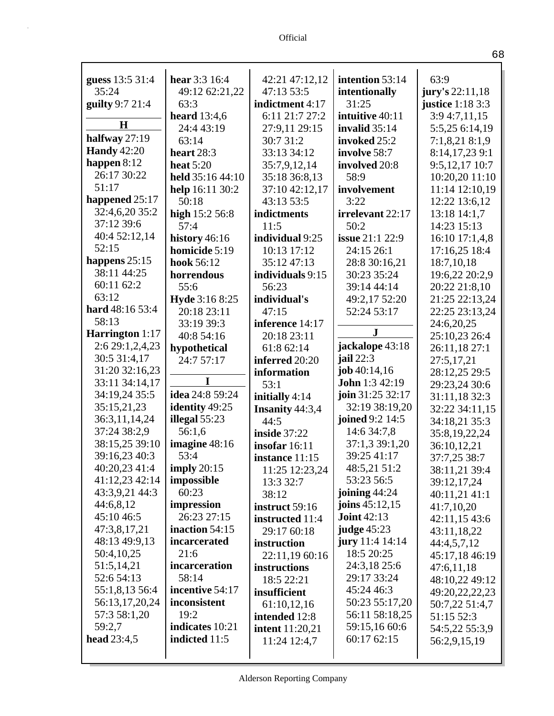| guess 13:5 31:4                 | hear $3:3$ 16:4       | 42:21 47:12,12                         | intention 53:14                | 63:9                          |
|---------------------------------|-----------------------|----------------------------------------|--------------------------------|-------------------------------|
| 35:24                           | 49:12 62:21,22        | 47:13 53:5                             | intentionally                  | jury's 22:11,18               |
| guilty 9:7 21:4                 | 63:3                  | indictment 4:17                        | 31:25                          | justice $1:183:3$             |
| H                               | <b>heard</b> 13:4,6   | 6:11 21:7 27:2                         | intuitive 40:11                | 3:9 4:7,11,15                 |
|                                 | 24:4 43:19            | 27:9,11 29:15                          | invalid $35:14$                | 5:5,25 6:14,19                |
| halfway 27:19                   | 63:14                 | 30:7 31:2                              | invoked 25:2                   | 7:1,8,21 8:1,9                |
| <b>Handy</b> 42:20              | heart $28:3$          | 33:13 34:12                            | involve 58:7                   | 8:14,17,23 9:1                |
| happen $8:12$                   | heat $5:20$           | 35:7,9,12,14                           | involved 20:8                  | 9:5,12,17 10:7                |
| 26:17 30:22                     | held 35:16 44:10      | 35:18 36:8,13                          | 58:9                           | 10:20,20 11:10                |
| 51:17                           | help 16:11 30:2       | 37:10 42:12,17                         | involvement                    | 11:14 12:10,19                |
| happened 25:17                  | 50:18                 | 43:13 53:5                             | 3:22                           | 12:22 13:6,12                 |
| 32:4,6,20 35:2                  | high $15:256:8$       | indictments                            | irrelevant 22:17               | 13:18 14:1,7                  |
| 37:12 39:6                      | 57:4                  | 11:5                                   | 50:2                           | 14:23 15:13                   |
| 40:4 52:12,14                   | history $46:16$       | individual 9:25                        | <b>issue</b> 21:1 22:9         | 16:10 17:1,4,8                |
| 52:15                           | homicide 5:19         | 10:13 17:12                            | 24:15 26:1                     | 17:16,25 18:4                 |
| happens $25:15$<br>38:11 44:25  | hook 56:12            | 35:12 47:13                            | 28:8 30:16,21                  | 18:7,10,18                    |
|                                 | horrendous            | individuals 9:15                       | 30:23 35:24                    | 19:6,22 20:2,9                |
| 60:11 62:2                      | 55:6                  | 56:23                                  | 39:14 44:14                    | 20:22 21:8,10                 |
| 63:12<br>hard 48:16 53:4        | <b>Hyde</b> 3:16 8:25 | individual's                           | 49:2,17 52:20                  | 21:25 22:13,24                |
| 58:13                           | 20:18 23:11           | 47:15                                  | 52:24 53:17                    | 22:25 23:13,24                |
|                                 | 33:19 39:3            | inference 14:17                        | $\mathbf{J}$                   | 24:6,20,25                    |
| <b>Harrington</b> 1:17          | 40:8 54:16            | 20:18 23:11                            |                                | 25:10,23 26:4                 |
| 2:6 29:1,2,4,23<br>30:5 31:4,17 | hypothetical          | 61:8 62:14                             | jackalope 43:18<br>jail $22:3$ | 26:11,18 27:1                 |
| 31:20 32:16,23                  | 24:7 57:17            | inferred 20:20                         | job $40:14,16$                 | 27:5,17,21                    |
| 33:11 34:14,17                  | I                     | information                            | John 1:3 42:19                 | 28:12,25 29:5                 |
| 34:19,24 35:5                   | idea 24:8 59:24       | 53:1                                   | join 31:25 32:17               | 29:23,24 30:6                 |
| 35:15,21,23                     | identity 49:25        | initially $4:14$                       | 32:19 38:19,20                 | 31:11,18 32:3                 |
| 36:3,11,14,24                   | illegal $55:23$       | <b>Insanity 44:3,4</b>                 | joined 9:2 14:5                | 32:22 34:11,15                |
| 37:24 38:2,9                    | 56:1,6                | 44:5                                   | 14:6 34:7,8                    | 34:18,21 35:3                 |
| 38:15,25 39:10                  | imagine 48:16         | <b>inside</b> 37:22<br>insofar $16:11$ | 37:1,3 39:1,20                 | 35:8,19,22,24                 |
| 39:16,23 40:3                   | 53:4                  |                                        | 39:25 41:17                    | 36:10,12,21                   |
| 40:20,23 41:4                   | imply $20:15$         | instance 11:15<br>11:25 12:23,24       | 48:5,21 51:2                   | 37:7,25 38:7<br>38:11,21 39:4 |
| 41:12,23 42:14                  | impossible            | 13:3 32:7                              | 53:23 56:5                     | 39:12,17,24                   |
| 43:3,9,21 44:3                  | 60:23                 | 38:12                                  | joining $44:24$                | 40:11,21 41:1                 |
| 44:6,8,12                       | impression            | instruct 59:16                         | joins $45:12,15$               | 41:7,10,20                    |
| 45:10 46:5                      | 26:23 27:15           | instructed 11:4                        | <b>Joint 42:13</b>             | 42:11,15 43:6                 |
| 47:3,8,17,21                    | inaction $54:15$      | 29:17 60:18                            | judge 45:23                    | 43:11,18,22                   |
| 48:13 49:9,13                   | incarcerated          | instruction                            | jury 11:4 14:14                | 44:4,5,7,12                   |
| 50:4,10,25                      | 21:6                  | 22:11,19 60:16                         | 18:5 20:25                     | 45:17,18 46:19                |
| 51:5,14,21                      | incarceration         | instructions                           | 24:3,18 25:6                   | 47:6,11,18                    |
| 52:6 54:13                      | 58:14                 | 18:5 22:21                             | 29:17 33:24                    | 48:10,22 49:12                |
| 55:1,8,13 56:4                  | incentive 54:17       | insufficient                           | 45:24 46:3                     | 49:20,22,22,23                |
| 56:13,17,20,24                  | inconsistent          | 61:10,12,16                            | 50:23 55:17,20                 | 50:7,22 51:4,7                |
| 57:3 58:1,20                    | 19:2                  | intended 12:8                          | 56:11 58:18,25                 | 51:15 52:3                    |
| 59:2,7                          | indicates 10:21       | intent $11:20,21$                      | 59:15,16 60:6                  | 54:5,22 55:3,9                |
| head $23:4,5$                   | indicted 11:5         | 11:24 12:4,7                           | 60:17 62:15                    | 56:2,9,15,19                  |
|                                 |                       |                                        |                                |                               |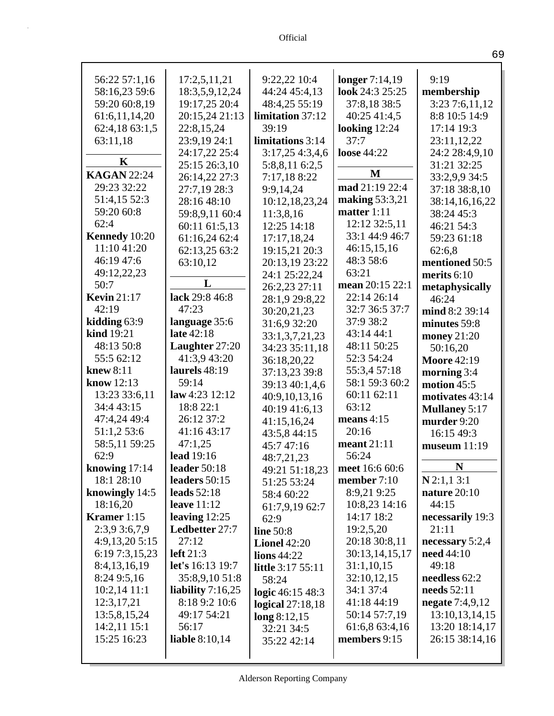| 56:22 57:1,16      | 17:2,5,11,21            | 9:22,22 10:4             | longer 7:14,19  | 9:19                     |
|--------------------|-------------------------|--------------------------|-----------------|--------------------------|
| 58:16,23 59:6      | 18:3,5,9,12,24          | 44:24 45:4,13            | look 24:3 25:25 | membership               |
| 59:20 60:8,19      | 19:17,25 20:4           | 48:4,25 55:19            | 37:8,18 38:5    | 3:23 7:6,11,12           |
| 61:6,11,14,20      | 20:15,24 21:13          | limitation 37:12         | 40:25 41:4,5    | 8:8 10:5 14:9            |
| 62:4,18 63:1,5     | 22:8,15,24              | 39:19                    | looking 12:24   | 17:14 19:3               |
| 63:11,18           | 23:9,19 24:1            | limitations 3:14         | 37:7            | 23:11,12,22              |
|                    | 24:17,22 25:4           | 3:17,254:3,4,6           | loose 44:22     | 24:2 28:4,9,10           |
| $\mathbf K$        | 25:15 26:3,10           | 5:8,8,11 6:2,5           |                 | 31:21 32:25              |
| <b>KAGAN 22:24</b> | 26:14,22 27:3           | 7:17,188:22              | M               | 33:2,9,9 34:5            |
| 29:23 32:22        | 27:7,19 28:3            | 9:9,14,24                | mad 21:19 22:4  | 37:18 38:8,10            |
| 51:4,15 52:3       | 28:16 48:10             | 10:12,18,23,24           | making 53:3,21  | 38:14,16,16,22           |
| 59:20 60:8         | 59:8,9,11 60:4          | 11:3,8,16                | matter 1:11     | 38:24 45:3               |
| 62:4               | 60:11 61:5,13           | 12:25 14:18              | 12:12 32:5,11   | 46:21 54:3               |
| Kennedy 10:20      | 61:16,24 62:4           | 17:17,18,24              | 33:1 44:9 46:7  | 59:23 61:18              |
| 11:10 41:20        | 62:13,25 63:2           | 19:15,21 20:3            | 46:15,15,16     | 62:6,8                   |
| 46:19 47:6         | 63:10,12                | 20:13,19 23:22           | 48:3 58:6       | mentioned 50:5           |
| 49:12,22,23        |                         | 24:1 25:22,24            | 63:21           | merits 6:10              |
| 50:7               | L                       | 26:2,23 27:11            | mean 20:15 22:1 | metaphysically           |
| <b>Kevin</b> 21:17 | lack 29:8 46:8          | 28:1,9 29:8,22           | 22:14 26:14     | 46:24                    |
| 42:19              | 47:23                   | 30:20,21,23              | 32:7 36:5 37:7  | mind 8:2 39:14           |
| kidding 63:9       | language 35:6           | 31:6,9 32:20             | 37:9 38:2       | minutes 59:8             |
| kind 19:21         | late 42:18              | 33:1,3,7,21,23           | 43:14 44:1      | money 21:20              |
| 48:13 50:8         | Laughter 27:20          | 34:23 35:11,18           | 48:11 50:25     | 50:16,20                 |
| 55:5 62:12         | 41:3,9 43:20            | 36:18,20,22              | 52:3 54:24      | <b>Moore 42:19</b>       |
| <b>knew 8:11</b>   | laurels 48:19           | 37:13,23 39:8            | 55:3,4 57:18    | morning 3:4              |
| know 12:13         | 59:14                   | 39:13 40:1,4,6           | 58:1 59:3 60:2  | motion 45:5              |
| 13:23 33:6,11      | law 4:23 12:12          | 40:9,10,13,16            | 60:11 62:11     | motivates 43:14          |
| 34:4 43:15         | 18:8 22:1               | 40:19 41:6,13            | 63:12           | <b>Mullaney 5:17</b>     |
| 47:4,24 49:4       | 26:12 37:2              | 41:15,16,24              | means $4:15$    | murder 9:20              |
| 51:1,2 53:6        | 41:16 43:17             | 43:5,8 44:15             | 20:16           | 16:15 49:3               |
| 58:5,11 59:25      | 47:1,25                 | 45:7 47:16               | meant 21:11     | museum $11:19$           |
| 62:9               | lead 19:16              | 48:7,21,23               | 56:24           |                          |
| knowing 17:14      | leader 50:18            | 49:21 51:18,23           | meet 16:6 60:6  | $\mathbf N$              |
| 18:1 28:10         | leaders 50:15           | 51:25 53:24              | member $7:10$   | $N$ 2:1,1 3:1            |
| knowingly 14:5     | leads $52:18$           | 58:4 60:22               | 8:9,21 9:25     | nature 20:10             |
| 18:16,20           | leave $11:12$           | 61:7,9,19 62:7           | 10:8,23 14:16   | 44:15                    |
| <b>Kramer</b> 1:15 | leaving $12:25$         | 62:9                     | 14:17 18:2      | necessarily 19:3         |
| 2:3,9 3:6,7,9      | Ledbetter 27:7          | line $50:8$              | 19:2,5,20       | 21:11                    |
| 4:9,13,20 5:15     | 27:12                   | <b>Lionel</b> $42:20$    | 20:18 30:8,11   | necessary $5:2,4$        |
| 6:19 7:3,15,23     | left $21:3$             | lions 44:22              | 30:13,14,15,17  | need $44:10$             |
| 8:4,13,16,19       | <b>let's</b> 16:13 19:7 | <b>little</b> 3:17 55:11 | 31:1,10,15      | 49:18                    |
| 8:24 9:5,16        | 35:8,9,10 51:8          | 58:24                    | 32:10,12,15     | needless 62:2            |
| $10:2,14$ 11:1     | liability $7:16,25$     | logic $46:15\,48:3$      | 34:1 37:4       | needs 52:11              |
| 12:3,17,21         | 8:18 9:2 10:6           | logical $27:18,18$       | 41:18 44:19     | <b>negate</b> $7:4,9,12$ |
| 13:5,8,15,24       | 49:17 54:21             | long 8:12,15             | 50:14 57:7,19   | 13:10,13,14,15           |
| $14:2,11$ 15:1     | 56:17                   | 32:21 34:5               | 61:6,8 63:4,16  | 13:20 18:14,17           |
| 15:25 16:23        | liable $8:10,14$        | 35:22 42:14              | members 9:15    | 26:15 38:14,16           |
|                    |                         |                          |                 |                          |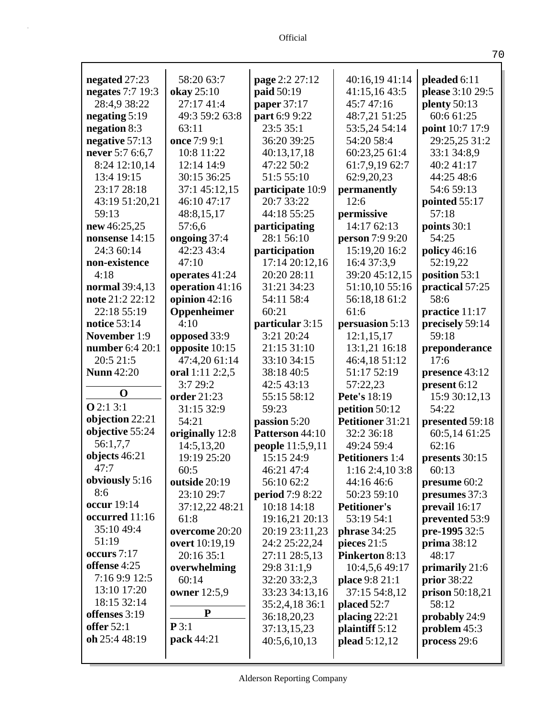| negated 27:23       | 58:20 63:7                       | page 2:2 27:12                        | 40:16,19 41:14                         | pleaded 6:11                    |
|---------------------|----------------------------------|---------------------------------------|----------------------------------------|---------------------------------|
| negates 7:7 19:3    | okay 25:10                       | paid 50:19                            | 41:15,16 43:5                          | please 3:10 29:5                |
| 28:4,9 38:22        | 27:17 41:4                       | paper 37:17                           | 45:747:16                              | plenty $50:13$                  |
| negating $5:19$     | 49:3 59:2 63:8                   | part 6:9 9:22                         | 48:7,21 51:25                          | 60:6 61:25                      |
| negation 8:3        | 63:11                            | 23:5 35:1                             | 53:5,24 54:14                          | point 10:7 17:9                 |
| negative 57:13      | once 7:9 9:1                     | 36:20 39:25                           | 54:20 58:4                             | 29:25,25 31:2                   |
| never 5:7 6:6,7     | 10:8 11:22                       | 40:13,17,18                           | 60:23,25 61:4                          | 33:1 34:8,9                     |
| 8:24 12:10,14       | 12:14 14:9                       | 47:22 50:2                            | 61:7,9,19 62:7                         | 40:2 41:17                      |
| 13:4 19:15          | 30:15 36:25                      | 51:5 55:10                            | 62:9,20,23                             | 44:25 48:6                      |
| 23:17 28:18         | 37:1 45:12,15                    | participate 10:9                      | permanently                            | 54:6 59:13                      |
| 43:19 51:20,21      | 46:10 47:17                      | 20:7 33:22                            | 12:6                                   | pointed 55:17                   |
| 59:13               | 48:8,15,17                       | 44:18 55:25                           | permissive                             | 57:18                           |
| new 46:25,25        | 57:6,6                           | participating                         | 14:17 62:13                            | points 30:1                     |
| nonsense 14:15      | ongoing 37:4                     | 28:1 56:10                            | person 7:9 9:20                        | 54:25                           |
| 24:3 60:14          | 42:23 43:4                       | participation                         | 15:19,20 16:2                          | policy 46:16                    |
| non-existence       | 47:10                            | 17:14 20:12,16                        | 16:4 37:3,9                            | 52:19,22                        |
| 4:18                | operates 41:24                   | 20:20 28:11                           | 39:20 45:12,15                         | position 53:1                   |
| normal 39:4,13      | operation 41:16                  | 31:21 34:23                           | 51:10,10 55:16                         | practical 57:25                 |
| note 21:2 22:12     | opinion $42:16$                  | 54:11 58:4                            | 56:18,18 61:2                          | 58:6                            |
| 22:18 55:19         | Oppenheimer                      | 60:21                                 | 61:6                                   | practice 11:17                  |
| <b>notice</b> 53:14 | 4:10                             | particular 3:15                       | persuasion 5:13                        | precisely 59:14                 |
| <b>November 1:9</b> | opposed 33:9                     | 3:21 20:24                            | 12:1,15,17                             | 59:18                           |
| number 6:4 20:1     | opposite 10:15                   | 21:15 31:10                           | 13:1,21 16:18                          | preponderance                   |
| 20:5 21:5           | 47:4,20 61:14                    | 33:10 34:15                           | 46:4,18 51:12                          | 17:6                            |
| <b>Nunn</b> 42:20   | oral 1:11 2:2,5                  | 38:18 40:5                            | 51:17 52:19                            | presence 43:12                  |
| $\mathbf 0$         | 3:7 29:2                         | 42:5 43:13                            | 57:22,23                               | present 6:12                    |
| Q2:13:1             | order 21:23                      | 55:15 58:12                           | Pete's 18:19                           | 15:9 30:12,13                   |
| objection 22:21     | 31:15 32:9                       | 59:23                                 | petition 50:12                         | 54:22                           |
| objective 55:24     | 54:21                            | passion 5:20                          | Petitioner 31:21                       | presented 59:18                 |
| 56:1,7,7            | originally 12:8                  | Patterson 44:10                       | 32:2 36:18                             | 60:5,14 61:25                   |
| objects 46:21       | 14:5,13,20                       | <b>people</b> 11:5,9,11               | 49:24 59:4                             | 62:16                           |
| 47:7                | 19:19 25:20                      | 15:15 24:9                            | <b>Petitioners</b> 1:4                 | presents 30:15                  |
| obviously $5:16$    | 60:5                             | 46:21 47:4                            | 1:16 2:4,10 3:8                        | 60:13                           |
| 8:6                 | outside 20:19<br>23:10 29:7      | 56:10 62:2                            | 44:16 46:6                             | presume 60:2                    |
| occur 19:14         | 37:12,22 48:21                   | <b>period</b> 7:9 8:22<br>10:18 14:18 | 50:23 59:10<br><b>Petitioner's</b>     | presumes 37:3<br>prevail 16:17  |
| occurred 11:16      | 61:8                             |                                       | 53:19 54:1                             |                                 |
| 35:10 49:4          |                                  | 19:16,21 20:13                        |                                        | prevented 53:9<br>pre-1995 32:5 |
| 51:19               | overcome 20:20<br>overt 10:19,19 | 20:19 23:11,23                        | phrase 34:25                           |                                 |
| occurs 7:17         | 20:16 35:1                       | 24:2 25:22,24                         | pieces $21:5$<br><b>Pinkerton 8:13</b> | prima 38:12<br>48:17            |
| offense 4:25        |                                  | 27:11 28:5,13                         |                                        |                                 |
| 7:16 9:9 12:5       | overwhelming<br>60:14            | 29:8 31:1,9<br>32:20 33:2,3           | 10:4,5,6 49:17                         | primarily 21:6                  |
| 13:10 17:20         |                                  |                                       | place 9:8 21:1                         | prior 38:22                     |
| 18:15 32:14         | owner 12:5,9                     | 33:23 34:13,16                        | 37:15 54:8,12                          | prison 50:18,21<br>58:12        |
| offenses 3:19       | P                                | 35:2,4,18 36:1<br>36:18,20,23         | placed 52:7<br>placing 22:21           |                                 |
| offer $52:1$        | P3:1                             | 37:13,15,23                           | plaintiff 5:12                         | probably 24:9<br>problem $45:3$ |
| oh 25:4 48:19       | pack 44:21                       | 40:5,6,10,13                          | plead 5:12,12                          | process 29:6                    |
|                     |                                  |                                       |                                        |                                 |
|                     |                                  |                                       |                                        |                                 |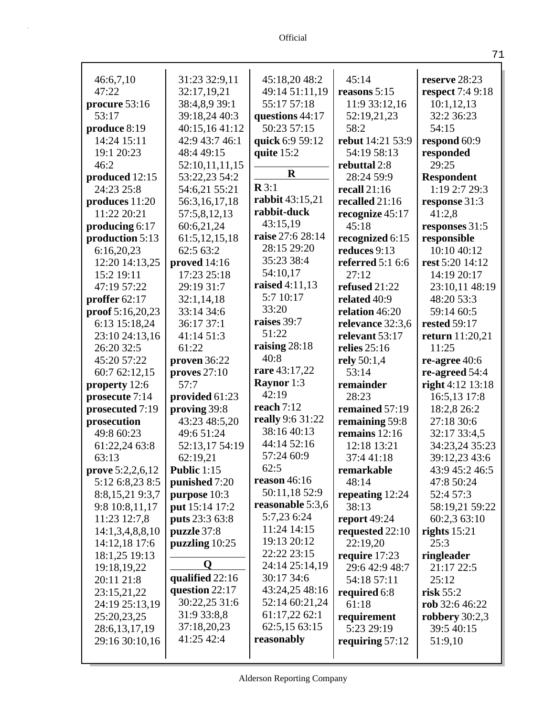| 46:6,7,10                  | 31:23 32:9,11     | 45:18,20 48:2     | 45:14                   | reserve 28:23           |
|----------------------------|-------------------|-------------------|-------------------------|-------------------------|
| 47:22                      | 32:17,19,21       | 49:14 51:11,19    | reasons 5:15            | <b>respect</b> 7:4 9:18 |
| procure 53:16              | 38:4,8,9 39:1     | 55:17 57:18       | 11:9 33:12,16           | 10:1,12,13              |
| 53:17                      | 39:18,24 40:3     | questions 44:17   | 52:19,21,23             | 32:2 36:23              |
| produce 8:19               | 40:15,16 41:12    | 50:23 57:15       | 58:2                    | 54:15                   |
| 14:24 15:11                | 42:9 43:7 46:1    | quick 6:9 59:12   | rebut 14:21 53:9        | respond 60:9            |
| 19:1 20:23                 | 48:4 49:15        | quite $15:2$      | 54:19 58:13             | responded               |
| 46:2                       | 52:10,11,11,15    |                   | rebuttal 2:8            | 29:25                   |
| produced 12:15             | 53:22,23 54:2     | $\bf R$           | 28:24 59:9              | <b>Respondent</b>       |
| 24:23 25:8                 | 54:6,21 55:21     | $\mathbf{R} 3:1$  | recall $21:16$          | 1:19 2:7 29:3           |
| produces $11:20$           | 56:3,16,17,18     | rabbit 43:15,21   | recalled 21:16          | response 31:3           |
| 11:22 20:21                | 57:5,8,12,13      | rabbit-duck       | recognize 45:17         | 41:2,8                  |
| producing 6:17             | 60:6,21,24        | 43:15,19          | 45:18                   | responses 31:5          |
| production 5:13            | 61:5, 12, 15, 18  | raise 27:6 28:14  | recognized 6:15         | responsible             |
| 6:16,20,23                 | 62:5 63:2         | 28:15 29:20       | reduces 9:13            | 10:10 40:12             |
| 12:20 14:13,25             | proved $14:16$    | 35:23 38:4        | <b>referred</b> 5:1 6:6 | rest 5:20 14:12         |
| 15:2 19:11                 | 17:23 25:18       | 54:10,17          | 27:12                   | 14:19 20:17             |
| 47:19 57:22                | 29:19 31:7        | raised 4:11,13    | refused 21:22           | 23:10,11 48:19          |
| proffer 62:17              | 32:1,14,18        | 5:7 10:17         | related 40:9            | 48:20 53:3              |
| $\text{proof } 5:16,20,23$ | 33:14 34:6        | 33:20             | relation 46:20          | 59:14 60:5              |
| 6:13 15:18,24              | 36:17 37:1        | raises 39:7       | relevance 32:3,6        | <b>rested 59:17</b>     |
| 23:10 24:13,16             | 41:14 51:3        | 51:22             | relevant 53:17          | <b>return</b> 11:20,21  |
| 26:20 32:5                 | 61:22             | raising $28:18$   | relies $25:16$          | 11:25                   |
| 45:20 57:22                | proven $36:22$    | 40:8              | rely $50:1,4$           | re-agree 40:6           |
| 60:7 62:12,15              | proves $27:10$    | rare 43:17,22     |                         |                         |
|                            |                   |                   | 53:14                   | re-agreed 54:4          |
| property 12:6              | 57:7              | <b>Raynor</b> 1:3 | remainder               | right 4:12 13:18        |
| prosecute 7:14             | provided 61:23    | 42:19             | 28:23                   | 16:5,13 17:8            |
| prosecuted 7:19            | proving 39:8      | reach $7:12$      | remained 57:19          | 18:2,8 26:2             |
| prosecution                | 43:23 48:5,20     | really 9:6 31:22  | remaining 59:8          | 27:18 30:6              |
| 49:8 60:23                 | 49:6 51:24        | 38:16 40:13       | remains 12:16           | 32:17 33:4,5            |
| 61:22,24 63:8              | 52:13,17 54:19    | 44:14 52:16       | 12:18 13:21             | 34:23,24 35:23          |
| 63:13                      | 62:19,21          | 57:24 60:9        | 37:441:18               | 39:12,23 43:6           |
| prove 5:2,2,6,12           | Public 1:15       | 62:5              | remarkable              | 43:9 45:2 46:5          |
| 5:12 6:8,23 8:5            | punished 7:20     | reason $46:16$    | 48:14                   | 47:8 50:24              |
| 8:8, 15, 21 9:3, 7         | purpose 10:3      | 50:11,18 52:9     | repeating $12:24$       | 52:4 57:3               |
| 9:8 10:8,11,17             | put 15:14 17:2    | reasonable 5:3,6  | 38:13                   | 58:19,21 59:22          |
| 11:23 12:7,8               | puts 23:3 63:8    | 5:7,23 6:24       | report $49:24$          | 60:2,3 63:10            |
| 14:1,3,4,8,8,10            | puzzle 37:8       | 11:24 14:15       | requested 22:10         | rights $15:21$          |
| 14:12,18 17:6              | puzzling $10:25$  | 19:13 20:12       | 22:19,20                | 25:3                    |
| 18:1,25 19:13              |                   | 22:22 23:15       | require 17:23           | ringleader              |
| 19:18,19,22                | Q                 | 24:14 25:14,19    | 29:6 42:9 48:7          | 21:17 22:5              |
| 20:11 21:8                 | qualified $22:16$ | 30:17 34:6        | 54:18 57:11             | 25:12                   |
| 23:15,21,22                | question 22:17    | 43:24,25 48:16    | required 6:8            | risk $55:2$             |
| 24:19 25:13,19             | 30:22,25 31:6     | 52:14 60:21,24    | 61:18                   | rob 32:6 46:22          |
| 25:20,23,25                | 31:9 33:8,8       | 61:17,22 62:1     | requirement             | robbery $30:2,3$        |
| 28:6, 13, 17, 19           | 37:18,20,23       | 62:5,15 63:15     | 5:23 29:19              | 39:5 40:15              |
| 29:16 30:10,16             | 41:25 42:4        | reasonably        | requiring $57:12$       | 51:9,10                 |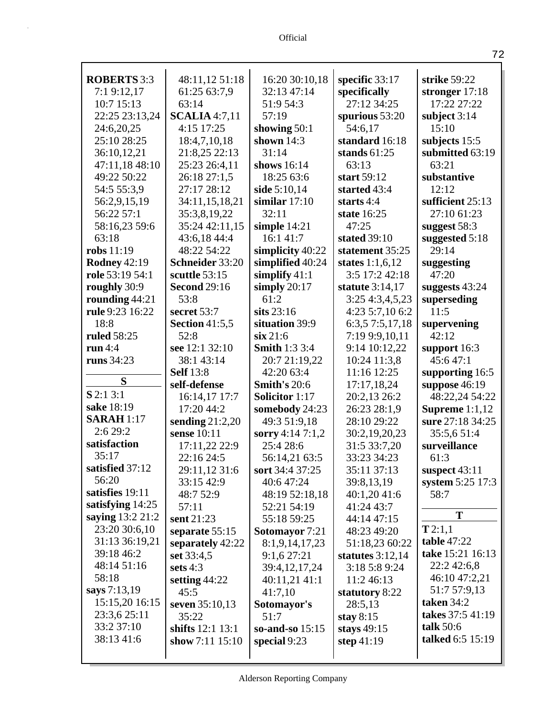| <b>ROBERTS</b> 3:3  | 48:11,12 51:18        | 16:20 30:10,18        | specific $33:17$   | strike 59:22     |
|---------------------|-----------------------|-----------------------|--------------------|------------------|
| 7:19:12,17          | 61:25 63:7,9          | 32:13 47:14           | specifically       | stronger 17:18   |
| 10:7 15:13          | 63:14                 | 51:9 54:3             | 27:12 34:25        | 17:22 27:22      |
| 22:25 23:13,24      | <b>SCALIA</b> 4:7,11  | 57:19                 | spurious 53:20     | subject $3:14$   |
| 24:6,20,25          | 4:15 17:25            | showing $50:1$        | 54:6,17            | 15:10            |
| 25:10 28:25         | 18:4,7,10,18          | shown $14:3$          | standard 16:18     | subjects 15:5    |
| 36:10,12,21         | 21:8,25 22:13         | 31:14                 | stands $61:25$     | submitted 63:19  |
| 47:11,18 48:10      | 25:23 26:4,11         | shows 16:14           | 63:13              | 63:21            |
| 49:22 50:22         | 26:18 27:1,5          | 18:25 63:6            | start 59:12        | substantive      |
| 54:5 55:3,9         | 27:17 28:12           | side 5:10,14          | started 43:4       | 12:12            |
| 56:2,9,15,19        | 34:11,15,18,21        | similar $17:10$       | starts $4:4$       | sufficient 25:13 |
| 56:22 57:1          | 35:3,8,19,22          | 32:11                 | state 16:25        | 27:10 61:23      |
| 58:16,23 59:6       | 35:24 42:11,15        | simple 14:21          | 47:25              | suggest 58:3     |
| 63:18               | 43:6,18 44:4          | 16:1 41:7             | stated 39:10       | suggested 5:18   |
| robs 11:19          | 48:22 54:22           | simplicity 40:22      | statement 35:25    | 29:14            |
| <b>Rodney 42:19</b> | Schneider 33:20       | simplified 40:24      | states $1:1,6,12$  | suggesting       |
| role 53:19 54:1     | scuttle 53:15         | simplify $41:1$       | 3:5 17:2 42:18     | 47:20            |
| roughly 30:9        | <b>Second 29:16</b>   | simply $20:17$        | statute 3:14,17    | suggests 43:24   |
| rounding 44:21      | 53:8                  | 61:2                  | 3:25 4:3,4,5,23    | superseding      |
| rule 9:23 16:22     | secret 53:7           | sits $23:16$          | 4:23 5:7,10 6:2    | 11:5             |
| 18:8                | <b>Section 41:5,5</b> | situation 39:9        | 6:3,5 7:5,17,18    | supervening      |
| ruled 58:25         | 52:8                  | $\sin 21:6$           | 7:19 9:9,10,11     | 42:12            |
| run $4:4$           | see 12:1 32:10        | <b>Smith 1:3 3:4</b>  | 9:14 10:12,22      | support 16:3     |
| runs 34:23          | 38:1 43:14            | 20:7 21:19,22         | 10:24 11:3,8       | 45:647:1         |
|                     | <b>Self</b> 13:8      | 42:20 63:4            | 11:16 12:25        | supporting 16:5  |
| S                   | self-defense          | Smith's 20:6          | 17:17,18,24        | suppose 46:19    |
| $S$ 2:1 3:1         | 16:14,17 17:7         | <b>Solicitor</b> 1:17 | 20:2,13 26:2       | 48:22,24 54:22   |
| sake 18:19          | 17:20 44:2            | somebody 24:23        | 26:23 28:1,9       | Supreme $1:1,12$ |
| <b>SARAH</b> 1:17   | sending $21:2,20$     | 49:3 51:9,18          | 28:10 29:22        | sure 27:18 34:25 |
| 2:6 29:2            | sense 10:11           | sorry 4:14 7:1,2      | 30:2,19,20,23      | 35:5,6 51:4      |
| satisfaction        | 17:11,22 22:9         | 25:4 28:6             | 31:5 33:7,20       | surveillance     |
| 35:17               | 22:16 24:5            | 56:14,21 63:5         | 33:23 34:23        | 61:3             |
| satisfied 37:12     | 29:11,12 31:6         | sort 34:4 37:25       | 35:11 37:13        | suspect $43:11$  |
| 56:20               | 33:15 42:9            | 40:6 47:24            | 39:8,13,19         | system 5:25 17:3 |
| satisfies 19:11     | 48:7 52:9             | 48:19 52:18,18        | 40:1,20 41:6       | 58:7             |
| satisfying 14:25    | 57:11                 | 52:21 54:19           | 41:24 43:7         |                  |
| saying 13:2 21:2    | sent 21:23            | 55:18 59:25           | 44:14 47:15        | T                |
| 23:20 30:6,10       | separate $55:15$      | <b>Sotomayor</b> 7:21 | 48:23 49:20        | T2:1,1           |
| 31:13 36:19,21      | separately 42:22      | 8:1,9,14,17,23        | 51:18,23 60:22     | table 47:22      |
| 39:18 46:2          | set 33:4,5            | 9:1,627:21            | statutes $3:12,14$ | take 15:21 16:13 |
| 48:14 51:16         | sets $4:3$            | 39:4,12,17,24         | 3:18 5:8 9:24      | 22:2 42:6,8      |
| 58:18               | setting $44:22$       | 40:11,21 41:1         | 11:2 46:13         | 46:10 47:2,21    |
| says 7:13,19        | 45:5                  | 41:7,10               | statutory 8:22     | 51:7 57:9,13     |
| 15:15,20 16:15      | seven $35:10,13$      | Sotomayor's           | 28:5,13            | taken $34:2$     |
| 23:3,6 25:11        | 35:22                 | 51:7                  | stay $8:15$        | takes 37:5 41:19 |
| 33:2 37:10          | shifts $12:1 13:1$    | so-and-so $15:15$     | stays $49:15$      | talk $50:6$      |
| 38:13 41:6          | show $7:11$ $15:10$   | special 9:23          | step $41:19$       | talked 6:5 15:19 |
|                     |                       |                       |                    |                  |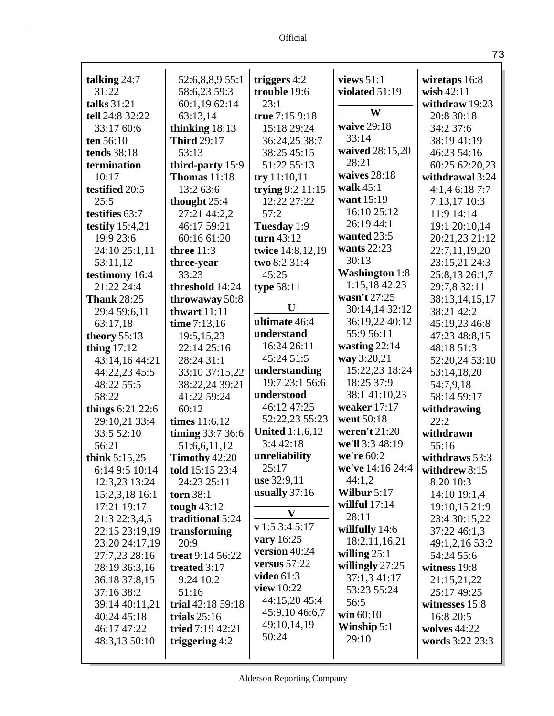Official

| talking $24:7$                   | 52:6,8,8,9 55:1                  | triggers $4:2$             | views $51:1$          | wiretaps 16:8<br>wish $42:11$ |
|----------------------------------|----------------------------------|----------------------------|-----------------------|-------------------------------|
| 31:22                            | 58:6,23 59:3                     | trouble 19:6               | violated 51:19        |                               |
| talks 31:21                      | 60:1,19 62:14<br>63:13,14        | 23:1                       | W                     | withdraw 19:23                |
| tell 24:8 32:22                  |                                  | true 7:15 9:18             | waive 29:18           | 20:8 30:18                    |
| 33:17 60:6                       | thinking $18:13$                 | 15:18 29:24                | 33:14                 | 34:2 37:6                     |
| ten 56:10                        | <b>Third 29:17</b>               | 36:24,25 38:7              | waived 28:15,20       | 38:19 41:19                   |
| <b>tends</b> 38:18               | 53:13                            | 38:25 45:15<br>51:22 55:13 | 28:21                 | 46:23 54:16                   |
| termination                      | third-party 15:9                 |                            | waives $28:18$        | 60:25 62:20,23                |
| 10:17                            | <b>Thomas</b> 11:18              | try 11:10,11               | walk $45:1$           | withdrawal 3:24               |
| testified 20:5                   | 13:2 63:6                        | trying $9:2$ 11:15         | want 15:19            | 4:1,46:187:7                  |
| 25:5                             | thought $25:4$                   | 12:22 27:22                | 16:10 25:12           | 7:13,17 10:3                  |
| testifies 63:7                   | 27:21 44:2,2                     | 57:2                       | 26:19 44:1            | 11:9 14:14                    |
| testify $15:4,21$                | 46:17 59:21                      | Tuesday 1:9                | wanted 23:5           | 19:1 20:10,14                 |
| 19:9 23:6                        | 60:16 61:20                      | turn $43:12$               | wants 22:23           | 20:21,23 21:12                |
| 24:10 25:1,11                    | three $11:3$                     | twice 14:8,12,19           | 30:13                 | 22:7,11,19,20                 |
| 53:11,12                         | three-year                       | two 8:2 31:4               | <b>Washington</b> 1:8 | 23:15,21 24:3                 |
| testimony 16:4                   | 33:23                            | 45:25                      | 1:15,18 42:23         | 25:8,13 26:1,7                |
| 21:22 24:4<br><b>Thank 28:25</b> | threshold 14:24                  | type $58:11$               | wasn't 27:25          | 29:7,8 32:11                  |
|                                  | throwaway 50:8                   | U                          | 30:14,14 32:12        | 38:13,14,15,17<br>38:21 42:2  |
| 29:4 59:6,11                     | thwart $11:11$                   | ultimate 46:4              | 36:19,22 40:12        |                               |
| 63:17,18                         | time 7:13,16                     | understand                 | 55:9 56:11            | 45:19,23 46:8                 |
| theory $55:13$                   | 19:5,15,23                       | 16:24 26:11                | wasting $22:14$       | 47:23 48:8,15                 |
| thing $17:12$                    | 22:14 25:16<br>28:24 31:1        | 45:24 51:5                 | way 3:20,21           | 48:18 51:3                    |
| 43:14,16 44:21                   |                                  | understanding              | 15:22,23 18:24        | 52:20,24 53:10<br>53:14,18,20 |
| 44:22,23 45:5<br>48:22 55:5      | 33:10 37:15,22<br>38:22,24 39:21 | 19:7 23:1 56:6             | 18:25 37:9            | 54:7,9,18                     |
| 58:22                            | 41:22 59:24                      | understood                 | 38:1 41:10,23         | 58:14 59:17                   |
| things $6:21$ 22:6               | 60:12                            | 46:12 47:25                | weaker $17:17$        | withdrawing                   |
| 29:10,21 33:4                    | times $11:6,12$                  | 52:22,23 55:23             | went 50:18            | 22:2                          |
| 33:5 52:10                       | timing 33:7 36:6                 | <b>United 1:1,6,12</b>     | weren't $21:20$       | withdrawn                     |
| 56:21                            | 51:6,6,11,12                     | 3:4 42:18                  | we'll 3:3 48:19       | 55:16                         |
| think $5:15,25$                  | Timothy 42:20                    | unreliability              | we're 60:2            | withdraws 53:3                |
| 6:14 9:5 10:14                   | told 15:15 23:4                  | 25:17                      | we've 14:16 24:4      | withdrew 8:15                 |
| 12:3,23 13:24                    | 24:23 25:11                      | use 32:9,11                | 44:1,2                | 8:20 10:3                     |
| 15:2,3,18 16:1                   | <b>torn</b> 38:1                 | usually $37:16$            | Wilbur $5:17$         | 14:10 19:1,4                  |
| 17:21 19:17                      | tough $43:12$                    |                            | willful $17:14$       | 19:10,15 21:9                 |
| 21:3 22:3,4,5                    | traditional 5:24                 | $\mathbf{V}$               | 28:11                 | 23:4 30:15,22                 |
| 22:15 23:19,19                   | transforming                     | v 1:5 3:4 5:17             | willfully $14:6$      | 37:22 46:1,3                  |
| 23:20 24:17,19                   | 20:9                             | vary 16:25                 | 18:2,11,16,21         | 49:1,2,16 53:2                |
| 27:7,23 28:16                    | treat 9:14 56:22                 | version 40:24              | willing $25:1$        | 54:24 55:6                    |
| 28:19 36:3,16                    | treated 3:17                     | versus $57:22$             | willingly 27:25       | witness 19:8                  |
| 36:18 37:8,15                    | 9:24 10:2                        | video $61:3$               | 37:1,3 41:17          | 21:15,21,22                   |
| 37:16 38:2                       | 51:16                            | view $10:22$               | 53:23 55:24           | 25:17 49:25                   |
| 39:14 40:11,21                   | trial 42:18 59:18                | 44:15,20 45:4              | 56:5                  | witnesses 15:8                |
| 40:24 45:18                      | trials $25:16$                   | 45:9,10 46:6,7             | win $60:10$           | 16:8 20:5                     |
| 46:17 47:22                      | tried $7:19\,42:21$              | 49:10,14,19                | Winship $5:1$         | wolves $44:22$                |
| 48:3,13 50:10                    | triggering $4:2$                 | 50:24                      | 29:10                 | words 3:22 23:3               |
|                                  |                                  |                            |                       |                               |

73